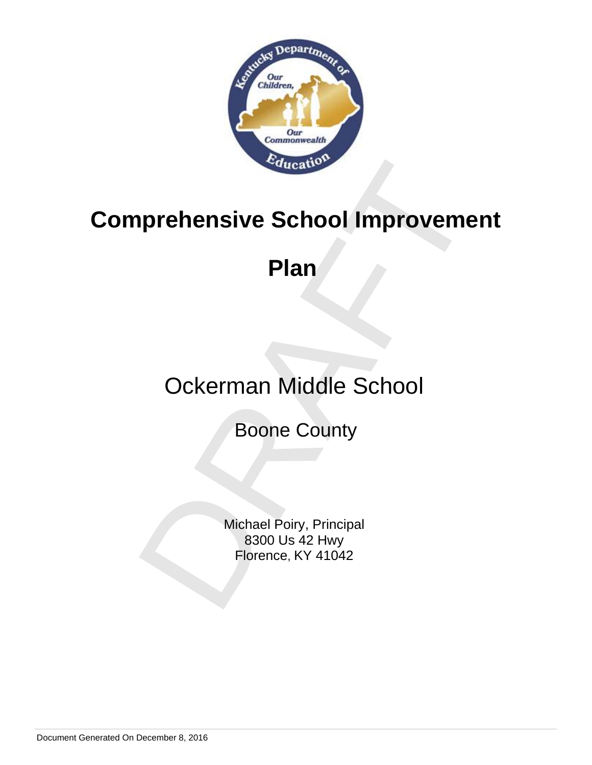

# Prehensive School Improvement<br>Plan<br>Ockerman Middle School<br>Boone County<br>Boone County<br>800 Us 42 Hwy<br>Florence, KY 41042 **Comprehensive School Improvement**

### **Plan**

### Ockerman Middle School

Boone County

Michael Poiry, Principal 8300 Us 42 Hwy Florence, KY 41042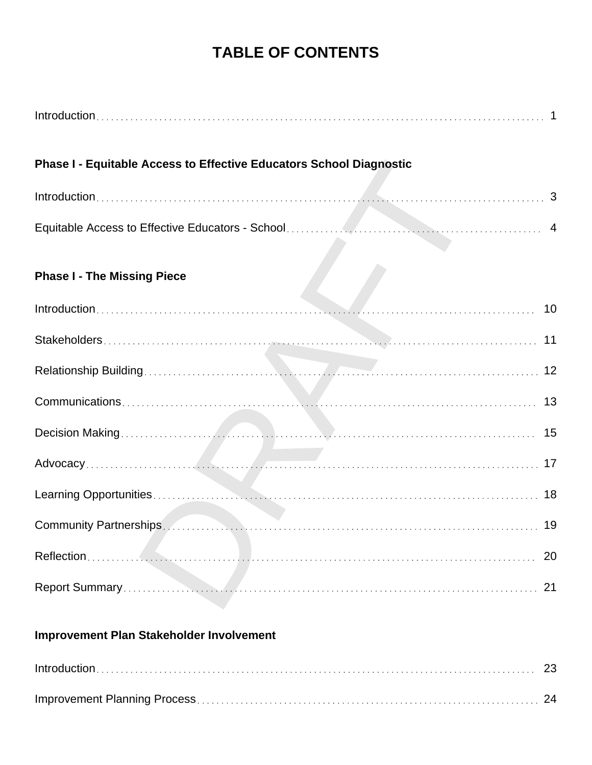### **TABLE OF CONTENTS**

| <b>Phase I - Equitable Access to Effective Educators School Diagnostic</b>                                                                                                                                                    |    |
|-------------------------------------------------------------------------------------------------------------------------------------------------------------------------------------------------------------------------------|----|
|                                                                                                                                                                                                                               |    |
|                                                                                                                                                                                                                               |    |
| <b>Phase I - The Missing Piece</b>                                                                                                                                                                                            |    |
|                                                                                                                                                                                                                               |    |
|                                                                                                                                                                                                                               |    |
| a ya                                                                                                                                                                                                                          |    |
|                                                                                                                                                                                                                               |    |
|                                                                                                                                                                                                                               |    |
|                                                                                                                                                                                                                               |    |
|                                                                                                                                                                                                                               | 18 |
| Community Partnerships. And a control of the community of the community Partnerships. And a control of the community of the community of the community of the community of the community of the community of the community of |    |
|                                                                                                                                                                                                                               | 20 |
|                                                                                                                                                                                                                               | 21 |
| <b>Improvement Plan Stakeholder Involvement</b>                                                                                                                                                                               |    |
|                                                                                                                                                                                                                               | 23 |

Improvement Planning Process 24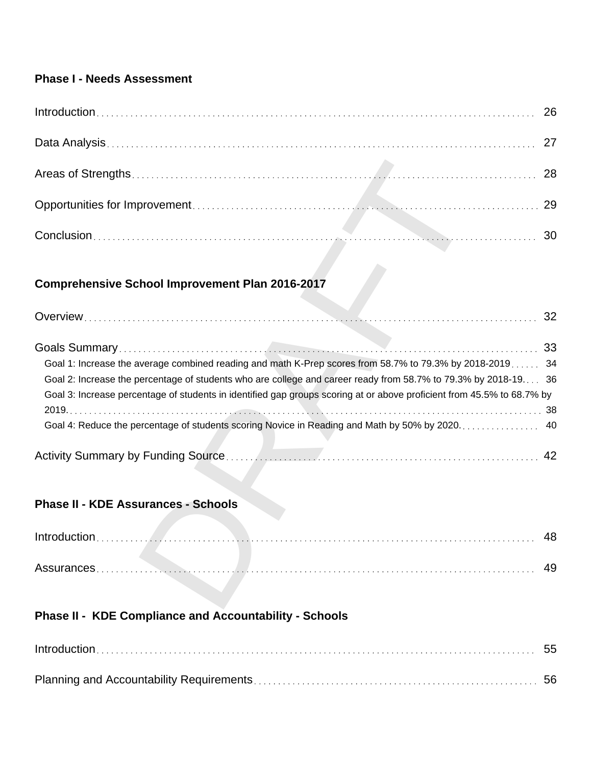### **Phase I - Needs Assessment**

| $Introduction \dots 26$ |  |
|-------------------------|--|
|                         |  |
|                         |  |
|                         |  |
|                         |  |

### **Comprehensive School Improvement Plan 2016-2017**

|                                                                                                                                                                                                                                                                                                                                                      | 28 |
|------------------------------------------------------------------------------------------------------------------------------------------------------------------------------------------------------------------------------------------------------------------------------------------------------------------------------------------------------|----|
|                                                                                                                                                                                                                                                                                                                                                      | 29 |
|                                                                                                                                                                                                                                                                                                                                                      | 30 |
| <b>Comprehensive School Improvement Plan 2016-2017</b>                                                                                                                                                                                                                                                                                               |    |
|                                                                                                                                                                                                                                                                                                                                                      |    |
| Goal 1: Increase the average combined reading and math K-Prep scores from 58.7% to 79.3% by 2018-2019 34<br>Goal 2: Increase the percentage of students who are college and career ready from 58.7% to 79.3% by 2018-19 36<br>Goal 3: Increase percentage of students in identified gap groups scoring at or above proficient from 45.5% to 68.7% by | 42 |
| <b>Phase II - KDE Assurances - Schools</b>                                                                                                                                                                                                                                                                                                           |    |
|                                                                                                                                                                                                                                                                                                                                                      | 48 |
|                                                                                                                                                                                                                                                                                                                                                      | 49 |

### **Phase II - KDE Assurances - Schools**

| <b>Assurances</b> |  |
|-------------------|--|

### **Phase II - KDE Compliance and Accountability - Schools**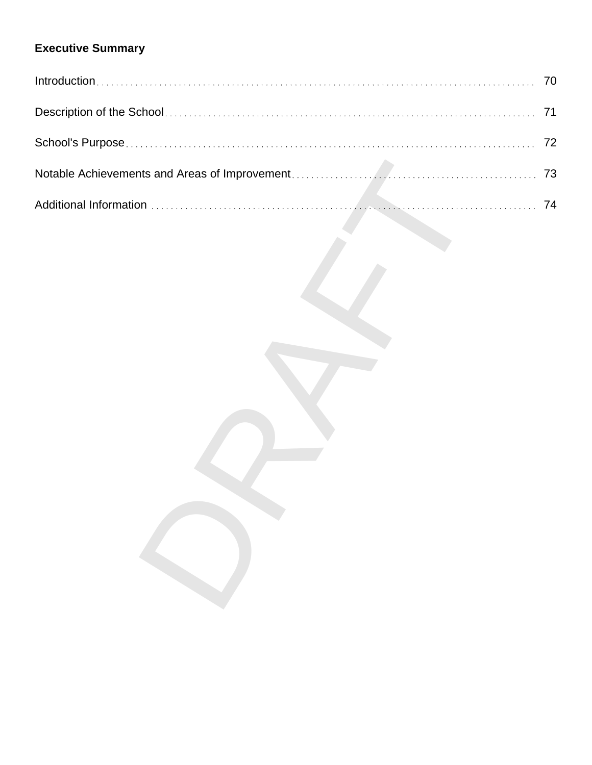### **Executive Summary**

| 70 |
|----|
| 71 |
| 72 |
| 73 |
| 74 |
|    |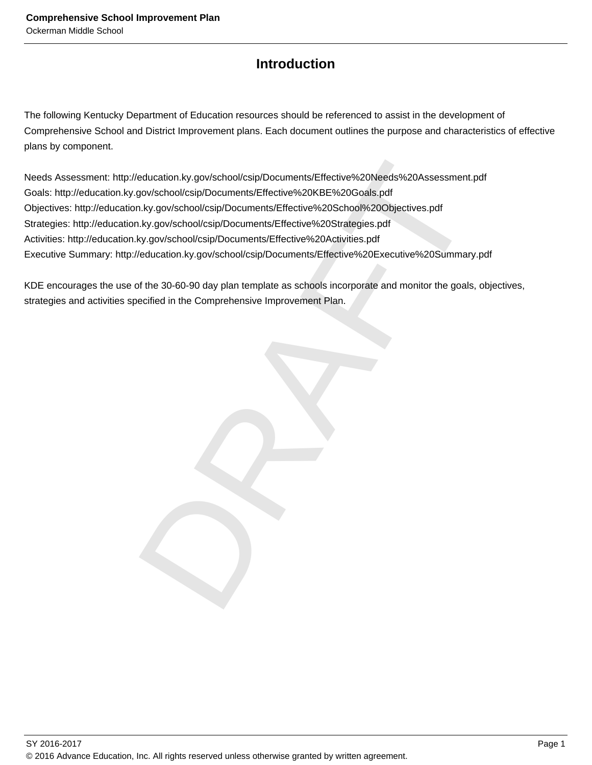### **Introduction**

The following Kentucky Department of Education resources should be referenced to assist in the development of Comprehensive School and District Improvement plans. Each document outlines the purpose and characteristics of effective plans by component.

Production.ky.gov/school/csip/Documents/Effective%20Needs%20Assessment.pdf<br>gov/school/csip/Documents/Effective%20KBE%20Goals.pdf<br>h.ky.gov/school/csip/Documents/Effective%20School%20Objectives.pdf<br>h.ky.gov/school/csip/Docum Needs Assessment: http://education.ky.gov/school/csip/Documents/Effective%20Needs%20Assessment.pdf Goals: http://education.ky.gov/school/csip/Documents/Effective%20KBE%20Goals.pdf Objectives: http://education.ky.gov/school/csip/Documents/Effective%20School%20Objectives.pdf Strategies: http://education.ky.gov/school/csip/Documents/Effective%20Strategies.pdf Activities: http://education.ky.gov/school/csip/Documents/Effective%20Activities.pdf Executive Summary: http://education.ky.gov/school/csip/Documents/Effective%20Executive%20Summary.pdf

KDE encourages the use of the 30-60-90 day plan template as schools incorporate and monitor the goals, objectives, strategies and activities specified in the Comprehensive Improvement Plan.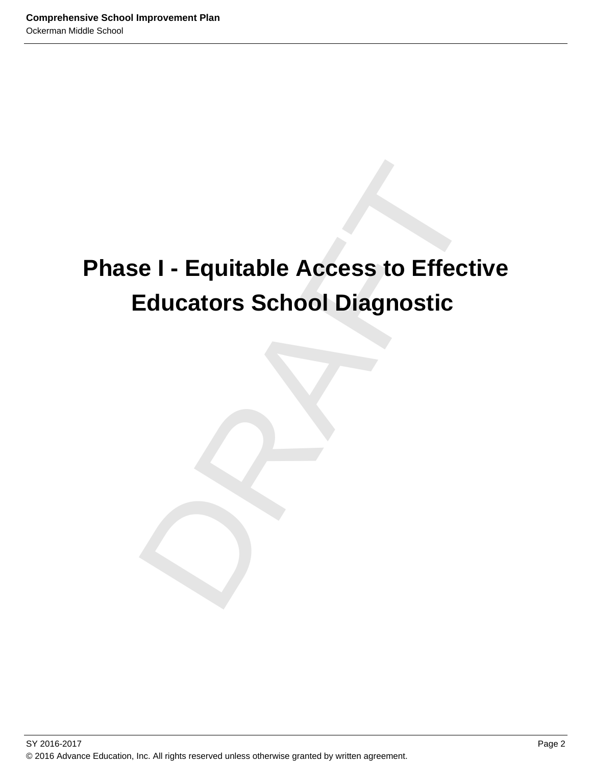### e I - Equitable Access to Effective<br>Educators School Diagnostic<br>Dragmostic **Phase I - Equitable Access to Effective Educators School Diagnostic**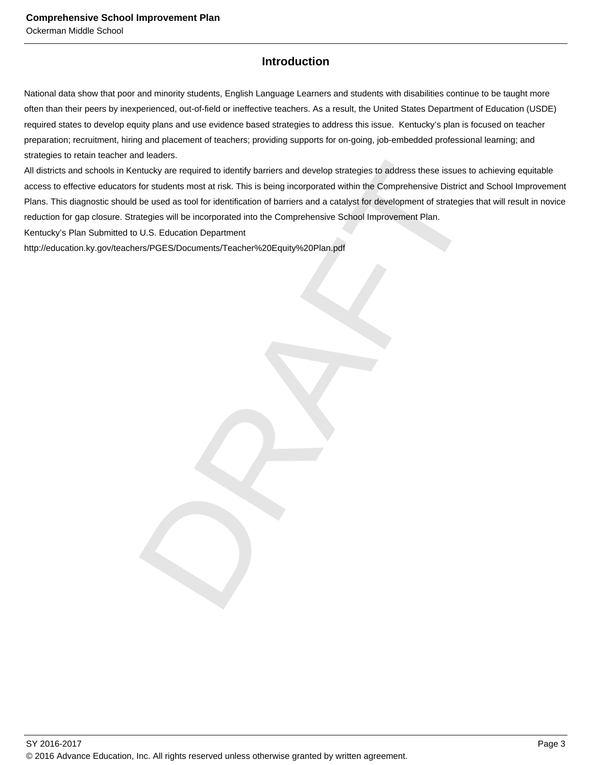### **Introduction**

National data show that poor and minority students, English Language Learners and students with disabilities continue to be taught more often than their peers by inexperienced, out-of-field or ineffective teachers. As a result, the United States Department of Education (USDE) required states to develop equity plans and use evidence based strategies to address this issue. Kentucky's plan is focused on teacher preparation; recruitment, hiring and placement of teachers; providing supports for on-going, job-embedded professional learning; and strategies to retain teacher and leaders.

in kucking<br>
in the captured to identify barriers and develop strategies to address these issues to achieving<br>
for students most at risk. This is being incorporated within the Comprehensive District and School<br>
be used as t All districts and schools in Kentucky are required to identify barriers and develop strategies to address these issues to achieving equitable access to effective educators for students most at risk. This is being incorporated within the Comprehensive District and School Improvement Plans. This diagnostic should be used as tool for identification of barriers and a catalyst for development of strategies that will result in novice reduction for gap closure. Strategies will be incorporated into the Comprehensive School Improvement Plan.

Kentucky's Plan Submitted to U.S. Education Department

http://education.ky.gov/teachers/PGES/Documents/Teacher%20Equity%20Plan.pdf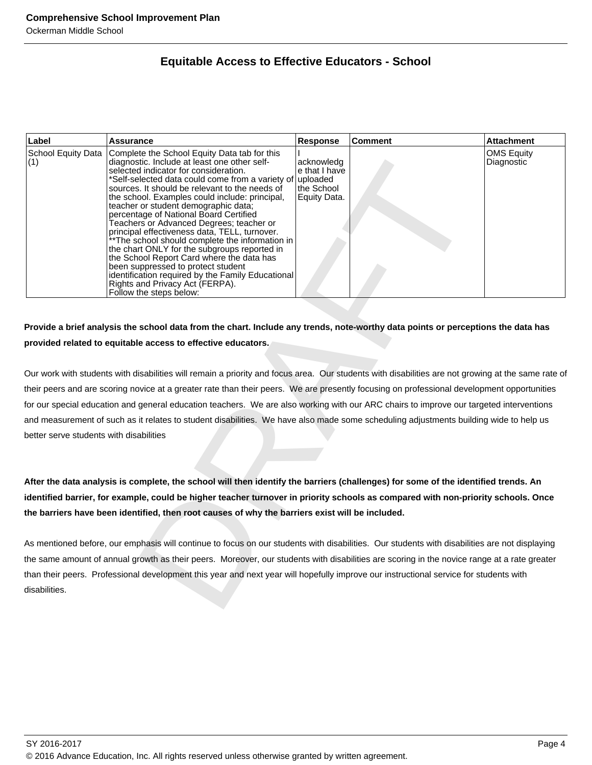### **Equitable Access to Effective Educators - School**

| Label                                   | <b>Assurance</b>                                                                                                                                                                                                                                                                                                                                                                                                                                                                                                                                                                                                                                                                                                                                                                       | Response                                                              | <b>Comment</b> | <b>Attachment</b>                      |
|-----------------------------------------|----------------------------------------------------------------------------------------------------------------------------------------------------------------------------------------------------------------------------------------------------------------------------------------------------------------------------------------------------------------------------------------------------------------------------------------------------------------------------------------------------------------------------------------------------------------------------------------------------------------------------------------------------------------------------------------------------------------------------------------------------------------------------------------|-----------------------------------------------------------------------|----------------|----------------------------------------|
| School Equity Data<br>(1)               | Complete the School Equity Data tab for this<br>diagnostic. Include at least one other self-<br>selected indicator for consideration.<br>*Self-selected data could come from a variety of<br>sources. It should be relevant to the needs of<br>the school. Examples could include: principal,<br>teacher or student demographic data;<br>percentage of National Board Certified<br>Teachers or Advanced Degrees; teacher or<br>principal effectiveness data, TELL, turnover.<br>** The school should complete the information in<br>the chart ONLY for the subgroups reported in<br>the School Report Card where the data has<br>been suppressed to protect student<br>identification required by the Family Educational<br>Rights and Privacy Act (FERPA).<br>Follow the steps below: | acknowledg<br>e that I have<br>uploaded<br>the School<br>Equity Data. |                | <b>OMS Equity</b><br><b>Diagnostic</b> |
|                                         |                                                                                                                                                                                                                                                                                                                                                                                                                                                                                                                                                                                                                                                                                                                                                                                        |                                                                       |                |                                        |
|                                         | Provide a brief analysis the school data from the chart. Include any trends, note-worthy data points or perceptions the data has                                                                                                                                                                                                                                                                                                                                                                                                                                                                                                                                                                                                                                                       |                                                                       |                |                                        |
|                                         | provided related to equitable access to effective educators.                                                                                                                                                                                                                                                                                                                                                                                                                                                                                                                                                                                                                                                                                                                           |                                                                       |                |                                        |
|                                         |                                                                                                                                                                                                                                                                                                                                                                                                                                                                                                                                                                                                                                                                                                                                                                                        |                                                                       |                |                                        |
|                                         | Our work with students with disabilities will remain a priority and focus area. Our students with disabilities are not growing at the same rate of                                                                                                                                                                                                                                                                                                                                                                                                                                                                                                                                                                                                                                     |                                                                       |                |                                        |
|                                         | their peers and are scoring novice at a greater rate than their peers. We are presently focusing on professional development opportunities                                                                                                                                                                                                                                                                                                                                                                                                                                                                                                                                                                                                                                             |                                                                       |                |                                        |
|                                         | for our special education and general education teachers. We are also working with our ARC chairs to improve our targeted interventions                                                                                                                                                                                                                                                                                                                                                                                                                                                                                                                                                                                                                                                |                                                                       |                |                                        |
|                                         | and measurement of such as it relates to student disabilities. We have also made some scheduling adjustments building wide to help us                                                                                                                                                                                                                                                                                                                                                                                                                                                                                                                                                                                                                                                  |                                                                       |                |                                        |
| better serve students with disabilities |                                                                                                                                                                                                                                                                                                                                                                                                                                                                                                                                                                                                                                                                                                                                                                                        |                                                                       |                |                                        |
|                                         |                                                                                                                                                                                                                                                                                                                                                                                                                                                                                                                                                                                                                                                                                                                                                                                        |                                                                       |                |                                        |
|                                         | After the data analysis is complete, the school will then identify the barriers (challenges) for some of the identified trends. An<br>identified barrier, for example, could be higher teacher turnover in priority schools as compared with non-priority schools. Once<br>the barriers have been identified, then root causes of why the barriers exist will be included.                                                                                                                                                                                                                                                                                                                                                                                                             |                                                                       |                |                                        |
|                                         | As mentioned before, our emphasis will continue to focus on our students with disabilities. Our students with disabilities are not displaying                                                                                                                                                                                                                                                                                                                                                                                                                                                                                                                                                                                                                                          |                                                                       |                |                                        |
|                                         | the same amount of annual growth as their peers. Moreover, our students with disabilities are scoring in the novice range at a rate greater                                                                                                                                                                                                                                                                                                                                                                                                                                                                                                                                                                                                                                            |                                                                       |                |                                        |
| disabilities.                           | than their peers. Professional development this year and next year will hopefully improve our instructional service for students with                                                                                                                                                                                                                                                                                                                                                                                                                                                                                                                                                                                                                                                  |                                                                       |                |                                        |
|                                         |                                                                                                                                                                                                                                                                                                                                                                                                                                                                                                                                                                                                                                                                                                                                                                                        |                                                                       |                |                                        |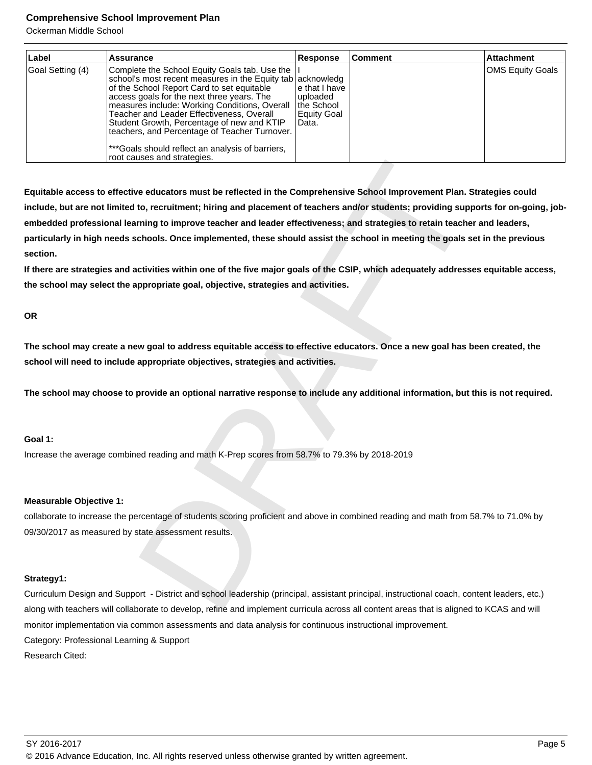Ockerman Middle School

| Label            | Assurance                                                                                                                                                                                                                                                                                                                                                                                                                                                                               | <b>Response</b>                                                  | <b>Comment</b> | <b>Attachment</b>       |
|------------------|-----------------------------------------------------------------------------------------------------------------------------------------------------------------------------------------------------------------------------------------------------------------------------------------------------------------------------------------------------------------------------------------------------------------------------------------------------------------------------------------|------------------------------------------------------------------|----------------|-------------------------|
| Goal Setting (4) | Complete the School Equity Goals tab. Use the<br>school's most recent measures in the Equity tab acknowledg<br>of the School Report Card to set equitable<br>access goals for the next three years. The<br>measures include: Working Conditions, Overall<br>Teacher and Leader Effectiveness, Overall<br>Student Growth, Percentage of new and KTIP<br>teachers, and Percentage of Teacher Turnover.<br>***Goals should reflect an analysis of barriers,<br>root causes and strategies. | le that I have<br>uploaded<br>the School<br>Equity Goal<br>Data. |                | <b>OMS Equity Goals</b> |

uses and strategies.<br>
Ye educators must be reflected in the Comprehensive School Improvement Plan. Strategies<br>
to, recruitment; hiring and placement of teachers and/or students; providing supports for<br>
oncourted to the mem **Equitable access to effective educators must be reflected in the Comprehensive School Improvement Plan. Strategies could include, but are not limited to, recruitment; hiring and placement of teachers and/or students; providing supports for on-going, jobembedded professional learning to improve teacher and leader effectiveness; and strategies to retain teacher and leaders, particularly in high needs schools. Once implemented, these should assist the school in meeting the goals set in the previous section.**

**If there are strategies and activities within one of the five major goals of the CSIP, which adequately addresses equitable access, the school may select the appropriate goal, objective, strategies and activities.**

### **OR**

**The school may create a new goal to address equitable access to effective educators. Once a new goal has been created, the school will need to include appropriate objectives, strategies and activities.**

**The school may choose to provide an optional narrative response to include any additional information, but this is not required.**

### **Goal 1:**

Increase the average combined reading and math K-Prep scores from 58.7% to 79.3% by 2018-2019

### **Measurable Objective 1:**

collaborate to increase the percentage of students scoring proficient and above in combined reading and math from 58.7% to 71.0% by 09/30/2017 as measured by state assessment results.

### **Strategy1:**

Curriculum Design and Support - District and school leadership (principal, assistant principal, instructional coach, content leaders, etc.) along with teachers will collaborate to develop, refine and implement curricula across all content areas that is aligned to KCAS and will monitor implementation via common assessments and data analysis for continuous instructional improvement. Category: Professional Learning & Support Research Cited: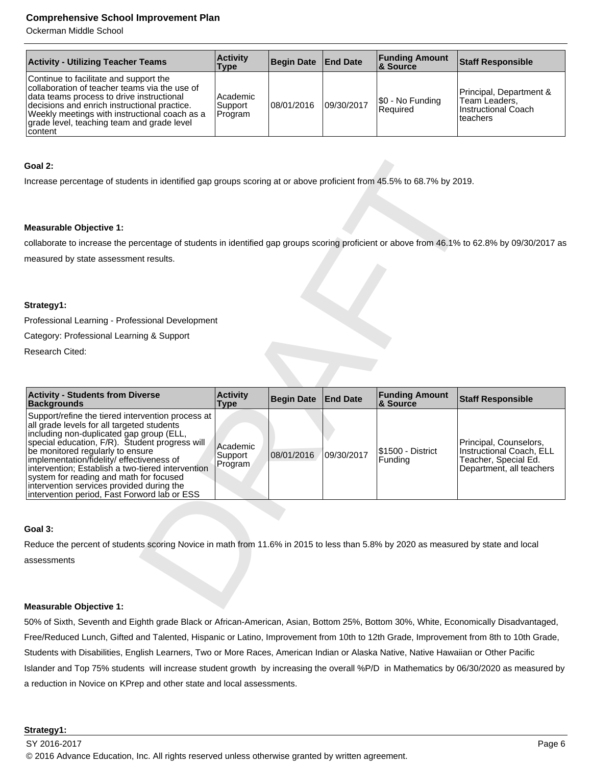Ockerman Middle School

| <b>Activity - Utilizing Teacher Teams</b>                                                                                                                                                                                                                                                             | <b>Activity</b><br>Type        | Begin Date End Date |            | <b>Funding Amount</b><br>∣& Source | <b>Staff Responsible</b>                                                     |
|-------------------------------------------------------------------------------------------------------------------------------------------------------------------------------------------------------------------------------------------------------------------------------------------------------|--------------------------------|---------------------|------------|------------------------------------|------------------------------------------------------------------------------|
| Continue to facilitate and support the<br>collaboration of teacher teams via the use of<br>data teams process to drive instructional<br>decisions and enrich instructional practice.<br>Weekly meetings with instructional coach as a<br>grade level, teaching team and grade level<br><b>content</b> | Academic<br>Support<br>Program | 08/01/2016          | 09/30/2017 | \$0 - No Funding<br>Required       | Principal, Department &<br>Team Leaders,<br>Instructional Coach<br>lteachers |

### **Goal 2:**

### **Measurable Objective 1:**

### **Strategy1:**

| Goal 2:                                                                                                                                                                                                                                                                                                                                                                                                                                                                     |                                |                   |                 |                                   |                                                                                                        |
|-----------------------------------------------------------------------------------------------------------------------------------------------------------------------------------------------------------------------------------------------------------------------------------------------------------------------------------------------------------------------------------------------------------------------------------------------------------------------------|--------------------------------|-------------------|-----------------|-----------------------------------|--------------------------------------------------------------------------------------------------------|
| Increase percentage of students in identified gap groups scoring at or above proficient from 45.5% to 68.7% by 2019.                                                                                                                                                                                                                                                                                                                                                        |                                |                   |                 |                                   |                                                                                                        |
|                                                                                                                                                                                                                                                                                                                                                                                                                                                                             |                                |                   |                 |                                   |                                                                                                        |
| <b>Measurable Objective 1:</b>                                                                                                                                                                                                                                                                                                                                                                                                                                              |                                |                   |                 |                                   |                                                                                                        |
| collaborate to increase the percentage of students in identified gap groups scoring proficient or above from 46.1% to 62.8% by 09/30/2017 as                                                                                                                                                                                                                                                                                                                                |                                |                   |                 |                                   |                                                                                                        |
| measured by state assessment results.                                                                                                                                                                                                                                                                                                                                                                                                                                       |                                |                   |                 |                                   |                                                                                                        |
|                                                                                                                                                                                                                                                                                                                                                                                                                                                                             |                                |                   |                 |                                   |                                                                                                        |
|                                                                                                                                                                                                                                                                                                                                                                                                                                                                             |                                |                   |                 |                                   |                                                                                                        |
| Strategy1:                                                                                                                                                                                                                                                                                                                                                                                                                                                                  |                                |                   |                 |                                   |                                                                                                        |
| Professional Learning - Professional Development                                                                                                                                                                                                                                                                                                                                                                                                                            |                                |                   |                 |                                   |                                                                                                        |
| Category: Professional Learning & Support                                                                                                                                                                                                                                                                                                                                                                                                                                   |                                |                   |                 |                                   |                                                                                                        |
| <b>Research Cited:</b>                                                                                                                                                                                                                                                                                                                                                                                                                                                      |                                |                   |                 |                                   |                                                                                                        |
|                                                                                                                                                                                                                                                                                                                                                                                                                                                                             |                                |                   |                 |                                   |                                                                                                        |
|                                                                                                                                                                                                                                                                                                                                                                                                                                                                             |                                |                   |                 |                                   |                                                                                                        |
| <b>Activity - Students from Diverse</b><br><b>Backgrounds</b>                                                                                                                                                                                                                                                                                                                                                                                                               | <b>Activity</b><br><b>Type</b> | <b>Begin Date</b> | <b>End Date</b> | <b>Funding Amount</b><br>& Source | <b>Staff Responsible</b>                                                                               |
| Support/refine the tiered intervention process at<br>all grade levels for all targeted students<br>including non-duplicated gap group (ELL,<br>special education, F/R). Student progress will<br>be monitored regularly to ensure<br>implementation/fidelity/ effectiveness of<br>intervention; Establish a two-tiered intervention<br>system for reading and math for focused<br>intervention services provided during the<br>intervention period, Fast Forword lab or ESS | Academic<br>Support<br>Program | 08/01/2016        | 09/30/2017      | \$1500 - District<br>Funding      | Principal, Counselors,<br>Instructional Coach, ELL<br>Teacher, Special Ed.<br>Department, all teachers |
|                                                                                                                                                                                                                                                                                                                                                                                                                                                                             |                                |                   |                 |                                   |                                                                                                        |
| Goal 3:                                                                                                                                                                                                                                                                                                                                                                                                                                                                     |                                |                   |                 |                                   |                                                                                                        |
| Reduce the percent of students scoring Novice in math from 11.6% in 2015 to less than 5.8% by 2020 as measured by state and local                                                                                                                                                                                                                                                                                                                                           |                                |                   |                 |                                   |                                                                                                        |
| assessments                                                                                                                                                                                                                                                                                                                                                                                                                                                                 |                                |                   |                 |                                   |                                                                                                        |
|                                                                                                                                                                                                                                                                                                                                                                                                                                                                             |                                |                   |                 |                                   |                                                                                                        |
|                                                                                                                                                                                                                                                                                                                                                                                                                                                                             |                                |                   |                 |                                   |                                                                                                        |
| Measurable Objective 1:                                                                                                                                                                                                                                                                                                                                                                                                                                                     |                                |                   |                 |                                   |                                                                                                        |

### **Goal 3:**

### **Measurable Objective 1:**

50% of Sixth, Seventh and Eighth grade Black or African-American, Asian, Bottom 25%, Bottom 30%, White, Economically Disadvantaged, Free/Reduced Lunch, Gifted and Talented, Hispanic or Latino, Improvement from 10th to 12th Grade, Improvement from 8th to 10th Grade, Students with Disabilities, English Learners, Two or More Races, American Indian or Alaska Native, Native Hawaiian or Other Pacific Islander and Top 75% students will increase student growth by increasing the overall %P/D in Mathematics by 06/30/2020 as measured by a reduction in Novice on KPrep and other state and local assessments.

### **Strategy1:**

© 2016 Advance Education, Inc. All rights reserved unless otherwise granted by written agreement.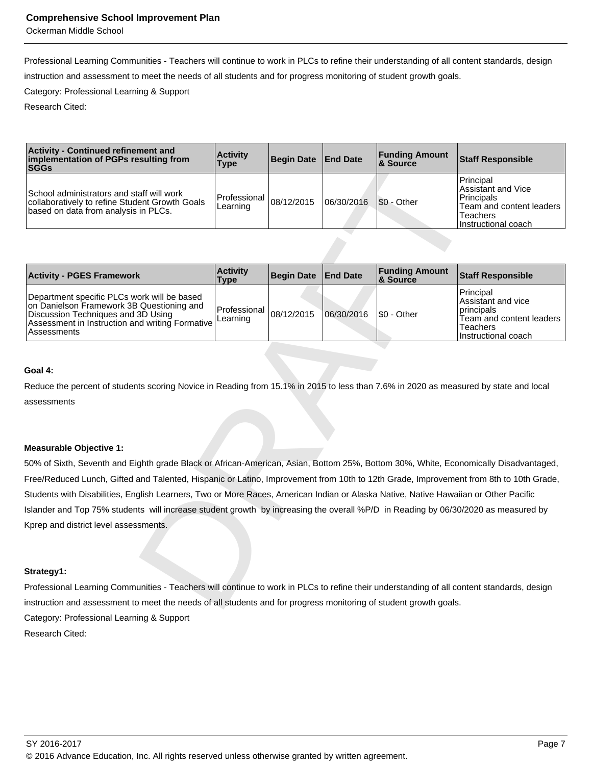Ockerman Middle School

Professional Learning Communities - Teachers will continue to work in PLCs to refine their understanding of all content standards, design instruction and assessment to meet the needs of all students and for progress monitoring of student growth goals.

Category: Professional Learning & Support

Research Cited:

| <b>Activity - Continued refinement and</b><br>implementation of PGPs resulting from<br><b>SGGs</b>                                  | <b>Activity</b><br>Type                | Begin Date End Date |            | <b>Funding Amount</b><br>8 Source | <b>Staff Responsible</b>                                                                                       |
|-------------------------------------------------------------------------------------------------------------------------------------|----------------------------------------|---------------------|------------|-----------------------------------|----------------------------------------------------------------------------------------------------------------|
| School administrators and staff will work<br>collaboratively to refine Student Growth Goals<br>based on data from analysis in PLCs. | Professional $ 08/12/2015$<br>Learning |                     | 06/30/2016 | S0 - Other                        | Principal<br>Assistant and Vice<br>l Principals<br>Team and content leaders<br>Teachers<br>Instructional coach |

| implementation of PGPs resulting from<br><b>SGGs</b>                                                                                                                                             | <b>AVUVILY</b><br><b>Type</b>  | <b>Begin Date</b> | <b>End Date</b> | ı ununıy <i>r</i><br>unvun<br>& Source | Staff Responsible                                                                                                   |
|--------------------------------------------------------------------------------------------------------------------------------------------------------------------------------------------------|--------------------------------|-------------------|-----------------|----------------------------------------|---------------------------------------------------------------------------------------------------------------------|
| School administrators and staff will work<br>collaboratively to refine Student Growth Goals<br>based on data from analysis in PLCs.                                                              | Professional<br>Learning       | 08/12/2015        | 06/30/2016      | \$0 - Other                            | Principal<br><b>Assistant and Vice</b><br>Principals<br>Team and content leaders<br>Teachers<br>Instructional coach |
|                                                                                                                                                                                                  |                                |                   |                 |                                        |                                                                                                                     |
| <b>Activity - PGES Framework</b>                                                                                                                                                                 | <b>Activity</b><br><b>Type</b> | <b>Begin Date</b> | <b>End Date</b> | <b>Funding Amount</b><br>& Source      | <b>Staff Responsible</b>                                                                                            |
| Department specific PLCs work will be based<br>on Danielson Framework 3B Questioning and<br>Discussion Techniques and 3D Using<br>Assessment in Instruction and writing Formative<br>Assessments | Professional<br>Learning       | 08/12/2015        | 06/30/2016      | $$0 - Other$                           | Principal<br>Assistant and vice<br>principals<br>Team and content leaders<br>Teachers<br>Instructional coach        |
|                                                                                                                                                                                                  |                                |                   |                 |                                        |                                                                                                                     |
| Goal 4:                                                                                                                                                                                          |                                |                   |                 |                                        |                                                                                                                     |
| Reduce the percent of students scoring Novice in Reading from 15.1% in 2015 to less than 7.6% in 2020 as measured by state and local                                                             |                                |                   |                 |                                        |                                                                                                                     |
| assessments                                                                                                                                                                                      |                                |                   |                 |                                        |                                                                                                                     |
|                                                                                                                                                                                                  |                                |                   |                 |                                        |                                                                                                                     |
|                                                                                                                                                                                                  |                                |                   |                 |                                        |                                                                                                                     |
| <b>Measurable Objective 1:</b>                                                                                                                                                                   |                                |                   |                 |                                        |                                                                                                                     |
| 50% of Sixth, Seventh and Eighth grade Black or African-American, Asian, Bottom 25%, Bottom 30%, White, Economically Disadvantaged,                                                              |                                |                   |                 |                                        |                                                                                                                     |
| Free/Reduced Lunch, Gifted and Talented, Hispanic or Latino, Improvement from 10th to 12th Grade, Improvement from 8th to 10th Grade,                                                            |                                |                   |                 |                                        |                                                                                                                     |
| Students with Disabilities, English Learners, Two or More Races, American Indian or Alaska Native, Native Hawaiian or Other Pacific                                                              |                                |                   |                 |                                        |                                                                                                                     |
| Islander and Top 75% students will increase student growth by increasing the overall %P/D in Reading by 06/30/2020 as measured by                                                                |                                |                   |                 |                                        |                                                                                                                     |
| Kprep and district level assessments.                                                                                                                                                            |                                |                   |                 |                                        |                                                                                                                     |
| Strategy1:                                                                                                                                                                                       |                                |                   |                 |                                        |                                                                                                                     |
| Professional Learning Communities - Teachers will continue to work in PLCs to refine their understanding of all content standards, design                                                        |                                |                   |                 |                                        |                                                                                                                     |
| instruction and assessment to meet the needs of all students and for progress monitoring of student growth goals.                                                                                |                                |                   |                 |                                        |                                                                                                                     |

### **Goal 4:**

### **Measurable Objective 1:**

### **Strategy1:**

Professional Learning Communities - Teachers will continue to work in PLCs to refine their understanding of all content standards, design instruction and assessment to meet the needs of all students and for progress monitoring of student growth goals. Category: Professional Learning & Support Research Cited: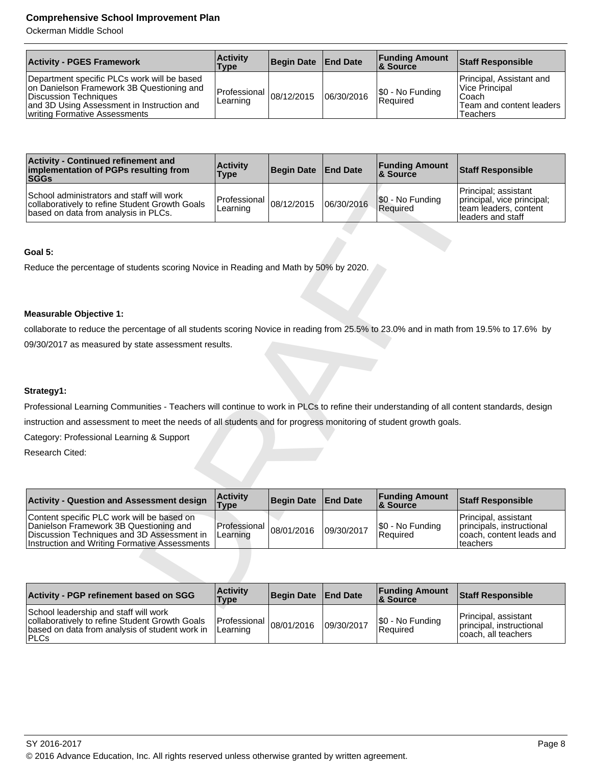Ockerman Middle School

| <b>Activity - PGES Framework</b>                                                                                                                                                                 | <b>Activity</b><br>Type                       | Begin Date   End Date |            | <b>Funding Amount</b><br><b>8 Source</b> | <b>Staff Responsible</b>                                                                     |
|--------------------------------------------------------------------------------------------------------------------------------------------------------------------------------------------------|-----------------------------------------------|-----------------------|------------|------------------------------------------|----------------------------------------------------------------------------------------------|
| Department specific PLCs work will be based<br>on Danielson Framework 3B Questioning and<br>Discussion Techniques<br>and 3D Using Assessment in Instruction and<br>writing Formative Assessments | Professional $\vert_{08/12/2015}$<br>Learning |                       | 06/30/2016 | $\frac{\$0 - No$ Funding<br>Required     | Principal, Assistant and<br>Vice Principal<br>'Coach<br>Team and content leaders<br>Teachers |

| <b>Activity - Continued refinement and</b><br>implementation of PGPs resulting from<br><b>SGGs</b>                                                                                  | <b>Activity</b><br><b>Type</b> | <b>Begin Date</b> | <b>End Date</b> | <b>Funding Amount</b><br>& Source | <b>Staff Responsible</b>                                                                         |
|-------------------------------------------------------------------------------------------------------------------------------------------------------------------------------------|--------------------------------|-------------------|-----------------|-----------------------------------|--------------------------------------------------------------------------------------------------|
| School administrators and staff will work<br>collaboratively to refine Student Growth Goals<br>based on data from analysis in PLCs.                                                 | Professional<br>Learning       | 08/12/2015        | 06/30/2016      | \$0 - No Funding<br>Required      | Principal; assistant<br>principal, vice principal;<br>team leaders, content<br>leaders and staff |
| Goal 5:                                                                                                                                                                             |                                |                   |                 |                                   |                                                                                                  |
| Reduce the percentage of students scoring Novice in Reading and Math by 50% by 2020.                                                                                                |                                |                   |                 |                                   |                                                                                                  |
|                                                                                                                                                                                     |                                |                   |                 |                                   |                                                                                                  |
|                                                                                                                                                                                     |                                |                   |                 |                                   |                                                                                                  |
| <b>Measurable Objective 1:</b>                                                                                                                                                      |                                |                   |                 |                                   |                                                                                                  |
| collaborate to reduce the percentage of all students scoring Novice in reading from 25.5% to 23.0% and in math from 19.5% to 17.6% by                                               |                                |                   |                 |                                   |                                                                                                  |
| 09/30/2017 as measured by state assessment results.                                                                                                                                 |                                |                   |                 |                                   |                                                                                                  |
|                                                                                                                                                                                     |                                |                   |                 |                                   |                                                                                                  |
|                                                                                                                                                                                     |                                |                   |                 |                                   |                                                                                                  |
| Strategy1:                                                                                                                                                                          |                                |                   |                 |                                   |                                                                                                  |
| Professional Learning Communities - Teachers will continue to work in PLCs to refine their understanding of all content standards, design                                           |                                |                   |                 |                                   |                                                                                                  |
| instruction and assessment to meet the needs of all students and for progress monitoring of student growth goals.                                                                   |                                |                   |                 |                                   |                                                                                                  |
| Category: Professional Learning & Support                                                                                                                                           |                                |                   |                 |                                   |                                                                                                  |
| Research Cited:                                                                                                                                                                     |                                |                   |                 |                                   |                                                                                                  |
|                                                                                                                                                                                     |                                |                   |                 |                                   |                                                                                                  |
|                                                                                                                                                                                     |                                |                   |                 |                                   |                                                                                                  |
| <b>Activity - Question and Assessment design</b>                                                                                                                                    | <b>Activity</b><br><b>Type</b> | <b>Begin Date</b> | <b>End Date</b> | <b>Funding Amount</b><br>& Source | <b>Staff Responsible</b>                                                                         |
| Content specific PLC work will be based on<br>Danielson Framework 3B Questioning and<br>Discussion Techniques and 3D Assessment in<br>Instruction and Writing Formative Assessments | Professional<br>Learning       | 08/01/2016        | 09/30/2017      | \$0 - No Funding<br>Required      | Principal, assistant<br>principals, instructional<br>coach, content leads and<br>teachers        |
|                                                                                                                                                                                     |                                |                   |                 |                                   |                                                                                                  |
| Activity - PGP refinement based on SGG                                                                                                                                              | <b>Activity</b><br>Type        | <b>Begin Date</b> | <b>End Date</b> | <b>Funding Amount</b><br>& Source | <b>Staff Responsible</b>                                                                         |

### **Goal 5:**

### **Measurable Objective 1:**

### **Strategy1:**

| <b>Activity - Question and Assessment design</b>                                                                                                                                    | <b>Activity</b><br><b>Type</b>           | Begin Date   End Date |            | <b>Funding Amount</b><br>8. Source | <b>Staff Responsible</b>                                                                   |
|-------------------------------------------------------------------------------------------------------------------------------------------------------------------------------------|------------------------------------------|-----------------------|------------|------------------------------------|--------------------------------------------------------------------------------------------|
| Content specific PLC work will be based on<br>Danielson Framework 3B Questioning and<br>Discussion Techniques and 3D Assessment in<br>Instruction and Writing Formative Assessments | Professional 08/01/2016 Inc.<br>Learning |                       | 09/30/2017 | $ \$0 - No Funding$<br>Required    | Principal, assistant<br>principals, instructional<br>coach, content leads and<br>Iteachers |

| <b>Activity - PGP refinement based on SGG</b>                                                                                                             | <b>Activity</b><br><b>Type</b>          | Begin Date   End Date |            | <b>Funding Amount</b><br>8 Source | <b>Staff Responsible</b>                                                |
|-----------------------------------------------------------------------------------------------------------------------------------------------------------|-----------------------------------------|-----------------------|------------|-----------------------------------|-------------------------------------------------------------------------|
| School leadership and staff will work<br>collaboratively to refine Student Growth Goals<br>based on data from analysis of student work in<br><b>IPLCs</b> | Professional $ 08/01/2016 $<br>Learning |                       | 09/30/2017 | S0 - No Funding<br>Required       | Principal, assistant<br>principal, instructional<br>coach, all teachers |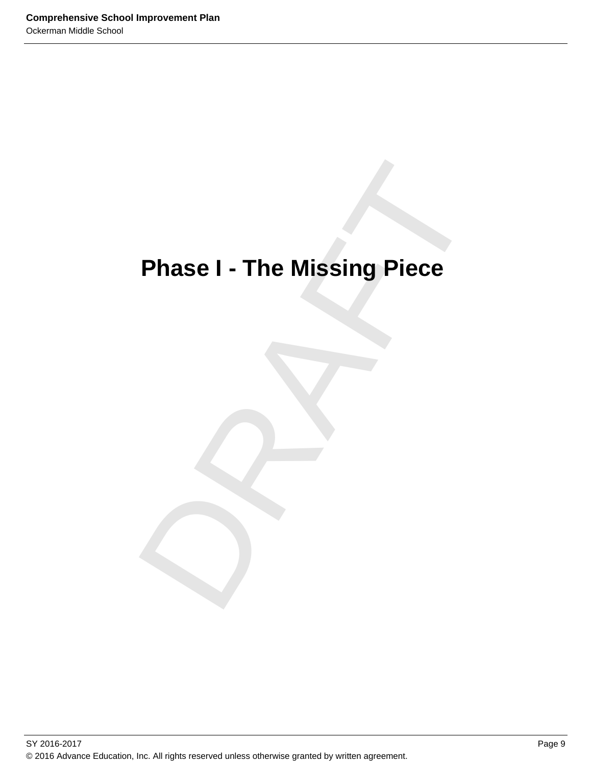# Phase I - The Missing Piece **Phase I - The Missing Piece**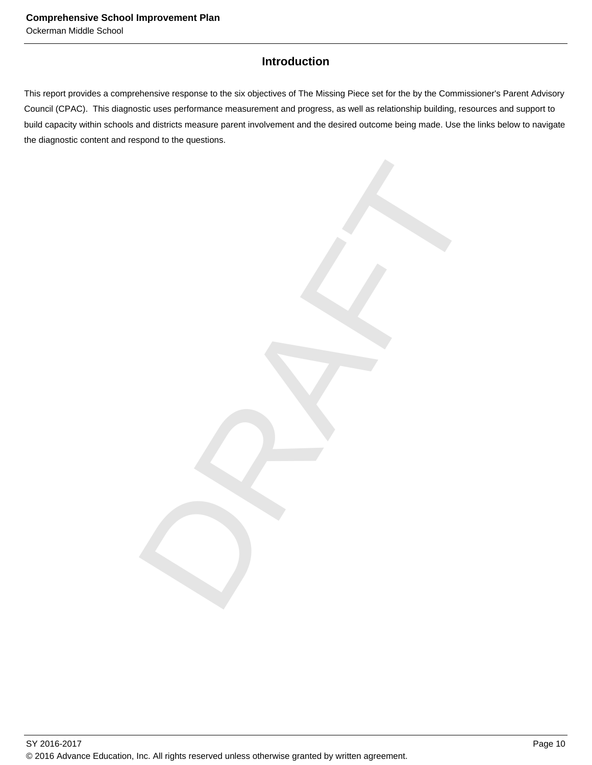### **Introduction**

This report provides a comprehensive response to the six objectives of The Missing Piece set for the by the Commissioner's Parent Advisory Council (CPAC). This diagnostic uses performance measurement and progress, as well as relationship building, resources and support to build capacity within schools and districts measure parent involvement and the desired outcome being made. Use the links below to navigate the diagnostic content and respond to the questions.

DRAFT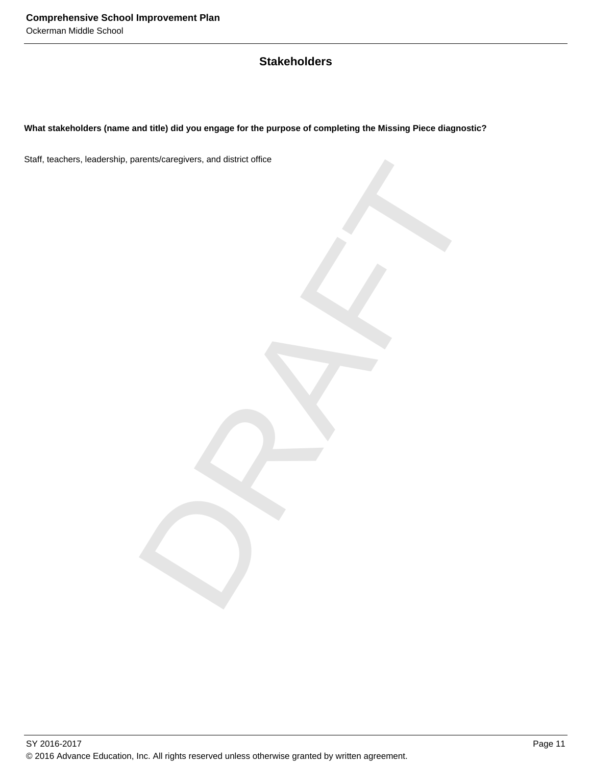### **Stakeholders**

### **What stakeholders (name and title) did you engage for the purpose of completing the Missing Piece diagnostic?**

DRAFT Staff, teachers, leadership, parents/caregivers, and district office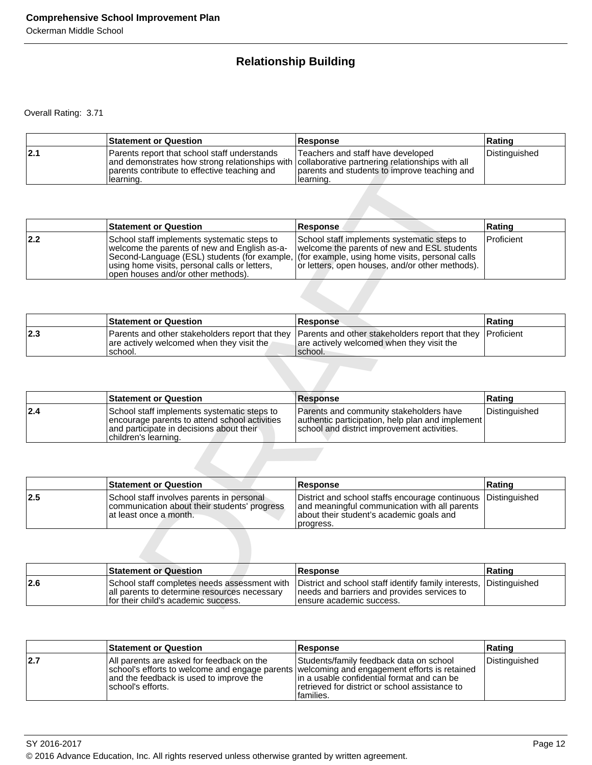### **Relationship Building**

|     | <b>Statement or Question</b>                                                                                                                                                                                 | Response                                                                                       | Rating        |
|-----|--------------------------------------------------------------------------------------------------------------------------------------------------------------------------------------------------------------|------------------------------------------------------------------------------------------------|---------------|
| 2.1 | Parents report that school staff understands<br>and demonstrates how strong relationships with collaborative partnering relationships with all<br>parents contribute to effective teaching and<br>Ilearning. | Teachers and staff have developed<br>parents and students to improve teaching and<br>learning. | Distinguished |

|     | and demonstrates how strong relationships with collaborative partnering relationships with all<br>parents contribute to effective teaching and<br>learning.                                                                        | parents and students to improve teaching and<br>learning.                                                                                                                                        |               |
|-----|------------------------------------------------------------------------------------------------------------------------------------------------------------------------------------------------------------------------------------|--------------------------------------------------------------------------------------------------------------------------------------------------------------------------------------------------|---------------|
|     |                                                                                                                                                                                                                                    |                                                                                                                                                                                                  |               |
|     | <b>Statement or Question</b>                                                                                                                                                                                                       | Response                                                                                                                                                                                         | Rating        |
| 2.2 | School staff implements systematic steps to<br>welcome the parents of new and English as-a-<br>Second-Language (ESL) students (for example,<br>using home visits, personal calls or letters,<br>open houses and/or other methods). | School staff implements systematic steps to<br>welcome the parents of new and ESL students<br>(for example, using home visits, personal calls<br>or letters, open houses, and/or other methods). | Proficient    |
|     |                                                                                                                                                                                                                                    |                                                                                                                                                                                                  |               |
|     | <b>Statement or Question</b>                                                                                                                                                                                                       | <b>Response</b>                                                                                                                                                                                  | Rating        |
| 2.3 | Parents and other stakeholders report that they<br>are actively welcomed when they visit the<br>school.                                                                                                                            | Parents and other stakeholders report that they<br>are actively welcomed when they visit the<br>school.                                                                                          | Proficient    |
|     |                                                                                                                                                                                                                                    |                                                                                                                                                                                                  |               |
|     | <b>Statement or Question</b>                                                                                                                                                                                                       | <b>Response</b>                                                                                                                                                                                  | Rating        |
| 2.4 | School staff implements systematic steps to<br>encourage parents to attend school activities<br>and participate in decisions about their<br>children's learning.                                                                   | Parents and community stakeholders have<br>authentic participation, help plan and implement<br>school and district improvement activities.                                                       | Distinguished |
|     |                                                                                                                                                                                                                                    |                                                                                                                                                                                                  |               |
|     | <b>Statement or Question</b>                                                                                                                                                                                                       | Response                                                                                                                                                                                         | Rating        |
| 2.5 | School staff involves parents in personal<br>communication about their students' progress<br>at least once a month.                                                                                                                | District and school staffs encourage continuous<br>and meaningful communication with all parents<br>about their student's academic goals and<br>progress.                                        | Distinguished |
|     |                                                                                                                                                                                                                                    |                                                                                                                                                                                                  |               |
|     | <b>Statement or Question</b>                                                                                                                                                                                                       | <b>Response</b>                                                                                                                                                                                  | Rating        |
| 2.6 | School staff completes needs assessment with<br>all parents to determine resources necessary<br>for their child's academic success.                                                                                                | District and school staff identify family interests,<br>needs and barriers and provides services to<br>ensure academic success.                                                                  | Distinguished |

|     | <b>Statement or Question</b>                          | <b>Response</b>                                                                                                                                                     | ∣Ratinɑ |
|-----|-------------------------------------------------------|---------------------------------------------------------------------------------------------------------------------------------------------------------------------|---------|
| 2.3 | are actively welcomed when they visit the<br>Ischool. | Parents and other stakeholders report that they Parents and other stakeholders report that they Proficient<br>are actively welcomed when they visit the<br>Ischool. |         |

|     | <b>Statement or Question</b>                                                                                                                                     | Response                                                                                                                                          | Rating        |
|-----|------------------------------------------------------------------------------------------------------------------------------------------------------------------|---------------------------------------------------------------------------------------------------------------------------------------------------|---------------|
| 2.4 | School staff implements systematic steps to<br>encourage parents to attend school activities<br>and participate in decisions about their<br>children's learning. | <b>Parents and community stakeholders have</b><br>authentic participation, help plan and implement<br>school and district improvement activities. | Distinguished |

|      | <b>Statement or Question</b>                                                                                        | <b>Response</b>                                                                                                                                                         | <b>Rating</b> |
|------|---------------------------------------------------------------------------------------------------------------------|-------------------------------------------------------------------------------------------------------------------------------------------------------------------------|---------------|
| 12.5 | School staff involves parents in personal<br>communication about their students' progress<br>at least once a month. | District and school staffs encourage continuous Distinguished<br>and meaningful communication with all parents<br>about their student's academic goals and<br>progress. |               |

|     | <b>Statement or Question</b>                                                                                                          | <b>Response</b>                                                                                                                                | ∣Ratinq |
|-----|---------------------------------------------------------------------------------------------------------------------------------------|------------------------------------------------------------------------------------------------------------------------------------------------|---------|
| 2.6 | School staff completes needs assessment with<br>all parents to determine resources necessary<br>If or their child's academic success. | District and school staff identify family interests, Distinguished<br>needs and barriers and provides services to<br>Tensure academic success. |         |

|     | <b>Statement or Question</b>                                                                                                                                                                               | <b>Response</b>                                                                                                                                         | Rating        |
|-----|------------------------------------------------------------------------------------------------------------------------------------------------------------------------------------------------------------|---------------------------------------------------------------------------------------------------------------------------------------------------------|---------------|
| 2.7 | All parents are asked for feedback on the<br>school's efforts to welcome and engage parents welcoming and engagement efforts is retained<br>land the feedback is used to improve the<br>Ischool's efforts. | Students/family feedback data on school<br>lin a usable confidential format and can be<br>Tretrieved for district or school assistance to<br>Ifamilies. | Distinguished |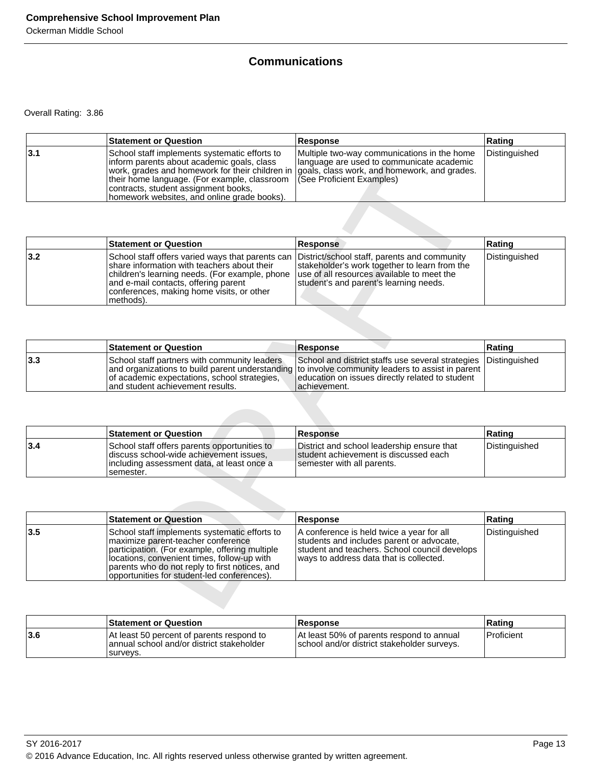### **Communications**

|     | <b>Statement or Question</b>                                                                                                                                                                                                                                                                                                                                   | <b>Response</b>                                                                           | Rating        |
|-----|----------------------------------------------------------------------------------------------------------------------------------------------------------------------------------------------------------------------------------------------------------------------------------------------------------------------------------------------------------------|-------------------------------------------------------------------------------------------|---------------|
| 3.1 | School staff implements systematic efforts to<br>Inform parents about academic goals, class<br>work, grades and homework for their children in goals, class work, and homework, and grades.<br>their home language. (For example, classroom   (See Proficient Examples)<br>contracts, student assignment books,<br>homework websites, and online grade books). | Multiple two-way communications in the home<br>Ilanguage are used to communicate academic | Distinguished |

|     | <b>Statement or Question</b>                                                                                                                                                                                                                                                                                                                    | <b>Response</b>                                                                         | Rating        |
|-----|-------------------------------------------------------------------------------------------------------------------------------------------------------------------------------------------------------------------------------------------------------------------------------------------------------------------------------------------------|-----------------------------------------------------------------------------------------|---------------|
| 3.2 | School staff offers varied ways that parents can District/school staff, parents and community<br>Ishare information with teachers about their<br>children's learning needs. (For example, phone   use of all resources available to meet the<br>and e-mail contacts, offering parent<br>conferences, making home visits, or other<br> methods). | stakeholder's work together to learn from the<br>student's and parent's learning needs. | Distinguished |

|     | <b>Statement or Question</b>                                                                                                     | <b>IResponse</b>                                                                                                                                                                                                                          | ∣Ratinɑ |
|-----|----------------------------------------------------------------------------------------------------------------------------------|-------------------------------------------------------------------------------------------------------------------------------------------------------------------------------------------------------------------------------------------|---------|
| 3.3 | School staff partners with community leaders<br>of academic expectations, school strategies,<br>and student achievement results. | School and district staffs use several strategies Distinguished<br>  and organizations to build parent understanding to involve community leaders to assist in parent<br>education on issues directly related to student<br>lachievement. |         |

|     | <b>Statement or Question</b>                                                                                                                         | <b>Response</b>                                                                                                      | Ratinɑ        |
|-----|------------------------------------------------------------------------------------------------------------------------------------------------------|----------------------------------------------------------------------------------------------------------------------|---------------|
| 3.4 | School staff offers parents opportunities to<br>discuss school-wide achievement issues.<br>lincluding assessment data, at least once a<br>Isemester. | District and school leadership ensure that<br>Istudent achievement is discussed each<br>I semester with all parents. | Distinguished |

|     | inform parents about academic goals, class<br>work, grades and homework for their children in<br>their home language. (For example, classroom<br>contracts, student assignment books,<br>homework websites, and online grade books).                                                  | language are used to communicate academic<br>goals, class work, and homework, and grades.<br>(See Proficient Examples)                                                                |               |
|-----|---------------------------------------------------------------------------------------------------------------------------------------------------------------------------------------------------------------------------------------------------------------------------------------|---------------------------------------------------------------------------------------------------------------------------------------------------------------------------------------|---------------|
|     |                                                                                                                                                                                                                                                                                       |                                                                                                                                                                                       |               |
|     | <b>Statement or Question</b>                                                                                                                                                                                                                                                          | Response                                                                                                                                                                              | Rating        |
| 3.2 | School staff offers varied ways that parents can<br>share information with teachers about their<br>children's learning needs. (For example, phone<br>and e-mail contacts, offering parent<br>conferences, making home visits, or other<br>methods).                                   | District/school staff, parents and community<br>stakeholder's work together to learn from the<br>use of all resources available to meet the<br>student's and parent's learning needs. | Distinguished |
|     |                                                                                                                                                                                                                                                                                       |                                                                                                                                                                                       |               |
|     | <b>Statement or Question</b>                                                                                                                                                                                                                                                          | <b>Response</b>                                                                                                                                                                       | Rating        |
| 3.3 | School staff partners with community leaders<br>and organizations to build parent understanding<br>of academic expectations, school strategies,<br>and student achievement results.                                                                                                   | School and district staffs use several strategies<br>to involve community leaders to assist in parent<br>education on issues directly related to student<br>achievement.              | Distinguished |
|     |                                                                                                                                                                                                                                                                                       |                                                                                                                                                                                       |               |
|     | <b>Statement or Question</b>                                                                                                                                                                                                                                                          | <b>Response</b>                                                                                                                                                                       | Rating        |
| 3.4 | School staff offers parents opportunities to<br>discuss school-wide achievement issues,<br>including assessment data, at least once a<br>semester.                                                                                                                                    | District and school leadership ensure that<br>student achievement is discussed each<br>semester with all parents.                                                                     | Distinguished |
|     |                                                                                                                                                                                                                                                                                       |                                                                                                                                                                                       |               |
|     | <b>Statement or Question</b>                                                                                                                                                                                                                                                          | <b>Response</b>                                                                                                                                                                       | Rating        |
| 3.5 | School staff implements systematic efforts to<br>maximize parent-teacher conference<br>participation. (For example, offering multiple<br>locations, convenient times, follow-up with<br>parents who do not reply to first notices, and<br>opportunities for student-led conferences). | A conference is held twice a year for all<br>students and includes parent or advocate,<br>student and teachers. School council develops<br>ways to address data that is collected.    | Distinguished |
|     |                                                                                                                                                                                                                                                                                       |                                                                                                                                                                                       |               |

|      | <b>Statement or Question</b>                                                                        | <b>Response</b>                                                                          | ⊺Ratinɑ      |
|------|-----------------------------------------------------------------------------------------------------|------------------------------------------------------------------------------------------|--------------|
| ∣3.6 | At least 50 percent of parents respond to<br>annual school and/or district stakeholder<br>Isurveys. | At least 50% of parents respond to annual<br>school and/or district stakeholder surveys. | l Proficient |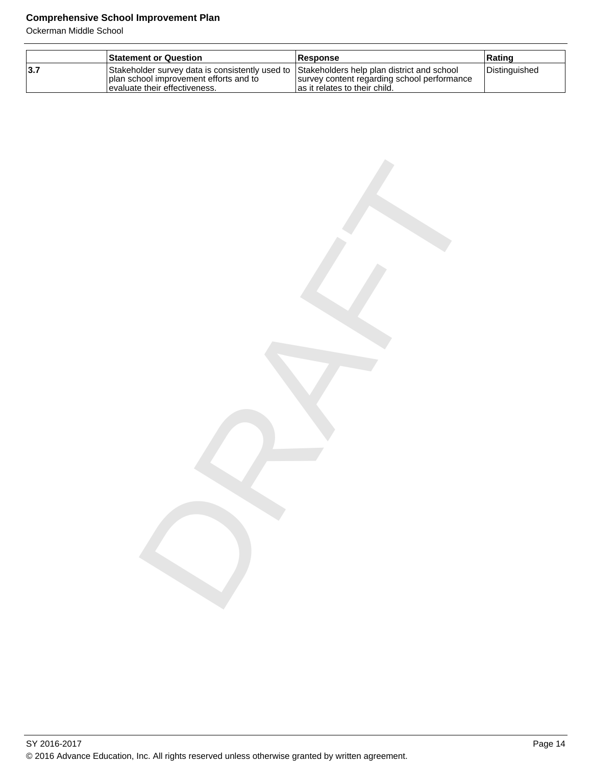Ockerman Middle School

|     | <b>Statement or Question</b>                                                                                                                                             | <b>Response</b>                                                               | ∣Ratinq       |
|-----|--------------------------------------------------------------------------------------------------------------------------------------------------------------------------|-------------------------------------------------------------------------------|---------------|
| 3.7 | Stakeholder survey data is consistently used to Stakeholders help plan district and school<br>I plan school improvement efforts and to<br>levaluate their effectiveness. | survey content regarding school performance<br>las it relates to their child. | Distinguished |

DRAFT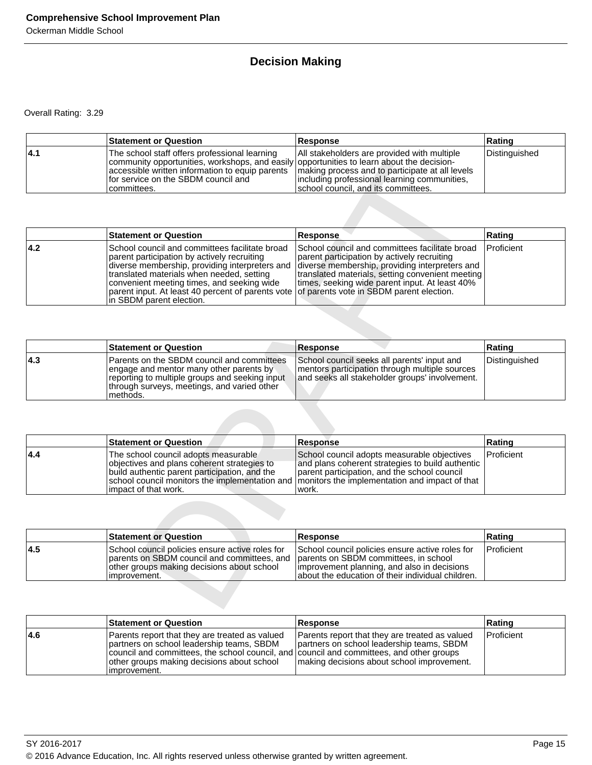### **Decision Making**

|      | <b>Statement or Question</b>                                                                                                                                                                                                                                                                           | <b>Response</b>                                                                                                                    | Rating        |
|------|--------------------------------------------------------------------------------------------------------------------------------------------------------------------------------------------------------------------------------------------------------------------------------------------------------|------------------------------------------------------------------------------------------------------------------------------------|---------------|
| 14.1 | The school staff offers professional learning<br>community opportunities, workshops, and easily opportunities to learn about the decision-<br>accessible written information to equip parents   making process and to participate at all levels<br>for service on the SBDM council and<br>Icommittees. | All stakeholders are provided with multiple<br>including professional learning communities,<br>school council, and its committees. | Distinguished |

|     | community opportunities, workshops, and easily opportunities to learn about the decision-<br>accessible written information to equip parents<br>for service on the SBDM council and<br>committees.                                                                                                                          | making process and to participate at all levels<br>including professional learning communities,<br>school council, and its committees.                                                                                                                                                            |               |
|-----|-----------------------------------------------------------------------------------------------------------------------------------------------------------------------------------------------------------------------------------------------------------------------------------------------------------------------------|---------------------------------------------------------------------------------------------------------------------------------------------------------------------------------------------------------------------------------------------------------------------------------------------------|---------------|
|     |                                                                                                                                                                                                                                                                                                                             |                                                                                                                                                                                                                                                                                                   |               |
|     | <b>Statement or Question</b>                                                                                                                                                                                                                                                                                                | <b>Response</b>                                                                                                                                                                                                                                                                                   | Rating        |
| 4.2 | School council and committees facilitate broad<br>parent participation by actively recruiting<br>diverse membership, providing interpreters and<br>translated materials when needed, setting<br>convenient meeting times, and seeking wide<br>parent input. At least 40 percent of parents vote<br>in SBDM parent election. | School council and committees facilitate broad<br>parent participation by actively recruiting<br>diverse membership, providing interpreters and<br>translated materials, setting convenient meeting<br>times, seeking wide parent input. At least 40%<br>of parents vote in SBDM parent election. | Proficient    |
|     |                                                                                                                                                                                                                                                                                                                             |                                                                                                                                                                                                                                                                                                   |               |
|     | <b>Statement or Question</b>                                                                                                                                                                                                                                                                                                | <b>Response</b>                                                                                                                                                                                                                                                                                   | Rating        |
| 4.3 | Parents on the SBDM council and committees<br>engage and mentor many other parents by<br>reporting to multiple groups and seeking input<br>through surveys, meetings, and varied other<br>methods.                                                                                                                          | School council seeks all parents' input and<br>mentors participation through multiple sources<br>and seeks all stakeholder groups' involvement.                                                                                                                                                   | Distinguished |
|     |                                                                                                                                                                                                                                                                                                                             |                                                                                                                                                                                                                                                                                                   |               |
|     | <b>Statement or Question</b>                                                                                                                                                                                                                                                                                                | <b>Response</b>                                                                                                                                                                                                                                                                                   | Rating        |
| 4.4 | The school council adopts measurable<br>objectives and plans coherent strategies to<br>build authentic parent participation, and the<br>school council monitors the implementation and<br>impact of that work.                                                                                                              | School council adopts measurable objectives<br>and plans coherent strategies to build authentic<br>parent participation, and the school council<br>monitors the implementation and impact of that<br>work.                                                                                        | Proficient    |
|     |                                                                                                                                                                                                                                                                                                                             |                                                                                                                                                                                                                                                                                                   |               |
|     | <b>Statement or Question</b>                                                                                                                                                                                                                                                                                                | <b>Response</b>                                                                                                                                                                                                                                                                                   | Rating        |
| 4.5 | School council policies ensure active roles for<br>parents on SBDM council and committees, and<br>other groups making decisions about school<br>improvement.                                                                                                                                                                | School council policies ensure active roles for<br>parents on SBDM committees, in school<br>improvement planning, and also in decisions<br>about the education of their individual children.                                                                                                      | Proficient    |
|     |                                                                                                                                                                                                                                                                                                                             |                                                                                                                                                                                                                                                                                                   |               |

|      | <b>Statement or Question</b>                                                                                                                                                                       | <b>Response</b>                                                                                                                                 | Rating        |
|------|----------------------------------------------------------------------------------------------------------------------------------------------------------------------------------------------------|-------------------------------------------------------------------------------------------------------------------------------------------------|---------------|
| 14.3 | Parents on the SBDM council and committees<br>engage and mentor many other parents by<br>reporting to multiple groups and seeking input<br>through surveys, meetings, and varied other<br>methods. | School council seeks all parents' input and<br>mentors participation through multiple sources<br>and seeks all stakeholder groups' involvement. | Distinguished |

|     | <b>Statement or Question</b>                                                                                                                                                                                                                                    | <b>Response</b>                                                                                                                                          | Rating            |
|-----|-----------------------------------------------------------------------------------------------------------------------------------------------------------------------------------------------------------------------------------------------------------------|----------------------------------------------------------------------------------------------------------------------------------------------------------|-------------------|
| 4.4 | The school council adopts measurable<br>objectives and plans coherent strategies to<br>build authentic parent participation, and the<br>school council monitors the implementation and Imonitors the implementation and impact of that<br>limpact of that work. | School council adopts measurable objectives<br>and plans coherent strategies to build authentic<br>parent participation, and the school council<br>work. | <b>Proficient</b> |

|     | <b>Statement or Question</b>                                                                                                                                                                        | <b>Response</b>                                                                                                                                      | Rating            |
|-----|-----------------------------------------------------------------------------------------------------------------------------------------------------------------------------------------------------|------------------------------------------------------------------------------------------------------------------------------------------------------|-------------------|
| 4.5 | School council policies ensure active roles for<br>parents on SBDM council and committees, and parents on SBDM committees, in school<br>other groups making decisions about school<br>limprovement. | School council policies ensure active roles for<br>Improvement planning, and also in decisions<br>labout the education of their individual children. | <b>Proficient</b> |

|      | <b>Statement or Question</b>                                                                                                                                                                                                                           | <b>Response</b>                                                                                                                             | ∣Ratinɑ    |
|------|--------------------------------------------------------------------------------------------------------------------------------------------------------------------------------------------------------------------------------------------------------|---------------------------------------------------------------------------------------------------------------------------------------------|------------|
| 14.6 | Parents report that they are treated as valued<br>partners on school leadership teams, SBDM<br>council and committees, the school council, and council and committees, and other groups<br>other groups making decisions about school<br>limprovement. | Parents report that they are treated as valued<br>Dartners on school leadership teams. SBDM<br>I making decisions about school improvement. | Proficient |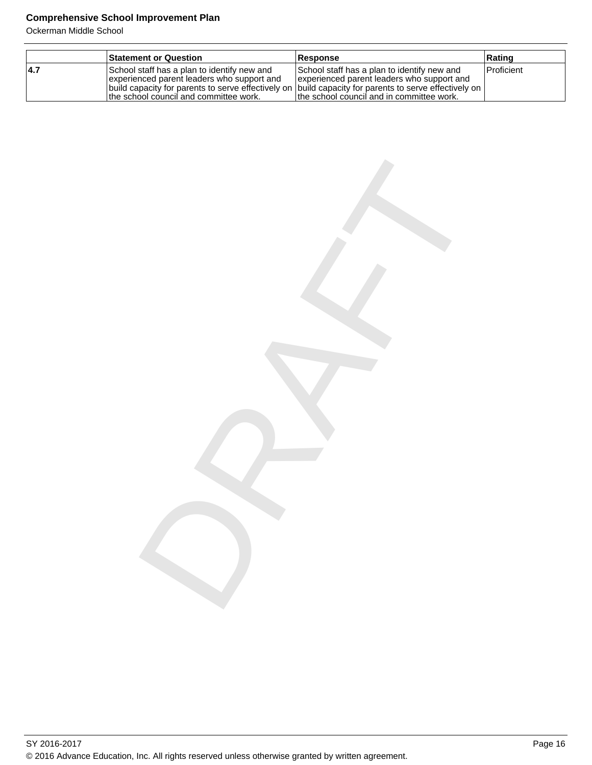Ockerman Middle School

|      | <b>Statement or Question</b>                                                                                                                                                                                                                     | <b>Response</b>                                                                                                                         | Rating       |
|------|--------------------------------------------------------------------------------------------------------------------------------------------------------------------------------------------------------------------------------------------------|-----------------------------------------------------------------------------------------------------------------------------------------|--------------|
| 14.7 | School staff has a plan to identify new and<br>experienced parent leaders who support and<br> build capacity for parents to serve effectively on  build capacity for parents to serve effectively on  <br>the school council and committee work. | School staff has a plan to identify new and<br>experienced parent leaders who support and<br>Ithe school council and in committee work. | l Proficient |

DRAFT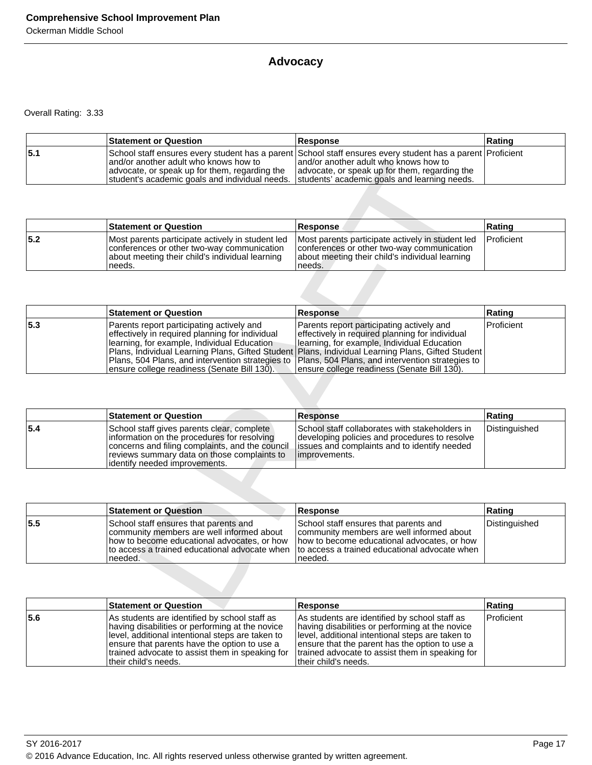### **Advocacy**

|     | <b>Statement or Question</b>                                                                                                                                                           | <b>Response</b>                                                                                                                                                                                       | Rating |
|-----|----------------------------------------------------------------------------------------------------------------------------------------------------------------------------------------|-------------------------------------------------------------------------------------------------------------------------------------------------------------------------------------------------------|--------|
| 5.1 | land/or another adult who knows how to<br>advocate, or speak up for them, regarding the<br>student's academic goals and individual needs. Students' academic goals and learning needs. | School staff ensures every student has a parent School staff ensures every student has a parent Proficient<br>land/or another adult who knows how to<br>advocate, or speak up for them, regarding the |        |

|      | <b>Statement or Question</b>                                                                                                                                 | <b>Response</b>                                                                                                                                             | ∣Ratinɑ           |
|------|--------------------------------------------------------------------------------------------------------------------------------------------------------------|-------------------------------------------------------------------------------------------------------------------------------------------------------------|-------------------|
| 15.2 | Most parents participate actively in student led<br>conferences or other two-way communication<br>about meeting their child's individual learning<br>'needs. | Most parents participate actively in student led<br>conferences or other two-way communication<br>about meeting their child's individual learning<br>needs. | <b>Proficient</b> |

|     | and/or another adult who knows how to<br>advocate, or speak up for them, regarding the<br>student's academic goals and individual needs.                                                                                                                                                           | and/or another adult who knows how to<br>advocate, or speak up for them, regarding the<br>students' academic goals and learning needs.                                                                                                                                                             |               |
|-----|----------------------------------------------------------------------------------------------------------------------------------------------------------------------------------------------------------------------------------------------------------------------------------------------------|----------------------------------------------------------------------------------------------------------------------------------------------------------------------------------------------------------------------------------------------------------------------------------------------------|---------------|
|     |                                                                                                                                                                                                                                                                                                    |                                                                                                                                                                                                                                                                                                    |               |
|     | <b>Statement or Question</b>                                                                                                                                                                                                                                                                       | Response                                                                                                                                                                                                                                                                                           | Rating        |
| 5.2 | Most parents participate actively in student led<br>conferences or other two-way communication<br>about meeting their child's individual learning<br>needs.                                                                                                                                        | Most parents participate actively in student led<br>conferences or other two-way communication<br>about meeting their child's individual learning<br>needs.                                                                                                                                        | Proficient    |
|     |                                                                                                                                                                                                                                                                                                    |                                                                                                                                                                                                                                                                                                    |               |
|     | <b>Statement or Question</b>                                                                                                                                                                                                                                                                       | <b>Response</b>                                                                                                                                                                                                                                                                                    | Rating        |
| 5.3 | Parents report participating actively and<br>effectively in required planning for individual<br>learning, for example, Individual Education<br>Plans, Individual Learning Plans, Gifted Student<br>Plans, 504 Plans, and intervention strategies to<br>ensure college readiness (Senate Bill 130). | Parents report participating actively and<br>effectively in required planning for individual<br>learning, for example, Individual Education<br>Plans, Individual Learning Plans, Gifted Student<br>Plans, 504 Plans, and intervention strategies to<br>ensure college readiness (Senate Bill 130). | Proficient    |
|     |                                                                                                                                                                                                                                                                                                    |                                                                                                                                                                                                                                                                                                    |               |
|     | <b>Statement or Question</b>                                                                                                                                                                                                                                                                       | <b>Response</b>                                                                                                                                                                                                                                                                                    | Rating        |
| 5.4 | School staff gives parents clear, complete<br>information on the procedures for resolving<br>concerns and filing complaints, and the council<br>reviews summary data on those complaints to<br>identify needed improvements.                                                                       | School staff collaborates with stakeholders in<br>developing policies and procedures to resolve<br>issues and complaints and to identify needed<br>improvements.                                                                                                                                   | Distinguished |
|     |                                                                                                                                                                                                                                                                                                    |                                                                                                                                                                                                                                                                                                    |               |
|     | <b>Statement or Question</b>                                                                                                                                                                                                                                                                       | Response                                                                                                                                                                                                                                                                                           | Rating        |
| 5.5 | School staff ensures that parents and<br>community members are well informed about<br>how to become educational advocates, or how<br>to access a trained educational advocate when<br>needed.                                                                                                      | School staff ensures that parents and<br>community members are well informed about<br>how to become educational advocates, or how<br>to access a trained educational advocate when<br>needed.                                                                                                      | Distinguished |
|     |                                                                                                                                                                                                                                                                                                    |                                                                                                                                                                                                                                                                                                    |               |
|     | <b>Statement or Question</b>                                                                                                                                                                                                                                                                       | <b>Response</b>                                                                                                                                                                                                                                                                                    | Rating        |

|     | <b>Statement or Question</b>                                                                                                                                                                                                  | <b>Response</b>                                                                                                                                                   | Rating        |
|-----|-------------------------------------------------------------------------------------------------------------------------------------------------------------------------------------------------------------------------------|-------------------------------------------------------------------------------------------------------------------------------------------------------------------|---------------|
| 5.4 | School staff gives parents clear, complete<br>information on the procedures for resolving<br>concerns and filing complaints, and the council<br>reviews summary data on those complaints to<br>lidentify needed improvements. | School staff collaborates with stakeholders in<br>developing policies and procedures to resolve<br>issues and complaints and to identify needed<br>limprovements. | Distinguished |

|     | <b>Statement or Question</b>                                                                                                                                                                    | <b>Response</b>                                                                                                                                                                                  | Rating        |
|-----|-------------------------------------------------------------------------------------------------------------------------------------------------------------------------------------------------|--------------------------------------------------------------------------------------------------------------------------------------------------------------------------------------------------|---------------|
| 5.5 | School staff ensures that parents and<br>community members are well informed about<br>Thow to become educational advocates, or how<br>Ito access a trained educational advocate when<br>needed. | School staff ensures that parents and<br>community members are well informed about<br>Thow to become educational advocates, or how<br>Ito access a trained educational advocate when<br>Ineeded. | Distinguished |

|     | <b>Statement or Question</b>                                                                                                                                                                                                                                                     | <b>Response</b>                                                                                                                                                                                                                                                                    | Rating            |
|-----|----------------------------------------------------------------------------------------------------------------------------------------------------------------------------------------------------------------------------------------------------------------------------------|------------------------------------------------------------------------------------------------------------------------------------------------------------------------------------------------------------------------------------------------------------------------------------|-------------------|
| 5.6 | As students are identified by school staff as<br>having disabilities or performing at the novice<br>level, additional intentional steps are taken to<br>ensure that parents have the option to use a<br>trained advocate to assist them in speaking for<br>Itheir child's needs. | As students are identified by school staff as<br>having disabilities or performing at the novice<br>level, additional intentional steps are taken to<br>ensure that the parent has the option to use a<br>trained advocate to assist them in speaking for<br>ltheir child's needs. | <b>Proficient</b> |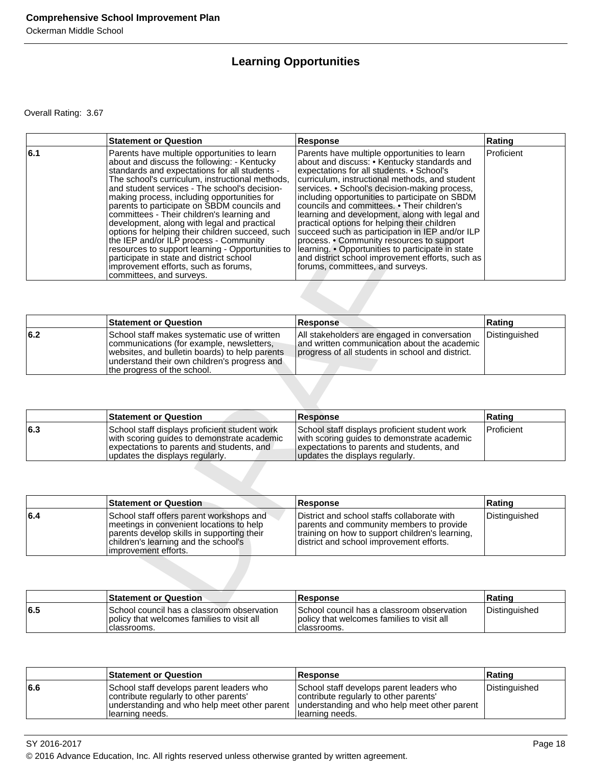### **Learning Opportunities**

|     | <b>Statement or Question</b>                                                                                                                                                                                                                                                                                                                                                                                                                                                                                                                                                                                                                                                                                  | <b>Response</b>                                                                                                                                                                                                                                                                                                                                                                                                                                                                                                                                                                                                                                                                             | Rating         |
|-----|---------------------------------------------------------------------------------------------------------------------------------------------------------------------------------------------------------------------------------------------------------------------------------------------------------------------------------------------------------------------------------------------------------------------------------------------------------------------------------------------------------------------------------------------------------------------------------------------------------------------------------------------------------------------------------------------------------------|---------------------------------------------------------------------------------------------------------------------------------------------------------------------------------------------------------------------------------------------------------------------------------------------------------------------------------------------------------------------------------------------------------------------------------------------------------------------------------------------------------------------------------------------------------------------------------------------------------------------------------------------------------------------------------------------|----------------|
| 6.1 | Parents have multiple opportunities to learn<br>about and discuss the following: - Kentucky<br>standards and expectations for all students -<br>The school's curriculum, instructional methods,<br>and student services - The school's decision-<br>making process, including opportunities for<br>parents to participate on SBDM councils and<br>committees - Their children's learning and<br>development, along with legal and practical<br>options for helping their children succeed, such<br>the IEP and/or ILP process - Community<br>resources to support learning - Opportunities to<br>participate in state and district school<br>improvement efforts, such as forums,<br>committees, and surveys. | Parents have multiple opportunities to learn<br>about and discuss: • Kentucky standards and<br>expectations for all students. • School's<br>curriculum, instructional methods, and student<br>services. • School's decision-making process,<br>including opportunities to participate on SBDM<br>councils and committees. • Their children's<br>learning and development, along with legal and<br>practical options for helping their children<br>succeed such as participation in IEP and/or ILP<br>process. • Community resources to support<br>learning. • Opportunities to participate in state<br>and district school improvement efforts, such as<br>forums, committees, and surveys. | Proficient     |
|     |                                                                                                                                                                                                                                                                                                                                                                                                                                                                                                                                                                                                                                                                                                               |                                                                                                                                                                                                                                                                                                                                                                                                                                                                                                                                                                                                                                                                                             |                |
|     | <b>Statement or Question</b>                                                                                                                                                                                                                                                                                                                                                                                                                                                                                                                                                                                                                                                                                  | <b>Response</b>                                                                                                                                                                                                                                                                                                                                                                                                                                                                                                                                                                                                                                                                             | Rating         |
| 6.2 | School staff makes systematic use of written<br>communications (for example, newsletters,<br>websites, and bulletin boards) to help parents<br>understand their own children's progress and<br>the progress of the school.                                                                                                                                                                                                                                                                                                                                                                                                                                                                                    | All stakeholders are engaged in conversation<br>and written communication about the academic<br>progress of all students in school and district.                                                                                                                                                                                                                                                                                                                                                                                                                                                                                                                                            | Distinguished  |
|     | <b>Statement or Question</b>                                                                                                                                                                                                                                                                                                                                                                                                                                                                                                                                                                                                                                                                                  | <b>Response</b>                                                                                                                                                                                                                                                                                                                                                                                                                                                                                                                                                                                                                                                                             | Rating         |
| 6.3 | School staff displays proficient student work<br>with scoring guides to demonstrate academic<br>expectations to parents and students, and<br>updates the displays regularly.                                                                                                                                                                                                                                                                                                                                                                                                                                                                                                                                  | School staff displays proficient student work<br>with scoring guides to demonstrate academic<br>expectations to parents and students, and<br>updates the displays regularly.                                                                                                                                                                                                                                                                                                                                                                                                                                                                                                                | Proficient     |
|     |                                                                                                                                                                                                                                                                                                                                                                                                                                                                                                                                                                                                                                                                                                               |                                                                                                                                                                                                                                                                                                                                                                                                                                                                                                                                                                                                                                                                                             |                |
|     | <b>Statement or Question</b>                                                                                                                                                                                                                                                                                                                                                                                                                                                                                                                                                                                                                                                                                  | <b>Response</b>                                                                                                                                                                                                                                                                                                                                                                                                                                                                                                                                                                                                                                                                             | Rating         |
| 6.4 | School staff offers parent workshops and<br>meetings in convenient locations to help<br>parents develop skills in supporting their<br>children's learning and the school's<br>improvement efforts.                                                                                                                                                                                                                                                                                                                                                                                                                                                                                                            | District and school staffs collaborate with<br>parents and community members to provide<br>training on how to support children's learning,<br>district and school improvement efforts.                                                                                                                                                                                                                                                                                                                                                                                                                                                                                                      | Distinguished  |
|     |                                                                                                                                                                                                                                                                                                                                                                                                                                                                                                                                                                                                                                                                                                               |                                                                                                                                                                                                                                                                                                                                                                                                                                                                                                                                                                                                                                                                                             |                |
|     | <b>Statement or Question</b>                                                                                                                                                                                                                                                                                                                                                                                                                                                                                                                                                                                                                                                                                  | <b>Response</b>                                                                                                                                                                                                                                                                                                                                                                                                                                                                                                                                                                                                                                                                             | Rating         |
| r F | Oshaal aa wadii kaa a alaaanaan ah                                                                                                                                                                                                                                                                                                                                                                                                                                                                                                                                                                                                                                                                            | Cahaal saupail haa a slaasvaam ahaamistis                                                                                                                                                                                                                                                                                                                                                                                                                                                                                                                                                                                                                                                   | Distinguished. |

|     | <b>Statement or Question</b>                                                                                                                                                                                                | <b>Response</b>                                                                                                                                  | ∣Ratinɑ       |
|-----|-----------------------------------------------------------------------------------------------------------------------------------------------------------------------------------------------------------------------------|--------------------------------------------------------------------------------------------------------------------------------------------------|---------------|
| 6.2 | School staff makes systematic use of written<br>communications (for example, newsletters,<br>websites, and bulletin boards) to help parents<br>understand their own children's progress and<br>Ithe progress of the school. | All stakeholders are engaged in conversation<br>and written communication about the academic<br>progress of all students in school and district. | Distinguished |

|     | <b>Statement or Question</b>                                                                                                                                                 | <b>Response</b>                                                                                                                                                              | Rating            |
|-----|------------------------------------------------------------------------------------------------------------------------------------------------------------------------------|------------------------------------------------------------------------------------------------------------------------------------------------------------------------------|-------------------|
| 6.3 | School staff displays proficient student work<br>with scoring guides to demonstrate academic<br>expectations to parents and students, and<br>updates the displays regularly. | School staff displays proficient student work<br>with scoring guides to demonstrate academic<br>expectations to parents and students, and<br>updates the displays regularly. | <b>Proficient</b> |

|     | <b>Statement or Question</b>                                                                                                                                                                         | <b>Response</b>                                                                                                                                                                         | Rating        |
|-----|------------------------------------------------------------------------------------------------------------------------------------------------------------------------------------------------------|-----------------------------------------------------------------------------------------------------------------------------------------------------------------------------------------|---------------|
| 6.4 | School staff offers parent workshops and<br>Imeetings in convenient locations to help<br>parents develop skills in supporting their<br>children's learning and the school's<br>limprovement efforts. | District and school staffs collaborate with<br>parents and community members to provide<br>training on how to support children's learning,<br>Idistrict and school improvement efforts. | Distinguished |

|     | <b>Statement or Question</b>                                                                              | <b>Response</b>                                                                                           | Ratinq               |
|-----|-----------------------------------------------------------------------------------------------------------|-----------------------------------------------------------------------------------------------------------|----------------------|
| 6.5 | ISchool council has a classroom observation<br>policy that welcomes families to visit all<br>Iclassrooms. | I School council has a classroom observation<br>policy that welcomes families to visit all<br>classrooms. | <i>Distinguished</i> |

|     | <b>Statement or Question</b>                                                                                                                           | <b>Response</b>                                                                                                                                        | Rating        |
|-----|--------------------------------------------------------------------------------------------------------------------------------------------------------|--------------------------------------------------------------------------------------------------------------------------------------------------------|---------------|
| 6.6 | School staff develops parent leaders who<br>contribute regularly to other parents'<br>understanding and who help meet other parent<br>Ilearning needs. | School staff develops parent leaders who<br>contribute regularly to other parents'<br>understanding and who help meet other parent<br>Ilearning needs. | Distinguished |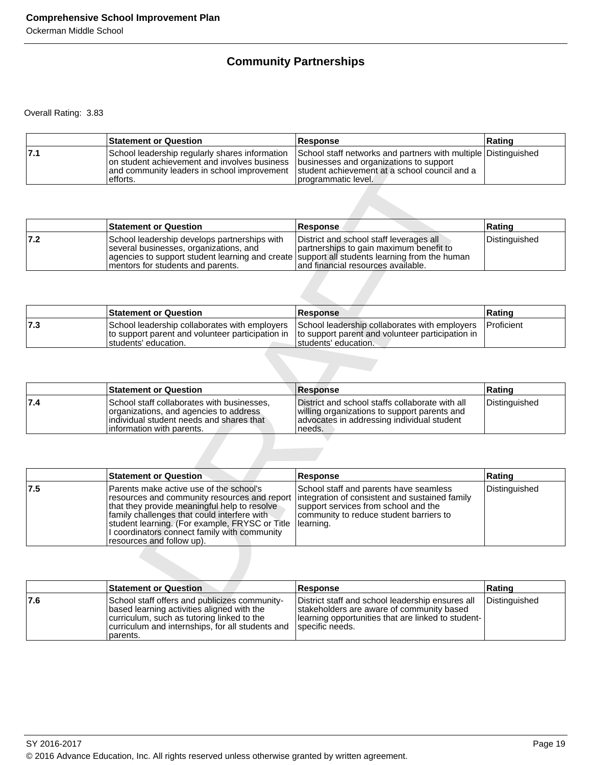### **Community Partnerships**

|     | <b>Statement or Question</b>                                                                                                                              | <b>Response</b>                                                                                                                                                                   | Rating |
|-----|-----------------------------------------------------------------------------------------------------------------------------------------------------------|-----------------------------------------------------------------------------------------------------------------------------------------------------------------------------------|--------|
| 7.1 | School leadership regularly shares information<br>on student achievement and involves business<br>and community leaders in school improvement<br>efforts. | School staff networks and partners with multiple Distinguished<br>businesses and organizations to support<br>student achievement at a school council and a<br>programmatic level. |        |

|     | <b>Statement or Question</b>                                                                                                                                                                                                  | <b>Response</b>                                                                                                           | ∣Ratinɑ       |
|-----|-------------------------------------------------------------------------------------------------------------------------------------------------------------------------------------------------------------------------------|---------------------------------------------------------------------------------------------------------------------------|---------------|
| 7.2 | School leadership develops partnerships with<br>several businesses, organizations, and<br>agencies to support student learning and create support all students learning from the human<br>I mentors for students and parents. | District and school staff leverages all<br>partnerships to gain maximum benefit to<br>land financial resources available. | Distinguished |

|      | <b>Statement or Question</b>                                                                                               | <b>Response</b>                                                                                                            | ∣Ratinɑ            |
|------|----------------------------------------------------------------------------------------------------------------------------|----------------------------------------------------------------------------------------------------------------------------|--------------------|
| ∣7.3 | School leadership collaborates with employers<br>to support parent and volunteer participation in<br>Istudents' education. | School leadership collaborates with employers<br>to support parent and volunteer participation in<br>Istudents' education. | <b>IProficient</b> |

|     | <b>Statement or Question</b>                                                                                                                                   | <b>Response</b>                                                                                                                                         | Rating        |
|-----|----------------------------------------------------------------------------------------------------------------------------------------------------------------|---------------------------------------------------------------------------------------------------------------------------------------------------------|---------------|
| 7.4 | School staff collaborates with businesses,<br>organizations, and agencies to address<br>lindividual student needs and shares that<br>information with parents. | District and school staffs collaborate with all<br>willing organizations to support parents and<br>advocates in addressing individual student<br>needs. | Distinguished |

|     | on student achievement and involves business<br>and community leaders in school improvement<br>efforts.                                                                                                                                                                                                               | businesses and organizations to support<br>student achievement at a school council and a<br>programmatic level.                                                                          |               |
|-----|-----------------------------------------------------------------------------------------------------------------------------------------------------------------------------------------------------------------------------------------------------------------------------------------------------------------------|------------------------------------------------------------------------------------------------------------------------------------------------------------------------------------------|---------------|
|     |                                                                                                                                                                                                                                                                                                                       |                                                                                                                                                                                          |               |
|     | <b>Statement or Question</b>                                                                                                                                                                                                                                                                                          | Response                                                                                                                                                                                 | Rating        |
| 7.2 | School leadership develops partnerships with<br>several businesses, organizations, and<br>agencies to support student learning and create<br>mentors for students and parents.                                                                                                                                        | District and school staff leverages all<br>partnerships to gain maximum benefit to<br>support all students learning from the human<br>and financial resources available.                 | Distinguished |
|     |                                                                                                                                                                                                                                                                                                                       |                                                                                                                                                                                          |               |
|     | <b>Statement or Question</b>                                                                                                                                                                                                                                                                                          | <b>Response</b>                                                                                                                                                                          | Rating        |
| 7.3 | School leadership collaborates with employers<br>to support parent and volunteer participation in<br>students' education.                                                                                                                                                                                             | School leadership collaborates with employers<br>to support parent and volunteer participation in<br>students' education.                                                                | Proficient    |
|     |                                                                                                                                                                                                                                                                                                                       |                                                                                                                                                                                          |               |
|     | <b>Statement or Question</b>                                                                                                                                                                                                                                                                                          | <b>Response</b>                                                                                                                                                                          | Rating        |
| 7.4 | School staff collaborates with businesses,<br>organizations, and agencies to address                                                                                                                                                                                                                                  | District and school staffs collaborate with all<br>willing organizations to support parents and                                                                                          | Distinguished |
|     | individual student needs and shares that<br>information with parents.                                                                                                                                                                                                                                                 | advocates in addressing individual student<br>needs.                                                                                                                                     |               |
|     |                                                                                                                                                                                                                                                                                                                       |                                                                                                                                                                                          |               |
|     | <b>Statement or Question</b>                                                                                                                                                                                                                                                                                          | <b>Response</b>                                                                                                                                                                          | Rating        |
| 7.5 | Parents make active use of the school's<br>resources and community resources and report<br>that they provide meaningful help to resolve<br>family challenges that could interfere with<br>student learning. (For example, FRYSC or Title<br>I coordinators connect family with community<br>resources and follow up). | School staff and parents have seamless<br>integration of consistent and sustained family<br>support services from school and the<br>community to reduce student barriers to<br>learning. | Distinguished |
|     |                                                                                                                                                                                                                                                                                                                       |                                                                                                                                                                                          |               |
| 7.6 | <b>Statement or Question</b><br>School staff offers and publicizes community-                                                                                                                                                                                                                                         | <b>Response</b>                                                                                                                                                                          | Rating        |

|     | <b>Statement or Question</b>                                                                                                                                                                              | <b>Response</b>                                                                                                                                                           | ∣Ratinɑ       |
|-----|-----------------------------------------------------------------------------------------------------------------------------------------------------------------------------------------------------------|---------------------------------------------------------------------------------------------------------------------------------------------------------------------------|---------------|
| 7.6 | School staff offers and publicizes community-<br>based learning activities aligned with the<br>curriculum, such as tutoring linked to the<br>curriculum and internships, for all students and<br>parents. | District staff and school leadership ensures all<br>stakeholders are aware of community based<br> learning opportunities that are linked to student- <br>Ispecific needs. | Distinguished |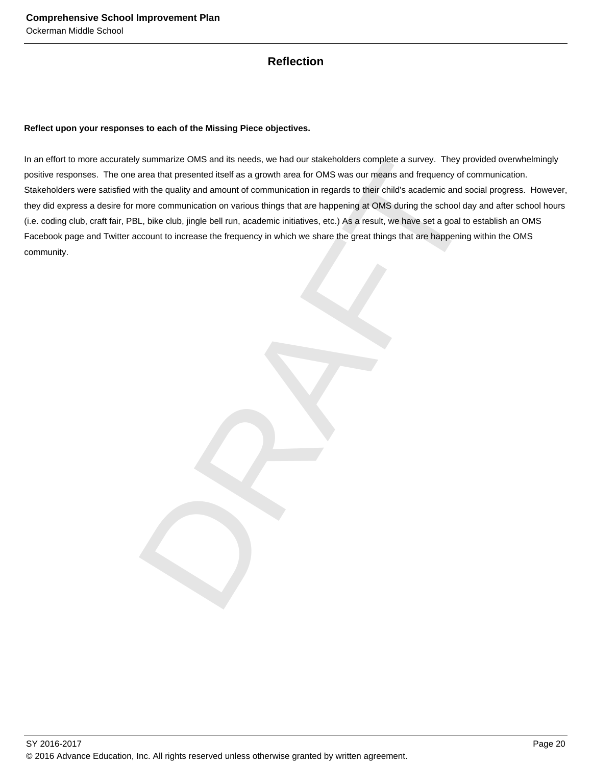### **Reflection**

### **Reflect upon your responses to each of the Missing Piece objectives.**

y summarize OMS and its needs, we had our stakeholders complete a survey. They provided over<br>a cas that presented itself as a growth area to rOMS was our means and frequency of communication<br>whit the quality and amount of In an effort to more accurately summarize OMS and its needs, we had our stakeholders complete a survey. They provided overwhelmingly positive responses. The one area that presented itself as a growth area for OMS was our means and frequency of communication. Stakeholders were satisfied with the quality and amount of communication in regards to their child's academic and social progress. However, they did express a desire for more communication on various things that are happening at OMS during the school day and after school hours (i.e. coding club, craft fair, PBL, bike club, jingle bell run, academic initiatives, etc.) As a result, we have set a goal to establish an OMS Facebook page and Twitter account to increase the frequency in which we share the great things that are happening within the OMS community.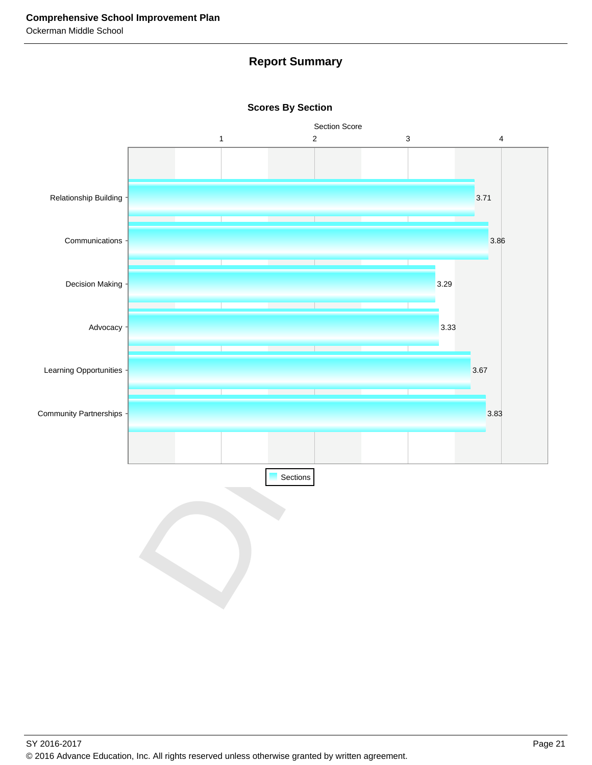### **Report Summary**



**Scores By Section**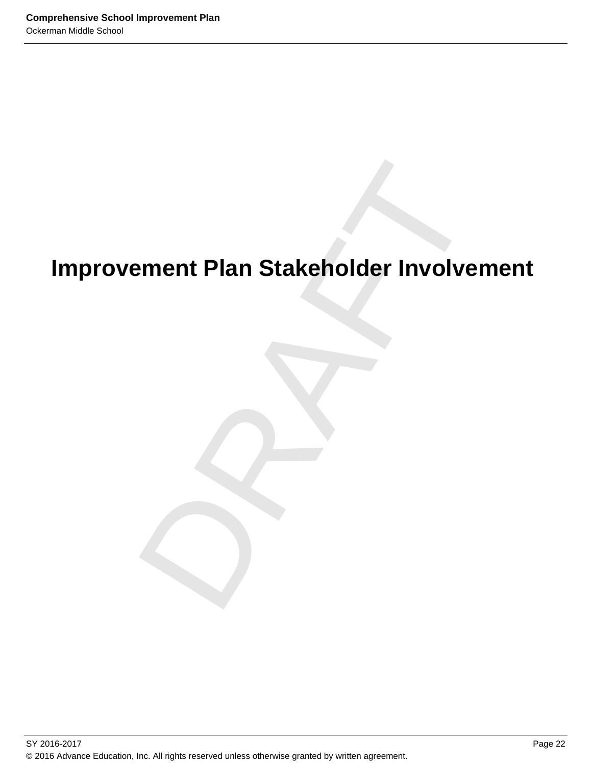# ement Plan Stakeholder Involveme<br>Drama<br>Drama<br>Drama<br>Drama<br>Drama<br>Drama<br>Drama<br>Drama<br>Drama<br>Drama<br>Drama<br>Drama<br>Drama<br>Drama<br>Drama<br>Drama<br>Drama<br>Drama<br>Drama<br>Drama<br>Drama<br>Drama<br>Drama<br>Drama<br>Drama<br>Drama<br>Drama<br>Drama<br>Drama<br>Drama<br>Drama<br>Dra **Improvement Plan Stakeholder Involvement**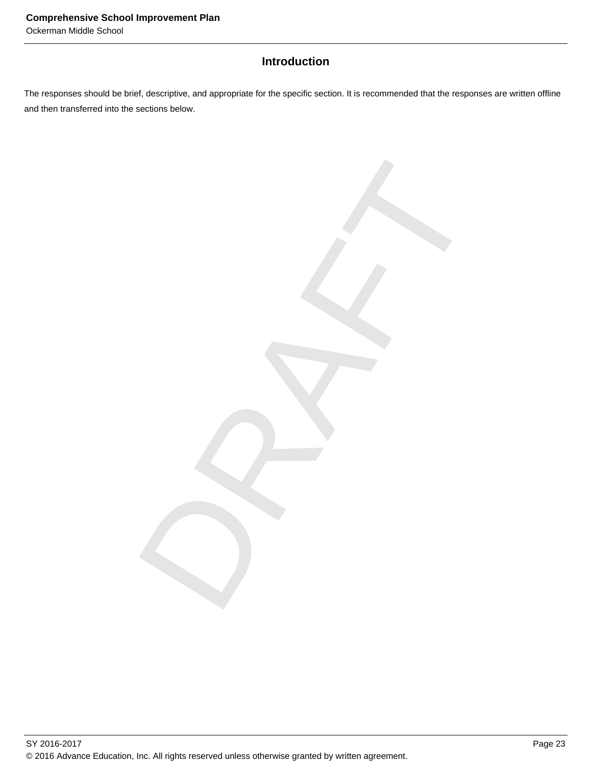### **Introduction**

The responses should be brief, descriptive, and appropriate for the specific section. It is recommended that the responses are written offline and then transferred into the sections below.

DRAFT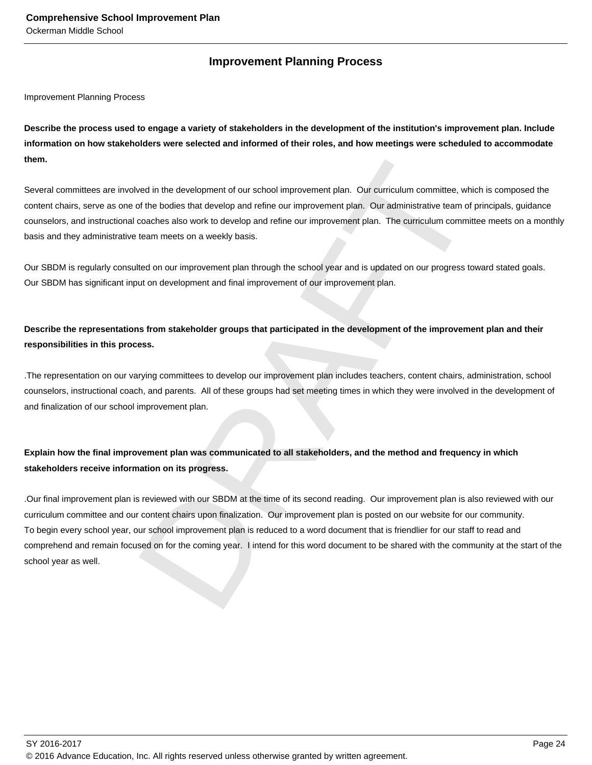### **Improvement Planning Process**

Improvement Planning Process

**Describe the process used to engage a variety of stakeholders in the development of the institution's improvement plan. Include information on how stakeholders were selected and informed of their roles, and how meetings were scheduled to accommodate them.** 

Several committees are involved in the development of our school improvement plan. Our curriculum committee, which is composed the content chairs, serve as one of the bodies that develop and refine our improvement plan. Our administrative team of principals, guidance counselors, and instructional coaches also work to develop and refine our improvement plan. The curriculum committee meets on a monthly basis and they administrative team meets on a weekly basis.

Our SBDM is regularly consulted on our improvement plan through the school year and is updated on our progress toward stated goals. Our SBDM has significant input on development and final improvement of our improvement plan.

**Describe the representations from stakeholder groups that participated in the development of the improvement plan and their responsibilities in this process.**

.The representation on our varying committees to develop our improvement plan includes teachers, content chairs, administration, school counselors, instructional coach, and parents. All of these groups had set meeting times in which they were involved in the development of and finalization of our school improvement plan.

### **Explain how the final improvement plan was communicated to all stakeholders, and the method and frequency in which stakeholders receive information on its progress.**

wed in the development of our school improvement plan. Our curriculum committee, which is compresented and develop and refiline our improvement plan. Our administrative team of principals, coaches also work to develop and .Our final improvement plan is reviewed with our SBDM at the time of its second reading. Our improvement plan is also reviewed with our curriculum committee and our content chairs upon finalization. Our improvement plan is posted on our website for our community. To begin every school year, our school improvement plan is reduced to a word document that is friendlier for our staff to read and comprehend and remain focused on for the coming year. I intend for this word document to be shared with the community at the start of the school year as well.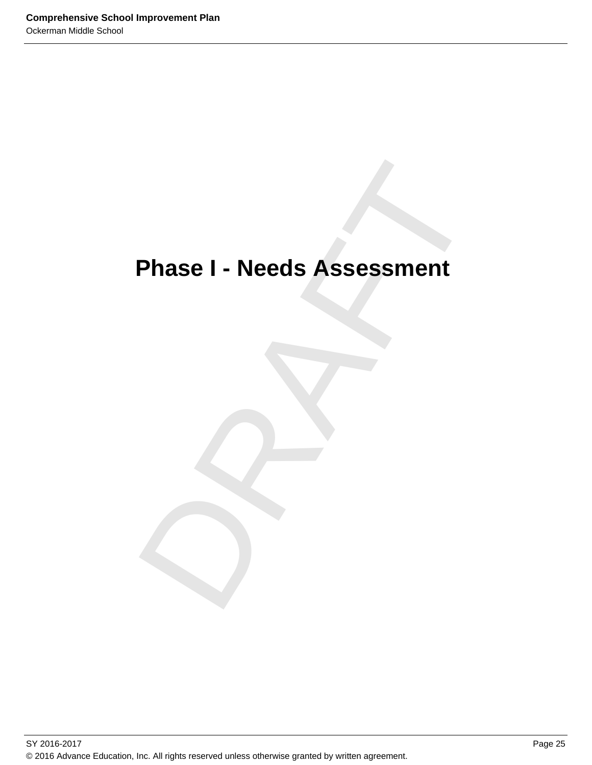# Phase I - Needs Assessment<br>
Phase I - Needs Assessment<br>
Phase I - Needs Assessment<br>
Phase I - Needs Assessment **Phase I - Needs Assessment**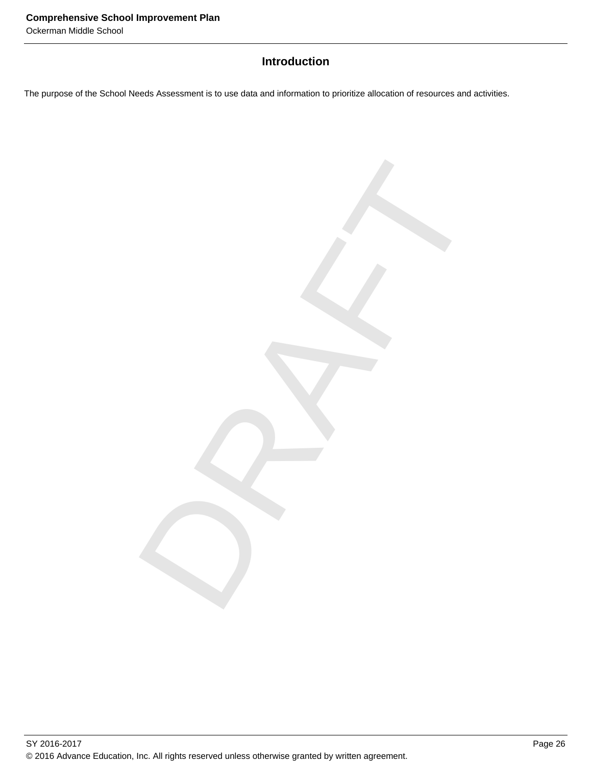### **Introduction**

DRAFT

The purpose of the School Needs Assessment is to use data and information to prioritize allocation of resources and activities.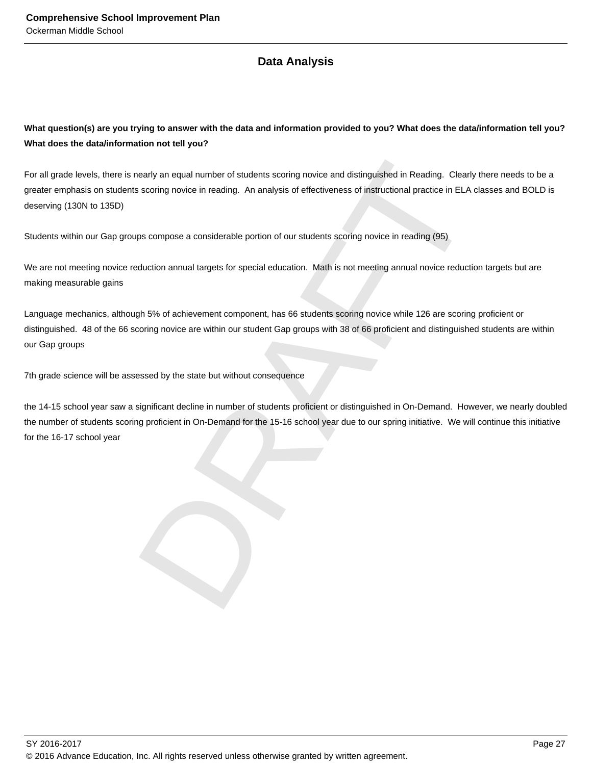### **Data Analysis**

**What question(s) are you trying to answer with the data and information provided to you? What does the data/information tell you? What does the data/information not tell you?**

For all grade levels, there is nearly an equal number of students scoring novice and distinguished in Reading. Clearly there needs to be a greater emphasis on students scoring novice in reading. An analysis of effectiveness of instructional practice in ELA classes and BOLD is deserving (130N to 135D)

Students within our Gap groups compose a considerable portion of our students scoring novice in reading (95)

We are not meeting novice reduction annual targets for special education. Math is not meeting annual novice reduction targets but are making measurable gains

Language mechanics, although 5% of achievement component, has 66 students scoring novice while 126 are scoring proficient or distinguished. 48 of the 66 scoring novice are within our student Gap groups with 38 of 66 proficient and distinguished students are within our Gap groups

7th grade science will be assessed by the state but without consequence

nearly an equal number of students scoring novice and distinguished in Reading. Clearly there nes<br>scoring novice in reading. An analysis of effectiveness of instructional practice in ELA classes are<br>ps compose a considerab the 14-15 school year saw a significant decline in number of students proficient or distinguished in On-Demand. However, we nearly doubled the number of students scoring proficient in On-Demand for the 15-16 school year due to our spring initiative. We will continue this initiative for the 16-17 school year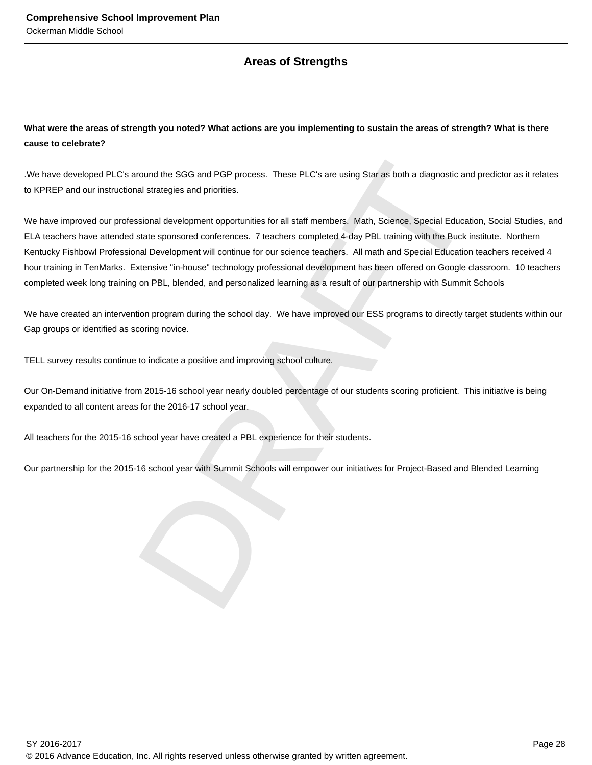### **Areas of Strengths**

### **What were the areas of strength you noted? What actions are you implementing to sustain the areas of strength? What is there cause to celebrate?**

.We have developed PLC's around the SGG and PGP process. These PLC's are using Star as both a diagnostic and predictor as it relates to KPREP and our instructional strategies and priorities.

round the SGG and PGP process. These PLC's are using Star as both a diagnostic and predictor<br>al strategies and priorities.<br>Sisional development opportunities for all staff members. Math, Science, Special Education, Social<br> We have improved our professional development opportunities for all staff members. Math, Science, Special Education, Social Studies, and ELA teachers have attended state sponsored conferences. 7 teachers completed 4-day PBL training with the Buck institute. Northern Kentucky Fishbowl Professional Development will continue for our science teachers. All math and Special Education teachers received 4 hour training in TenMarks. Extensive "in-house" technology professional development has been offered on Google classroom. 10 teachers completed week long training on PBL, blended, and personalized learning as a result of our partnership with Summit Schools

We have created an intervention program during the school day. We have improved our ESS programs to directly target students within our Gap groups or identified as scoring novice.

TELL survey results continue to indicate a positive and improving school culture.

Our On-Demand initiative from 2015-16 school year nearly doubled percentage of our students scoring proficient. This initiative is being expanded to all content areas for the 2016-17 school year.

All teachers for the 2015-16 school year have created a PBL experience for their students.

Our partnership for the 2015-16 school year with Summit Schools will empower our initiatives for Project-Based and Blended Learning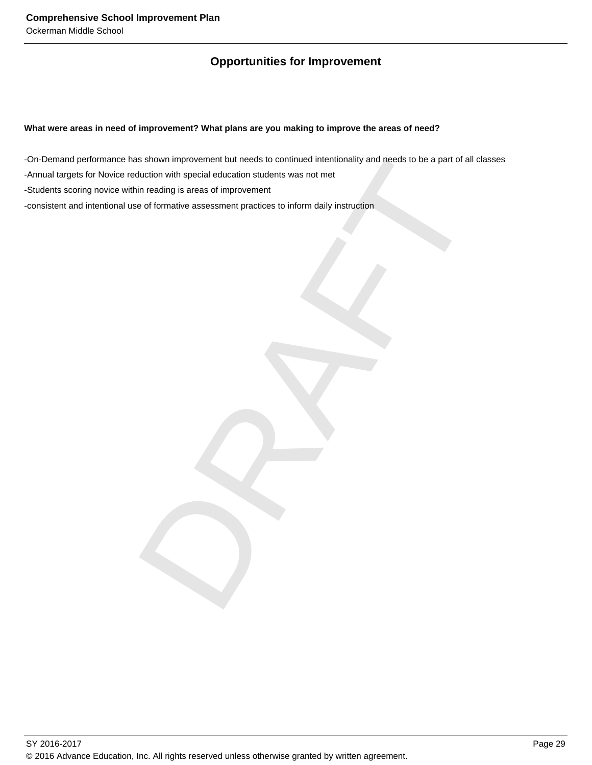### **Opportunities for Improvement**

### **What were areas in need of improvement? What plans are you making to improve the areas of need?**

ss shown improvement but needs to continued intertionality and needs to be a part of all classes<br>duction with special education students was not met<br>in reading is areas of improvement<br>of of formative assessment practices t -On-Demand performance has shown improvement but needs to continued intentionality and needs to be a part of all classes -Annual targets for Novice reduction with special education students was not met -Students scoring novice within reading is areas of improvement -consistent and intentional use of formative assessment practices to inform daily instruction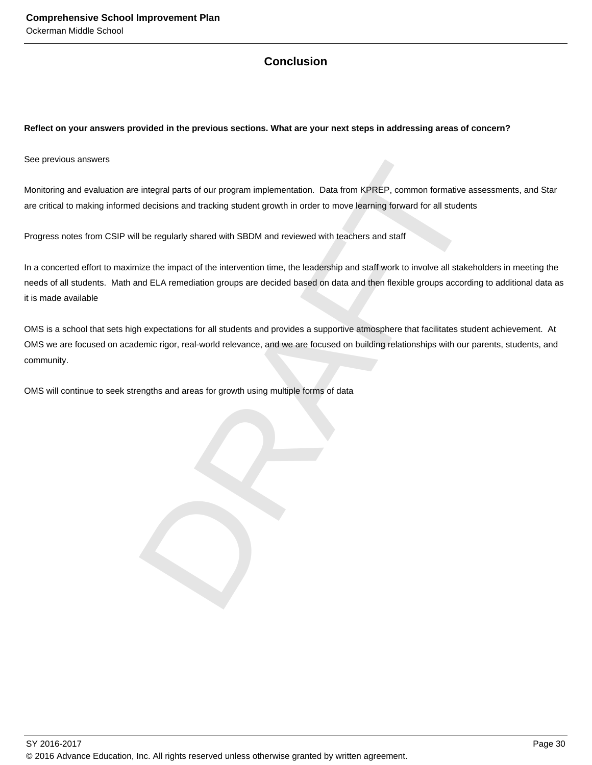### **Conclusion**

### **Reflect on your answers provided in the previous sections. What are your next steps in addressing areas of concern?**

See previous answers

Monitoring and evaluation are integral parts of our program implementation. Data from KPREP, common formative assessments, and Star are critical to making informed decisions and tracking student growth in order to move learning forward for all students

Progress notes from CSIP will be regularly shared with SBDM and reviewed with teachers and staff

is integral parts of our program implementation. Data from KPREP, common formative assessment decisions and tracking student growth in order to move learning forward for all students<br>Il be regularly shared with SBDM and re In a concerted effort to maximize the impact of the intervention time, the leadership and staff work to involve all stakeholders in meeting the needs of all students. Math and ELA remediation groups are decided based on data and then flexible groups according to additional data as it is made available

OMS is a school that sets high expectations for all students and provides a supportive atmosphere that facilitates student achievement. At OMS we are focused on academic rigor, real-world relevance, and we are focused on building relationships with our parents, students, and community.

OMS will continue to seek strengths and areas for growth using multiple forms of data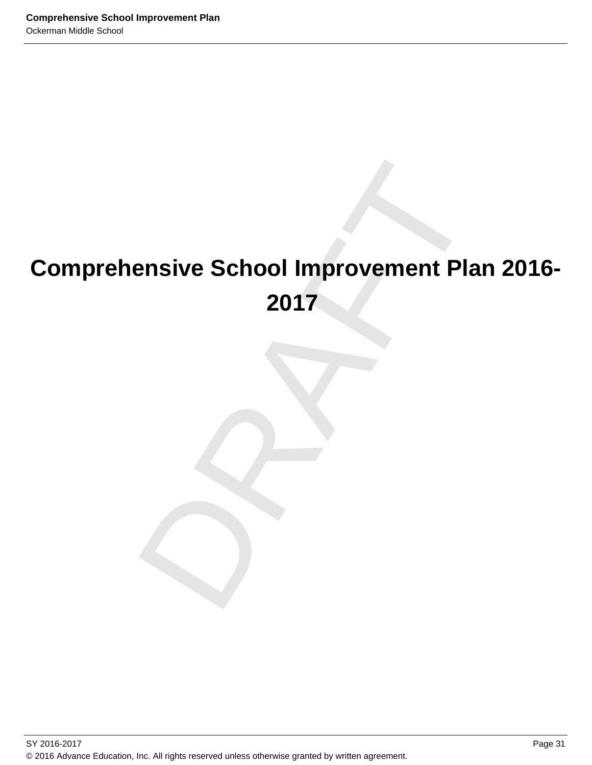### ensive School Improvement Plan 2<br>2017<br>December 2017 **Comprehensive School Improvement Plan 2016- 2017**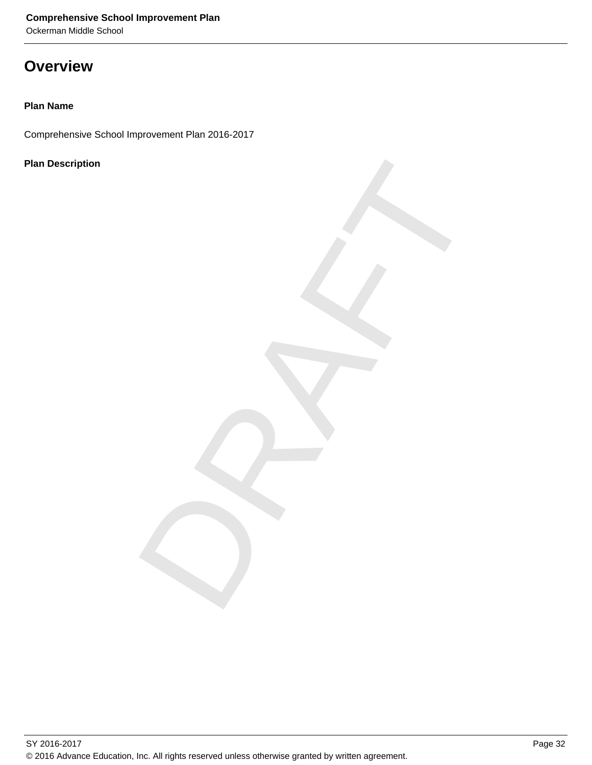Ockerman Middle School

### **Overview**

### **Plan Name**

Comprehensive School Improvement Plan 2016-2017

### **Plan Description**

DRAFT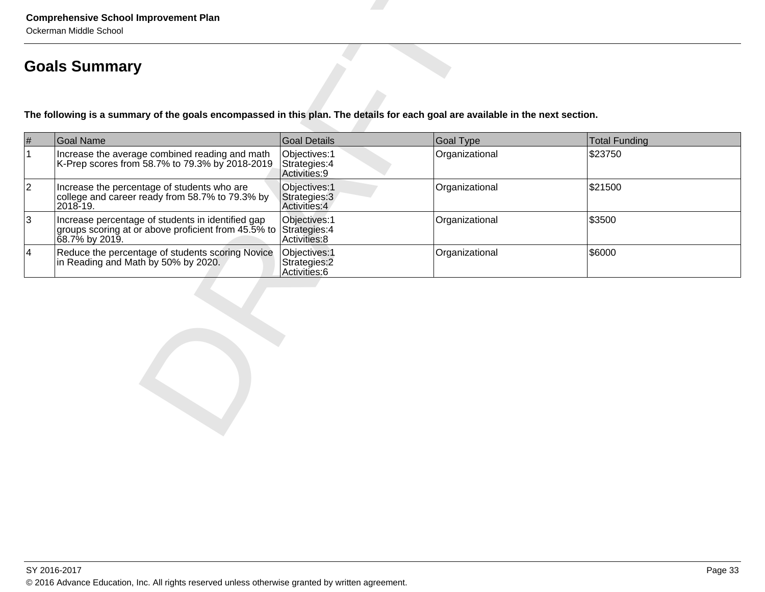|                | Ockerman Middle School<br><b>Goals Summary</b>                                                                                 |                                                 |                  |                      |  |
|----------------|--------------------------------------------------------------------------------------------------------------------------------|-------------------------------------------------|------------------|----------------------|--|
|                | The following is a summary of the goals encompassed in this plan. The details for each goal are available in the next section. |                                                 |                  |                      |  |
| $\#$           | Goal Name                                                                                                                      | <b>Goal Details</b>                             | <b>Goal Type</b> | <b>Total Funding</b> |  |
| $\mathbf{1}$   | Increase the average combined reading and math<br>K-Prep scores from 58.7% to 79.3% by 2018-2019                               | Objectives: 1<br>Strategies: 4<br>Activities: 9 | Organizational   | \$23750              |  |
| $ 2\rangle$    | Increase the percentage of students who are<br>college and career ready from 58.7% to 79.3% by<br>2018-19.                     | Objectives: 1<br>Strategies: 3<br>Activities: 4 | Organizational   | \$21500              |  |
| $\overline{3}$ | Increase percentage of students in identified gap<br>groups scoring at or above proficient from 45.5% to<br>∣68.7% by 2019.    | Objectives: 1<br>Strategies: 4<br>Activities: 8 | Organizational   | \$3500               |  |
| 4              | Reduce the percentage of students scoring Novice<br>in Reading and Math by 50% by 2020.                                        | Objectives: 1<br>Strategies: 2<br>Activities: 6 | Organizational   | \$6000               |  |
|                |                                                                                                                                |                                                 |                  |                      |  |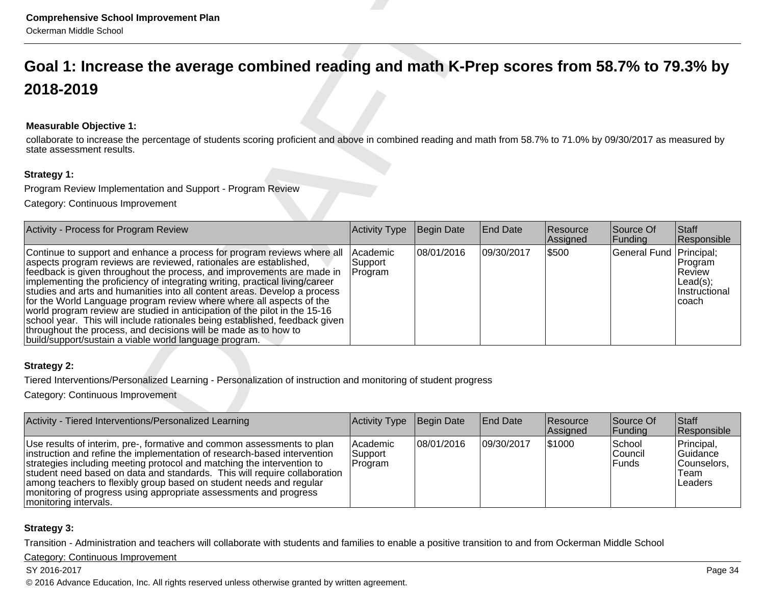#### **Measurable Objective 1:**

| <b>Comprehensive School Improvement Plan</b><br>Ockerman Middle School                                                                                                                                                                                                                                                                                                                                                                                                                                                                                                                                                                                                                                                                                |                                |            |                 |                      |                      |                                                                       |  |  |  |
|-------------------------------------------------------------------------------------------------------------------------------------------------------------------------------------------------------------------------------------------------------------------------------------------------------------------------------------------------------------------------------------------------------------------------------------------------------------------------------------------------------------------------------------------------------------------------------------------------------------------------------------------------------------------------------------------------------------------------------------------------------|--------------------------------|------------|-----------------|----------------------|----------------------|-----------------------------------------------------------------------|--|--|--|
| Goal 1: Increase the average combined reading and math K-Prep scores from 58.7% to 79.3% by                                                                                                                                                                                                                                                                                                                                                                                                                                                                                                                                                                                                                                                           |                                |            |                 |                      |                      |                                                                       |  |  |  |
| 2018-2019                                                                                                                                                                                                                                                                                                                                                                                                                                                                                                                                                                                                                                                                                                                                             |                                |            |                 |                      |                      |                                                                       |  |  |  |
| <b>Measurable Objective 1:</b><br>collaborate to increase the percentage of students scoring proficient and above in combined reading and math from 58.7% to 71.0% by 09/30/2017 as measured by<br>state assessment results.<br>Strategy 1:                                                                                                                                                                                                                                                                                                                                                                                                                                                                                                           |                                |            |                 |                      |                      |                                                                       |  |  |  |
| Program Review Implementation and Support - Program Review                                                                                                                                                                                                                                                                                                                                                                                                                                                                                                                                                                                                                                                                                            |                                |            |                 |                      |                      |                                                                       |  |  |  |
| Category: Continuous Improvement                                                                                                                                                                                                                                                                                                                                                                                                                                                                                                                                                                                                                                                                                                                      |                                |            |                 |                      |                      |                                                                       |  |  |  |
|                                                                                                                                                                                                                                                                                                                                                                                                                                                                                                                                                                                                                                                                                                                                                       |                                |            |                 |                      |                      |                                                                       |  |  |  |
| Activity - Process for Program Review                                                                                                                                                                                                                                                                                                                                                                                                                                                                                                                                                                                                                                                                                                                 | <b>Activity Type</b>           | Begin Date | <b>End Date</b> | Resource<br>Assigned | Source Of<br>Funding | <b>Staff</b><br>Responsible                                           |  |  |  |
| Continue to support and enhance a process for program reviews where all<br>aspects program reviews are reviewed, rationales are established,<br>feedback is given throughout the process, and improvements are made in<br>implementing the proficiency of integrating writing, practical living/career<br>studies and arts and humanities into all content areas. Develop a process<br>for the World Language program review where where all aspects of the<br>world program review are studied in anticipation of the pilot in the 15-16<br>school year. This will include rationales being established, feedback given<br>throughout the process, and decisions will be made as to how to<br>build/support/sustain a viable world language program. | Academic<br>Support<br>Program | 08/01/2016 | 09/30/2017      | \$500                | General Fund         | Principal;<br>Program<br>Review<br>Lead(s);<br>Instructional<br>coach |  |  |  |
| <b>Strategy 2:</b><br>Tiered Interventions/Personalized Learning - Personalization of instruction and monitoring of student progress<br>Category: Continuous Improvement                                                                                                                                                                                                                                                                                                                                                                                                                                                                                                                                                                              |                                |            |                 |                      |                      |                                                                       |  |  |  |
|                                                                                                                                                                                                                                                                                                                                                                                                                                                                                                                                                                                                                                                                                                                                                       |                                |            |                 |                      |                      |                                                                       |  |  |  |
| Activity - Tiered Interventions/Personalized Learning                                                                                                                                                                                                                                                                                                                                                                                                                                                                                                                                                                                                                                                                                                 | Activity Type                  | Begin Date | <b>End Date</b> | Resource<br>Assigned | Source Of<br>Funding | Staff<br>Responsible                                                  |  |  |  |

| Activity - Tiered Interventions/Personalized Learning                                                                                                                                                                                                                                                                                                                                                                                                                          | Activity Type                    | Begin Date  | <b>End Date</b> | <b>Resource</b><br>Assigned | Source Of<br> Funding        | Staff<br>Responsible                                     |
|--------------------------------------------------------------------------------------------------------------------------------------------------------------------------------------------------------------------------------------------------------------------------------------------------------------------------------------------------------------------------------------------------------------------------------------------------------------------------------|----------------------------------|-------------|-----------------|-----------------------------|------------------------------|----------------------------------------------------------|
| Use results of interim, pre-, formative and common assessments to plan<br>instruction and refine the implementation of research-based intervention<br>strategies including meeting protocol and matching the intervention to<br>student need based on data and standards. This will require collaboration<br>among teachers to flexibly group based on student needs and regular<br>monitoring of progress using appropriate assessments and progress<br>monitoring intervals. | l Academic<br>Support<br>Program | 108/01/2016 | 109/30/2017     | 51000                       | School<br>Council<br>l Funds | Principal,<br>Guidance<br>Counselors.<br>Team<br>Leaders |

#### **Strategy 3:**

Transition - Administration and teachers will collaborate with students and families to enable a positive transition to and from Ockerman Middle School

#### Category: Continuous Improvement

SY 2016-2017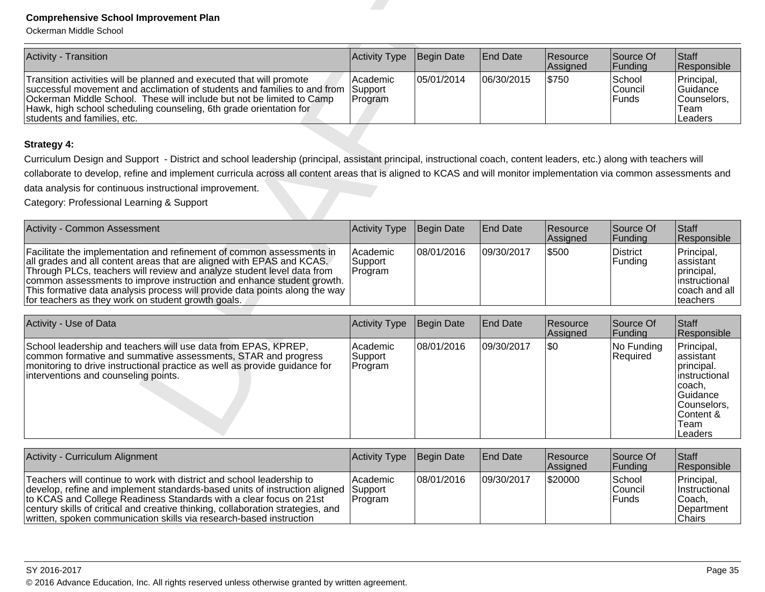| Activity - Transition                                                                                                                                                                                                                                                                                                                  | Activity Type Begin Date |            | <b>End Date</b> | <b>Resource</b><br>Assigned | Source Of<br>Funding               | <b>Staff</b><br>Responsible                                     |
|----------------------------------------------------------------------------------------------------------------------------------------------------------------------------------------------------------------------------------------------------------------------------------------------------------------------------------------|--------------------------|------------|-----------------|-----------------------------|------------------------------------|-----------------------------------------------------------------|
| Transition activities will be planned and executed that will promote<br>successful movement and acclimation of students and families to and from Support<br>Ockerman Middle School. These will include but not be limited to Camp<br>Hawk, high school scheduling counseling, 6th grade orientation for<br>students and families, etc. | l Academic<br>Program    | 05/01/2014 | 106/30/2015     | \$750                       | School<br>lCouncil<br><b>Funds</b> | Principal,<br><b>Guidance</b><br>Counselors.<br>Team<br>Leaders |

| Activity - Common Assessment                                                                                                                                                                                                                                                                                                                                                                                                           | Activity Type                      | Begin Date | <b>End Date</b> | Resource<br>Assigned | Source Of<br> Funding | <b>Staff</b><br>Responsible                                                                   |
|----------------------------------------------------------------------------------------------------------------------------------------------------------------------------------------------------------------------------------------------------------------------------------------------------------------------------------------------------------------------------------------------------------------------------------------|------------------------------------|------------|-----------------|----------------------|-----------------------|-----------------------------------------------------------------------------------------------|
| Facilitate the implementation and refinement of common assessments in<br>all grades and all content areas that are aligned with EPAS and KCAS.<br>Through PLCs, teachers will review and analyze student level data from<br>common assessments to improve instruction and enhance student growth.<br>This formative data analysis process will provide data points along the way<br>for teachers as they work on student growth goals. | l Academic<br> Support<br> Program | 08/01/2016 | 09/30/2017      | \$500                | District<br> Funding  | Principal,<br>lassistant<br>principal,<br>linstructional<br>coach and all<br><b>Iteachers</b> |

| <b>Comprehensive School Improvement Plan</b><br>Ockerman Middle School                                                                                                                                                                                                                                                                                                                                                                 |                                |            |                 |                      |                                   |                                                                                                                                             |  |  |  |
|----------------------------------------------------------------------------------------------------------------------------------------------------------------------------------------------------------------------------------------------------------------------------------------------------------------------------------------------------------------------------------------------------------------------------------------|--------------------------------|------------|-----------------|----------------------|-----------------------------------|---------------------------------------------------------------------------------------------------------------------------------------------|--|--|--|
| <b>Activity - Transition</b>                                                                                                                                                                                                                                                                                                                                                                                                           | Activity Type                  | Begin Date | <b>End Date</b> | Resource<br>Assigned | Source Of<br>Funding              | Staff<br>Responsible                                                                                                                        |  |  |  |
| Transition activities will be planned and executed that will promote<br>successful movement and acclimation of students and families to and from<br>Ockerman Middle School. These will include but not be limited to Camp<br>Hawk, high school scheduling counseling, 6th grade orientation for<br>students and families, etc.                                                                                                         | Academic<br>Support<br>Program | 05/01/2014 | 06/30/2015      | \$750                | School<br>Council<br>Funds        | Principal,<br>Guidance<br>Counselors,<br>Team<br>Leaders                                                                                    |  |  |  |
| <b>Strategy 4:</b>                                                                                                                                                                                                                                                                                                                                                                                                                     |                                |            |                 |                      |                                   |                                                                                                                                             |  |  |  |
| Curriculum Design and Support - District and school leadership (principal, assistant principal, instructional coach, content leaders, etc.) along with teachers will                                                                                                                                                                                                                                                                   |                                |            |                 |                      |                                   |                                                                                                                                             |  |  |  |
| collaborate to develop, refine and implement curricula across all content areas that is aligned to KCAS and will monitor implementation via common assessments and                                                                                                                                                                                                                                                                     |                                |            |                 |                      |                                   |                                                                                                                                             |  |  |  |
| data analysis for continuous instructional improvement.                                                                                                                                                                                                                                                                                                                                                                                |                                |            |                 |                      |                                   |                                                                                                                                             |  |  |  |
| Category: Professional Learning & Support                                                                                                                                                                                                                                                                                                                                                                                              |                                |            |                 |                      |                                   |                                                                                                                                             |  |  |  |
| <b>Activity - Common Assessment</b>                                                                                                                                                                                                                                                                                                                                                                                                    | Activity Type                  | Begin Date | <b>End Date</b> | Resource<br>Assigned | Source Of<br>Funding              | Staff<br>Responsible                                                                                                                        |  |  |  |
| Facilitate the implementation and refinement of common assessments in<br>all grades and all content areas that are aligned with EPAS and KCAS.<br>Through PLCs, teachers will review and analyze student level data from<br>common assessments to improve instruction and enhance student growth.<br>This formative data analysis process will provide data points along the way<br>for teachers as they work on student growth goals. | Academic<br>Support<br>Program | 08/01/2016 | 09/30/2017      | \$500                | District<br>Funding               | Principal,<br>assistant<br>principal,<br>instructional<br>coach and all<br>teachers                                                         |  |  |  |
| Activity - Use of Data                                                                                                                                                                                                                                                                                                                                                                                                                 | Activity Type                  | Begin Date | <b>End Date</b> | Resource             | Source Of                         | Staff                                                                                                                                       |  |  |  |
| School leadership and teachers will use data from EPAS, KPREP,<br>common formative and summative assessments, STAR and progress<br>monitoring to drive instructional practice as well as provide guidance for<br>interventions and counseling points.                                                                                                                                                                                  | Academic<br>Support<br>Program | 08/01/2016 | 09/30/2017      | Assigned<br>l\$0     | Funding<br>No Funding<br>Required | Responsible<br>Principal,<br>assistant<br>principal.<br>linstructional<br>coach,<br>Guidance<br>Counselors,<br>Content &<br>Team<br>Leaders |  |  |  |

| Activity - Curriculum Alignment                                                                                                                                                                                                                                                                                                                                                             | Activity Type Begin Date     |            | <b>End Date</b> | <b>Resource</b><br><b>Assigned</b> | Source Of<br><b>Funding</b> | Staff<br><b>Responsible</b>                                                    |
|---------------------------------------------------------------------------------------------------------------------------------------------------------------------------------------------------------------------------------------------------------------------------------------------------------------------------------------------------------------------------------------------|------------------------------|------------|-----------------|------------------------------------|-----------------------------|--------------------------------------------------------------------------------|
| Teachers will continue to work with district and school leadership to<br>develop, refine and implement standards-based units of instruction aligned Support<br>to KCAS and College Readiness Standards with a clear focus on 21st<br>century skills of critical and creative thinking, collaboration strategies, and<br>written, spoken communication skills via research-based instruction | l Academic<br><b>Program</b> | 08/01/2016 | 109/30/2017     | \$20000                            | School<br>Council<br>Funds  | Principal,<br><b>Instructional</b><br>lCoach.<br><b>IDepartment</b><br> Chairs |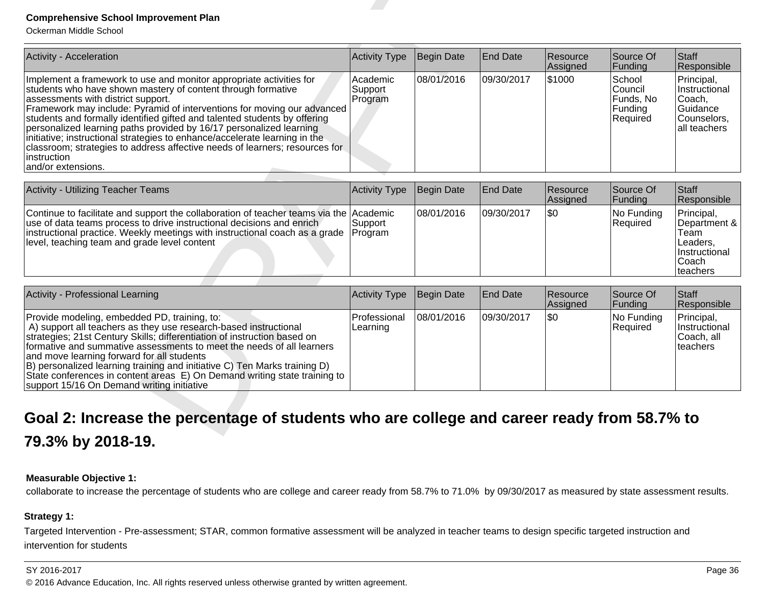| Activity - Acceleration                                                                                                                                                                                                                                                                                                                                                                                                                                                                                                                                                                                    | <b>Activity Type</b>           | Begin Date        | <b>End Date</b> | Resource<br>Assigned | Source Of<br>Funding                                  | <b>Staff</b><br>Responsible                                                          |
|------------------------------------------------------------------------------------------------------------------------------------------------------------------------------------------------------------------------------------------------------------------------------------------------------------------------------------------------------------------------------------------------------------------------------------------------------------------------------------------------------------------------------------------------------------------------------------------------------------|--------------------------------|-------------------|-----------------|----------------------|-------------------------------------------------------|--------------------------------------------------------------------------------------|
| Implement a framework to use and monitor appropriate activities for<br>students who have shown mastery of content through formative<br>assessments with district support.<br>Framework may include: Pyramid of interventions for moving our advanced<br>students and formally identified gifted and talented students by offering<br>personalized learning paths provided by 16/17 personalized learning<br>initiative; instructional strategies to enhance/accelerate learning in the<br>classroom; strategies to address affective needs of learners; resources for<br>instruction<br>and/or extensions. | Academic<br>Support<br>Program | 08/01/2016        | 09/30/2017      | \$1000               | School<br>Council<br>Funds, No<br>Funding<br>Required | Principal,<br>Instructional<br>Coach,<br>Guidance<br>Counselors,<br>all teachers     |
| Activity - Utilizing Teacher Teams                                                                                                                                                                                                                                                                                                                                                                                                                                                                                                                                                                         | <b>Activity Type</b>           | Begin Date        | <b>End Date</b> | Resource<br>Assigned | Source Of<br>Funding                                  | <b>Staff</b><br>Responsible                                                          |
| Continue to facilitate and support the collaboration of teacher teams via the Academic<br>use of data teams process to drive instructional decisions and enrich<br>instructional practice. Weekly meetings with instructional coach as a grade<br>level, teaching team and grade level content                                                                                                                                                                                                                                                                                                             | Support<br>Program             | 08/01/2016        | 09/30/2017      | $ $ \$0              | No Funding<br>Required                                | Principal,<br>Department &<br>Team<br>Leaders,<br>Instructional<br>Coach<br>teachers |
| Activity - Professional Learning                                                                                                                                                                                                                                                                                                                                                                                                                                                                                                                                                                           | <b>Activity Type</b>           | <b>Begin Date</b> | <b>End Date</b> | Resource<br>Assigned | Source Of<br>Funding                                  | <b>Staff</b><br>Responsible                                                          |
| Provide modeling, embedded PD, training, to:<br>A) support all teachers as they use research-based instructional<br>strategies; 21st Century Skills; differentiation of instruction based on<br>formative and summative assessments to meet the needs of all learners<br>and move learning forward for all students<br>B) personalized learning training and initiative C) Ten Marks training D)<br>State conferences in content areas E) On Demand writing state training to<br>support 15/16 On Demand writing initiative                                                                                | Professional<br>Learning       | 08/01/2016        | 09/30/2017      | $ $ \$0              | No Funding<br>Required                                | Principal,<br>Instructional<br>Coach, all<br>teachers                                |

| Activity - Utilizing Teacher Teams                                                                                                                                                                                                                                                                     | Activity Type | Begin Date | <b>End Date</b> | <b>Resource</b><br>Assigned | Source Of<br> Funding  | <b>Staff</b><br>Responsible                                                                            |
|--------------------------------------------------------------------------------------------------------------------------------------------------------------------------------------------------------------------------------------------------------------------------------------------------------|---------------|------------|-----------------|-----------------------------|------------------------|--------------------------------------------------------------------------------------------------------|
| Continue to facilitate and support the collaboration of teacher teams via the Academic<br>use of data teams process to drive instructional decisions and enrich<br>instructional practice. Weekly meetings with instructional coach as a grade Program<br>level, teaching team and grade level content | Support       | 08/01/2016 | 09/30/2017      | 1\$0                        | No Funding<br>Required | Principal,<br>Department & I<br>Team<br>lLeaders.<br><b>Instructional</b><br>Coach<br><b>Iteachers</b> |

| Activity - Professional Learning                                                                                                                                                                                                                                                                                                                                                                                                                                                                                             | Activity Type              | Begin Date | <b>End Date</b> | Resource<br>Assigned | Source Of<br> Funding  | <b>Staff</b><br>Responsible                                    |
|------------------------------------------------------------------------------------------------------------------------------------------------------------------------------------------------------------------------------------------------------------------------------------------------------------------------------------------------------------------------------------------------------------------------------------------------------------------------------------------------------------------------------|----------------------------|------------|-----------------|----------------------|------------------------|----------------------------------------------------------------|
| Provide modeling, embedded PD, training, to:<br>A) support all teachers as they use research-based instructional<br>strategies; 21st Century Skills; differentiation of instruction based on<br>formative and summative assessments to meet the needs of all learners<br>and move learning forward for all students<br>(B) personalized learning training and initiative C) Ten Marks training D)<br>State conferences in content areas E) On Demand writing state training to<br>support 15/16 On Demand writing initiative | l Professional<br>Learning | 08/01/2016 | 09/30/2017      | <b>\$0</b>           | No Funding<br>Required | Principal,<br><b>Instructional</b><br> Coach, all<br>lteachers |

# **Measurable Objective 1:**

collaborate to increase the percentage of students who are college and career ready from 58.7% to 71.0% by 09/30/2017 as measured by state assessment results.

# **Strategy 1:**

Targeted Intervention - Pre-assessment; STAR, common formative assessment will be analyzed in teacher teams to design specific targeted instruction andintervention for students

#### SY 2016-2017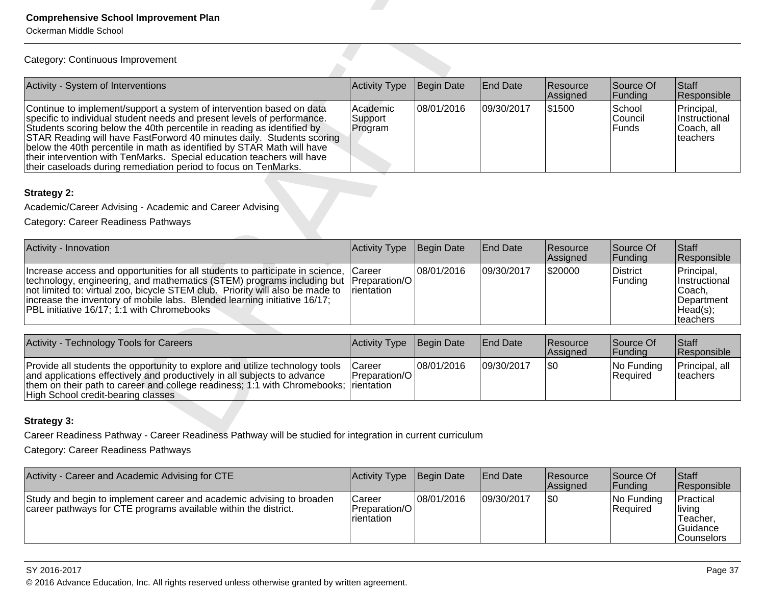| <b>Comprehensive School Improvement Plan</b><br>Ockerman Middle School                                                                                                                                                                                                                                                                                                                                                                                                                                                    |                                       |            |                 |                      |                            |                                                                             |  |  |  |
|---------------------------------------------------------------------------------------------------------------------------------------------------------------------------------------------------------------------------------------------------------------------------------------------------------------------------------------------------------------------------------------------------------------------------------------------------------------------------------------------------------------------------|---------------------------------------|------------|-----------------|----------------------|----------------------------|-----------------------------------------------------------------------------|--|--|--|
| Category: Continuous Improvement                                                                                                                                                                                                                                                                                                                                                                                                                                                                                          |                                       |            |                 |                      |                            |                                                                             |  |  |  |
| Activity - System of Interventions                                                                                                                                                                                                                                                                                                                                                                                                                                                                                        | Activity Type                         | Begin Date | <b>End Date</b> | Resource<br>Assigned | Source Of<br>Funding       | Staff<br>Responsible                                                        |  |  |  |
| Continue to implement/support a system of intervention based on data<br>specific to individual student needs and present levels of performance.<br>Students scoring below the 40th percentile in reading as identified by<br>STAR Reading will have FastForword 40 minutes daily. Students scoring<br>below the 40th percentile in math as identified by STAR Math will have<br>their intervention with TenMarks. Special education teachers will have<br>their caseloads during remediation period to focus on TenMarks. | Academic<br>Support<br>Program        | 08/01/2016 | 09/30/2017      | \$1500               | School<br>Council<br>Funds | Principal,<br>Instructional<br>Coach, all<br>teachers                       |  |  |  |
| <b>Strategy 2:</b><br>Academic/Career Advising - Academic and Career Advising<br>Category: Career Readiness Pathways                                                                                                                                                                                                                                                                                                                                                                                                      |                                       |            |                 |                      |                            |                                                                             |  |  |  |
| Activity - Innovation                                                                                                                                                                                                                                                                                                                                                                                                                                                                                                     | Activity Type                         | Begin Date | <b>End Date</b> | Resource<br>Assigned | Source Of<br>Funding       | Staff<br>Responsible                                                        |  |  |  |
| Increase access and opportunities for all students to participate in science,<br>technology, engineering, and mathematics (STEM) programs including but<br>not limited to: virtual zoo, bicycle STEM club. Priority will also be made to<br>increase the inventory of mobile labs. Blended learning initiative 16/17;<br>PBL initiative 16/17; 1:1 with Chromebooks                                                                                                                                                       | Career<br>Preparation/O<br>rientation | 08/01/2016 | 09/30/2017      | \$20000              | <b>District</b><br>Funding | Principal,<br>Instructional<br>Coach,<br>Department<br>Head(s);<br>teachers |  |  |  |
| Activity - Technology Tools for Careers                                                                                                                                                                                                                                                                                                                                                                                                                                                                                   | <b>Activity Type</b>                  | Begin Date | <b>End Date</b> | Resource<br>Assigned | Source Of<br>Funding       | Staff<br>Responsible                                                        |  |  |  |
| Provide all students the opportunity to explore and utilize technology tools<br>and applications effectively and productively in all subjects to advance<br>them on their path to career and college readiness; 1:1 with Chromebooks;<br>High School credit-bearing classes                                                                                                                                                                                                                                               | Career<br>Preparation/O<br>rientation | 08/01/2016 | 09/30/2017      | \$0                  | No Funding<br>Required     | Principal, all<br>teachers                                                  |  |  |  |
| <b>Strategy 3:</b><br>Career Readiness Pathway - Career Readiness Pathway will be studied for integration in current curriculum                                                                                                                                                                                                                                                                                                                                                                                           |                                       |            |                 |                      |                            |                                                                             |  |  |  |
| Category: Career Readiness Pathways                                                                                                                                                                                                                                                                                                                                                                                                                                                                                       |                                       |            |                 |                      |                            |                                                                             |  |  |  |

| Activity - Innovation                                                                                                                                                                                                                                                                                                                                                                                     | Activity Type Begin Date |             | <b>End Date</b> | <b>Resource</b><br>Assigned | Source Of<br><b>Funding</b> | Staff<br>Responsible                                                                 |
|-----------------------------------------------------------------------------------------------------------------------------------------------------------------------------------------------------------------------------------------------------------------------------------------------------------------------------------------------------------------------------------------------------------|--------------------------|-------------|-----------------|-----------------------------|-----------------------------|--------------------------------------------------------------------------------------|
| Increase access and opportunities for all students to participate in science, Career<br> technology, engineering, and mathematics (STEM) programs including but  Preparation/O  <br>not limited to: virtual zoo, bicycle STEM club. Priority will also be made to Irientation<br>increase the inventory of mobile labs. Blended learning initiative 16/17;<br>IPBL initiative 16/17: 1:1 with Chromebooks |                          | 108/01/2016 | 109/30/2017     | \$20000                     | District<br> Fundina        | Principal,<br><b>Instructional</b><br>Coach.<br>lDepartment<br>Head(s);<br>∣teachers |

| Activity - Technology Tools for Careers                                                                                                                                                                                                                                                 | <b>Activity Type Begin Date</b>   |             | <b>End Date</b> | <b>Resource</b><br><b>Assianed</b> | Source Of<br><b>IFunding</b>   | <b>Staff</b><br><b>Responsible</b> |
|-----------------------------------------------------------------------------------------------------------------------------------------------------------------------------------------------------------------------------------------------------------------------------------------|-----------------------------------|-------------|-----------------|------------------------------------|--------------------------------|------------------------------------|
| Provide all students the opportunity to explore and utilize technology tools<br>and applications effectively and productively in all subjects to advance<br>them on their path to career and college readiness; 1:1 with Chromebooks;  rientation<br>High School credit-bearing classes | lCareer<br><b>IPreparation/OI</b> | 108/01/2016 | 109/30/2017     | 1\$C                               | INo Fundina<br><b>Required</b> | Principal, all<br><b>Iteachers</b> |

| Activity - Career and Academic Advising for CTE                                                                                         | Activity Type                                          | Begin Date  | <b>End Date</b> | <b>Resource</b><br>Assigned | Source Of<br> Funding     | Staff<br>Responsible                                             |
|-----------------------------------------------------------------------------------------------------------------------------------------|--------------------------------------------------------|-------------|-----------------|-----------------------------|---------------------------|------------------------------------------------------------------|
| Study and begin to implement career and academic advising to broaden<br>career pathways for CTE programs available within the district. | Career<br><b>Preparation/OI</b><br><b>I</b> rientation | 108/01/2016 | 109/30/2017     | 1\$0                        | $ No$ Funding<br>Required | Practical<br>living<br>Teacher.<br>Guidance<br><b>Counselors</b> |

#### SY 2016-2017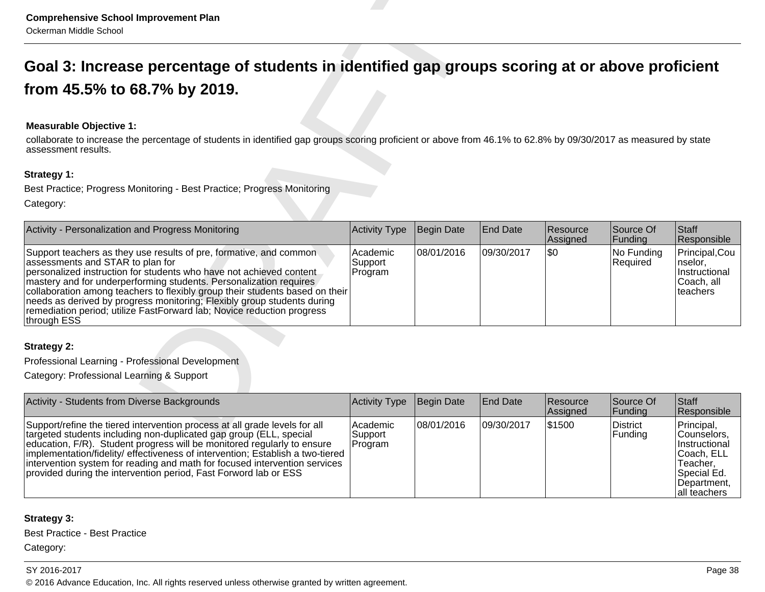# **Measurable Objective 1:**

| <b>Comprehensive School Improvement Plan</b><br>Ockerman Middle School                                                                                                                                                                                                                                                                                                                                                                                                                                  |                                |            |                 |                      |                                   |                                                                       |  |  |  |
|---------------------------------------------------------------------------------------------------------------------------------------------------------------------------------------------------------------------------------------------------------------------------------------------------------------------------------------------------------------------------------------------------------------------------------------------------------------------------------------------------------|--------------------------------|------------|-----------------|----------------------|-----------------------------------|-----------------------------------------------------------------------|--|--|--|
| Goal 3: Increase percentage of students in identified gap groups scoring at or above proficient                                                                                                                                                                                                                                                                                                                                                                                                         |                                |            |                 |                      |                                   |                                                                       |  |  |  |
| from 45.5% to 68.7% by 2019.                                                                                                                                                                                                                                                                                                                                                                                                                                                                            |                                |            |                 |                      |                                   |                                                                       |  |  |  |
|                                                                                                                                                                                                                                                                                                                                                                                                                                                                                                         |                                |            |                 |                      |                                   |                                                                       |  |  |  |
| <b>Measurable Objective 1:</b><br>collaborate to increase the percentage of students in identified gap groups scoring proficient or above from 46.1% to 62.8% by 09/30/2017 as measured by state<br>assessment results.                                                                                                                                                                                                                                                                                 |                                |            |                 |                      |                                   |                                                                       |  |  |  |
| <b>Strategy 1:</b>                                                                                                                                                                                                                                                                                                                                                                                                                                                                                      |                                |            |                 |                      |                                   |                                                                       |  |  |  |
| Best Practice; Progress Monitoring - Best Practice; Progress Monitoring                                                                                                                                                                                                                                                                                                                                                                                                                                 |                                |            |                 |                      |                                   |                                                                       |  |  |  |
| Category:                                                                                                                                                                                                                                                                                                                                                                                                                                                                                               |                                |            |                 |                      |                                   |                                                                       |  |  |  |
| Activity - Personalization and Progress Monitoring                                                                                                                                                                                                                                                                                                                                                                                                                                                      | <b>Activity Type</b>           | Begin Date | <b>End Date</b> | Resource<br>Assigned | Source Of<br>Funding              | Staff<br>Responsible                                                  |  |  |  |
| Support teachers as they use results of pre, formative, and common<br>assessments and STAR to plan for<br>personalized instruction for students who have not achieved content<br>mastery and for underperforming students. Personalization requires<br>collaboration among teachers to flexibly group their students based on their<br>needs as derived by progress monitoring; Flexibly group students during<br>remediation period; utilize FastForward lab; Novice reduction progress<br>through ESS | Academic<br>Support<br>Program | 08/01/2016 | 09/30/2017      | \$0                  | No Funding<br>Required            | Principal, Cou<br> nselor,<br>Instructional<br>Coach, all<br>teachers |  |  |  |
| Strategy 2:                                                                                                                                                                                                                                                                                                                                                                                                                                                                                             |                                |            |                 |                      |                                   |                                                                       |  |  |  |
| Professional Learning - Professional Development                                                                                                                                                                                                                                                                                                                                                                                                                                                        |                                |            |                 |                      |                                   |                                                                       |  |  |  |
| Category: Professional Learning & Support                                                                                                                                                                                                                                                                                                                                                                                                                                                               |                                |            |                 |                      |                                   |                                                                       |  |  |  |
| Activity - Students from Diverse Backgrounds                                                                                                                                                                                                                                                                                                                                                                                                                                                            | <b>Activity Type</b>           | Begin Date | <b>End Date</b> | Resource<br>Assigned | Source Of<br>Funding              | Staff<br>Responsible                                                  |  |  |  |
| Support/refine the tiered intervention process at all grade levels for all<br>Teinerate II-leap aren't including non-duplicated are around the heteoret                                                                                                                                                                                                                                                                                                                                                 | Academic<br>Support            | 08/01/2016 | 09/30/2017      | \$1500               | <b>District</b><br><b>Eundina</b> | Principal,<br>l Counselors                                            |  |  |  |

| Activity - Students from Diverse Backgrounds                                                                                                                                                                                                                                                                                                                                                                                                                     | Activity Type                    | Begin Date  | <b>End Date</b> | <b>Resource</b><br>Assigned | Source Of<br> Funding | <b>Staff</b><br>Responsible                                                                                                |
|------------------------------------------------------------------------------------------------------------------------------------------------------------------------------------------------------------------------------------------------------------------------------------------------------------------------------------------------------------------------------------------------------------------------------------------------------------------|----------------------------------|-------------|-----------------|-----------------------------|-----------------------|----------------------------------------------------------------------------------------------------------------------------|
| Support/refine the tiered intervention process at all grade levels for all<br>targeted students including non-duplicated gap group (ELL, special<br>education, F/R). Student progress will be monitored regularly to ensure<br> implementation/fidelity/ effectiveness of intervention; Establish a two-tiered<br>intervention system for reading and math for focused intervention services<br>provided during the intervention period, Fast Forword lab or ESS | l Academic<br>Support<br>Program | 108/01/2016 | 109/30/2017     | 1\$1500                     | District<br>Funding   | Principal,<br>Counselors.<br><i>Instructional</i><br>ICoach. ELL<br>Teacher.<br>Special Ed.<br>Department.<br>all teachers |

# **Strategy 3:**

Best Practice - Best Practice

Category:

#### SY 2016-2017

Page 38 and the set of the set of the set of the set of the set of the set of the set of the set of the set of the set of the set of the set of the set of the set of the set of the set of the set of the set of the set of t © 2016 Advance Education, Inc. All rights reserved unless otherwise granted by written agreement.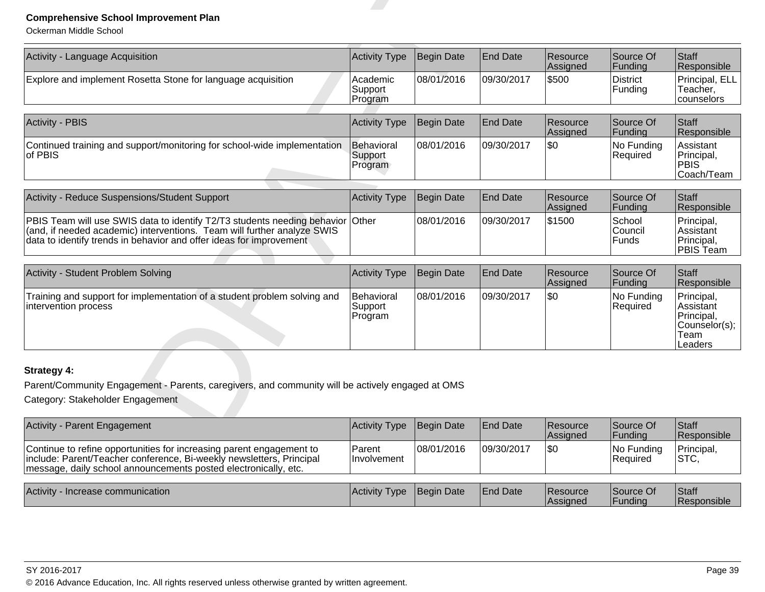| Activity - Language Acquisition                                                                                                                                                                                         | <b>Activity Type</b>             | <b>Begin Date</b> | <b>End Date</b> | Resource<br>Assigned | Source Of<br>Funding              | <b>Staff</b><br>Responsible                                               |
|-------------------------------------------------------------------------------------------------------------------------------------------------------------------------------------------------------------------------|----------------------------------|-------------------|-----------------|----------------------|-----------------------------------|---------------------------------------------------------------------------|
| Explore and implement Rosetta Stone for language acquisition                                                                                                                                                            | Academic<br>Support<br>Program   | 08/01/2016        | 09/30/2017      | \$500                | <b>District</b><br>Funding        | Principal, ELL<br>Teacher,<br>counselors                                  |
| Activity - PBIS                                                                                                                                                                                                         | <b>Activity Type</b>             | <b>Begin Date</b> | <b>End Date</b> | Resource<br>Assigned | Source Of<br>Funding              | <b>Staff</b><br>Responsible                                               |
| Continued training and support/monitoring for school-wide implementation<br>of PBIS                                                                                                                                     | Behavioral<br>Support<br>Program | 08/01/2016        | 09/30/2017      | \$0                  | No Funding<br>Required            | Assistant<br>Principal,<br><b>PBIS</b><br>Coach/Team                      |
| Activity - Reduce Suspensions/Student Support                                                                                                                                                                           | <b>Activity Type</b>             | <b>Begin Date</b> | <b>End Date</b> | Resource<br>Assigned | Source Of<br>Funding              | <b>Staff</b><br>Responsible                                               |
| PBIS Team will use SWIS data to identify T2/T3 students needing behavior (and, if needed academic) interventions. Team will further analyze SWIS<br>data to identify trends in behavior and offer ideas for improvement | <b>Other</b>                     | 08/01/2016        | 09/30/2017      | \$1500               | School<br>Council<br><b>Funds</b> | Principal,<br>Assistant<br>Principal,<br>PBIS Team                        |
| Activity - Student Problem Solving                                                                                                                                                                                      | <b>Activity Type</b>             | <b>Begin Date</b> | <b>End Date</b> | Resource<br>Assigned | Source Of<br>Funding              | <b>Staff</b><br>Responsible                                               |
| Training and support for implementation of a student problem solving and<br>intervention process                                                                                                                        | Behavioral<br>Support<br>Program | 08/01/2016        | 09/30/2017      | \$0                  | No Funding<br>Required            | Principal,<br>Assistant<br>Principal,<br>Counselor(s);<br>Team<br>Leaders |
| Strategy 4:                                                                                                                                                                                                             |                                  |                   |                 |                      |                                   |                                                                           |
| Parent/Community Engagement - Parents, caregivers, and community will be actively engaged at OMS<br>Category: Stakeholder Engagement                                                                                    |                                  |                   |                 |                      |                                   |                                                                           |
| <b>Activity - Parent Engagement</b>                                                                                                                                                                                     | <b>Activity Type</b>             | <b>Begin Date</b> | <b>End Date</b> | Resource<br>Assigned | Source Of<br>Funding              | <b>Staff</b><br>Responsible                                               |

| Activity - Parent Engagement                                                                                                                                                                                    | Activity Type Begin Date            |            | <b>End Date</b> | Resource<br><b>Assigned</b> | Source Of<br> Funding  | Staff<br>Responsible        |
|-----------------------------------------------------------------------------------------------------------------------------------------------------------------------------------------------------------------|-------------------------------------|------------|-----------------|-----------------------------|------------------------|-----------------------------|
| Continue to refine opportunities for increasing parent engagement to<br>include: Parent/Teacher conference, Bi-weekly newsletters, Principal<br>message, daily school announcements posted electronically, etc. | <b>Parent</b><br><b>Involvement</b> | 08/01/2016 | 09/30/2017      | 1\$0                        | No Funding<br>Required | Principal,<br> STC,         |
| Activity - Increase communication                                                                                                                                                                               | Activity Type                       | Begin Date | <b>End Date</b> | Resource<br>Assigned        | Source Of<br> Fundina  | <b>Staff</b><br>Responsible |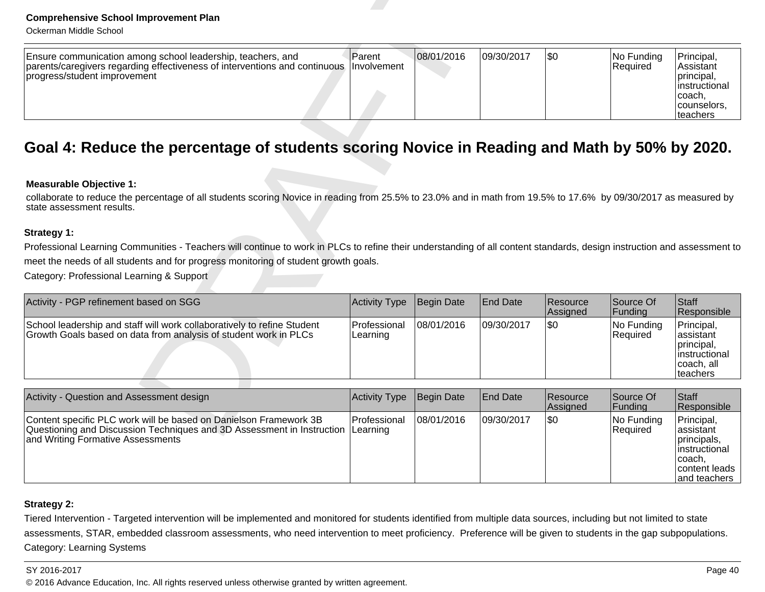| Ensure communication among school leadership, teachers, and<br>parents/caregivers regarding effectiveness of interventions and continuous   Involvement | l'Parent | 08/01/2016 | 09/30/2017 | 1\$0 | INo Fundina<br><b>Required</b> | Principal,<br>∣Assistant                 |
|---------------------------------------------------------------------------------------------------------------------------------------------------------|----------|------------|------------|------|--------------------------------|------------------------------------------|
| progress/student improvement                                                                                                                            |          |            |            |      |                                | Iprincipal.<br>linstructional<br>Icoach, |
|                                                                                                                                                         |          |            |            |      |                                | counselors.<br><b>Iteachers</b>          |

#### **Measurable Objective 1:**

| <b>Comprehensive School Improvement Plan</b><br>Ockerman Middle School                                                                                                                       |                          |                   |                 |                      |                               |                                                                                             |
|----------------------------------------------------------------------------------------------------------------------------------------------------------------------------------------------|--------------------------|-------------------|-----------------|----------------------|-------------------------------|---------------------------------------------------------------------------------------------|
| Ensure communication among school leadership, teachers, and<br>parents/caregivers regarding effectiveness of interventions and continuous<br>progress/student improvement                    | Parent<br>Involvement    | 08/01/2016        | 09/30/2017      | $\overline{50}$      | No Funding<br>Required        | Principal,<br>Assistant<br>principal,<br>instructional<br>coach,<br>counselors,<br>teachers |
| Goal 4: Reduce the percentage of students scoring Novice in Reading and Math by 50% by 2020.                                                                                                 |                          |                   |                 |                      |                               |                                                                                             |
| <b>Measurable Objective 1:</b>                                                                                                                                                               |                          |                   |                 |                      |                               |                                                                                             |
| collaborate to reduce the percentage of all students scoring Novice in reading from 25.5% to 23.0% and in math from 19.5% to 17.6% by 09/30/2017 as measured by<br>state assessment results. |                          |                   |                 |                      |                               |                                                                                             |
| <b>Strategy 1:</b>                                                                                                                                                                           |                          |                   |                 |                      |                               |                                                                                             |
| Professional Learning Communities - Teachers will continue to work in PLCs to refine their understanding of all content standards, design instruction and assessment to                      |                          |                   |                 |                      |                               |                                                                                             |
| meet the needs of all students and for progress monitoring of student growth goals.                                                                                                          |                          |                   |                 |                      |                               |                                                                                             |
| Category: Professional Learning & Support                                                                                                                                                    |                          |                   |                 |                      |                               |                                                                                             |
| Activity - PGP refinement based on SGG                                                                                                                                                       | Activity Type            | <b>Begin Date</b> | End Date        | Resource<br>Assigned | Source Of<br>Funding          | <b>Staff</b><br>Responsible                                                                 |
| School leadership and staff will work collaboratively to refine Student<br>Growth Goals based on data from analysis of student work in PLCs                                                  | Professional<br>Learning | 08/01/2016        | 09/30/2017      | \$0                  | No Funding<br>Required        | Principal,<br>assistant<br>principal,<br>instructional<br>coach, all<br>teachers            |
|                                                                                                                                                                                              |                          |                   |                 |                      |                               |                                                                                             |
| Activity - Question and Assessment design                                                                                                                                                    | <b>Activity Type</b>     | Begin Date        | <b>End Date</b> | Resource<br>Assigned | Source Of<br>Funding          | Staff<br>Responsible                                                                        |
| Content specific PLC work will be based on Danielson Framework 3B<br>Questioning and Discussion Techniques and 3D Assessment in Instruction                                                  | Professional<br>Learning | 08/01/2016        | 09/30/2017      | <b>\$0</b>           | No Funding<br><b>Required</b> | Principal,<br>assistant                                                                     |

| Activity - Question and Assessment design                                                                                                                                                  | Activity Type  | Begin Date | <b>End Date</b> | <b>Resource</b><br>Assigned | Source Of<br><b>IFundina</b> | <b>Staff</b><br><b>Responsible</b>                                                                     |
|--------------------------------------------------------------------------------------------------------------------------------------------------------------------------------------------|----------------|------------|-----------------|-----------------------------|------------------------------|--------------------------------------------------------------------------------------------------------|
| Content specific PLC work will be based on Danielson Framework 3B<br>Questioning and Discussion Techniques and 3D Assessment in Instruction  Learning<br>and Writing Formative Assessments | l Professional | 08/01/2016 | 09/30/2017      | \$0                         | No Funding<br>Required       | Principal,<br>lassistant<br>principals,<br>linstructional<br>⊺coach.<br>content leads<br>land teachers |

# **Strategy 2:**

Tiered Intervention - Targeted intervention will be implemented and monitored for students identified from multiple data sources, including but not limited to state assessments, STAR, embedded classroom assessments, who need intervention to meet proficiency. Preference will be given to students in the gap subpopulations.Category: Learning Systems

#### SY 2016-2017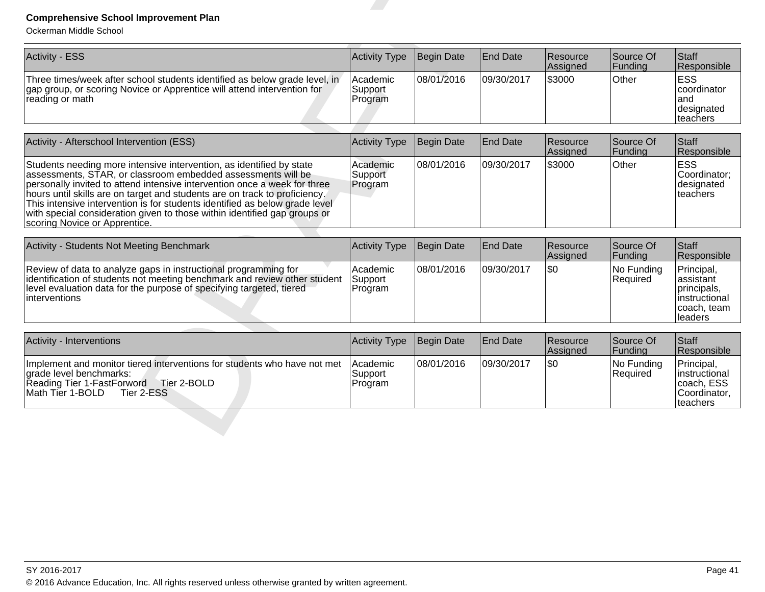| <b>Comprehensive School Improvement Plan</b><br>Ockerman Middle School                                                                                                                                                                                                                                                                                                                                                                                                                       |                                |                   |                 |                      |                        |                                                                                   |
|----------------------------------------------------------------------------------------------------------------------------------------------------------------------------------------------------------------------------------------------------------------------------------------------------------------------------------------------------------------------------------------------------------------------------------------------------------------------------------------------|--------------------------------|-------------------|-----------------|----------------------|------------------------|-----------------------------------------------------------------------------------|
| <b>Activity - ESS</b>                                                                                                                                                                                                                                                                                                                                                                                                                                                                        | Activity Type                  | Begin Date        | <b>End Date</b> | Resource<br>Assigned | Source Of<br>Funding   | Staff<br>Responsible                                                              |
| Three times/week after school students identified as below grade level, in<br>gap group, or scoring Novice or Apprentice will attend intervention for<br>reading or math                                                                                                                                                                                                                                                                                                                     | Academic<br>Support<br>Program | 08/01/2016        | 09/30/2017      | \$3000               | Other                  | <b>ESS</b><br>coordinator<br>and<br>designated<br>teachers                        |
| Activity - Afterschool Intervention (ESS)                                                                                                                                                                                                                                                                                                                                                                                                                                                    | Activity Type                  | <b>Begin Date</b> | <b>End Date</b> | Resource<br>Assigned | Source Of<br>Funding   | <b>Staff</b><br>Responsible                                                       |
| Students needing more intensive intervention, as identified by state<br>assessments, STAR, or classroom embedded assessments will be<br>personally invited to attend intensive intervention once a week for three<br>hours until skills are on target and students are on track to proficiency.<br>This intensive intervention is for students identified as below grade level<br>with special consideration given to those within identified gap groups or<br>scoring Novice or Apprentice. | Academic<br>Support<br>Program | 08/01/2016        | 09/30/2017      | \$3000               | Other                  | <b>ESS</b><br>Coordinator:<br>designated<br>teachers                              |
| <b>Activity - Students Not Meeting Benchmark</b>                                                                                                                                                                                                                                                                                                                                                                                                                                             | Activity Type                  | Begin Date        | <b>End Date</b> | Resource<br>Assigned | Source Of<br>Funding   | Staff<br>Responsible                                                              |
| Review of data to analyze gaps in instructional programming for<br>identification of students not meeting benchmark and review other student<br>level evaluation data for the purpose of specifying targeted, tiered<br>interventions                                                                                                                                                                                                                                                        | Academic<br>Support<br>Program | 08/01/2016        | 09/30/2017      | \$0                  | No Funding<br>Required | Principal,<br>assistant<br>principals,<br>instructional<br>coach, team<br>leaders |
| Activity - Interventions                                                                                                                                                                                                                                                                                                                                                                                                                                                                     | Activity Type                  | Begin Date        | <b>End Date</b> | Resource<br>Assigned | Source Of<br>Funding   | Staff<br>Responsible                                                              |
| Implement and monitor tiered interventions for students who have not met<br>grade level benchmarks:<br>Reading Tier 1-FastForword Tier 2-BOLD<br>Math Tier 1-BOLD<br>Tier 2-ESS                                                                                                                                                                                                                                                                                                              | Academic<br>Support<br>Program | 08/01/2016        | 09/30/2017      | \$0                  | No Funding<br>Required | Principal,<br>Instructional<br>coach, ESS<br>Coordinator,<br>teachers             |

| <b>POUVILY - IFILGI VOLILIULIS</b>                                                                                                                                                  | M                                      | <b>TDEUIL DAIE</b> | <b>ILIIU DAIT</b> | <b>INGSUULLE</b><br><b>Assigned</b> | <b>IUUUILE UI</b><br> Fundina  | <b>I</b> Ulall<br><b>Responsible</b>                                    |
|-------------------------------------------------------------------------------------------------------------------------------------------------------------------------------------|----------------------------------------|--------------------|-------------------|-------------------------------------|--------------------------------|-------------------------------------------------------------------------|
| Implement and monitor tiered interventions for students who have not met<br>lgrade level benchmarks:<br>Tier 2-BOLD<br>Reading Tier 1-FastForword<br>Math Tier 1-BOLD<br>Tier 2-ESS | <b>IAcademic</b><br>Support<br>Program | 108/01/2016        | 09/30/2017        | <b>\\$0</b>                         | INo Fundina<br><b>Required</b> | Principal,<br>linstructional<br>coach, ESS<br>Coordinator.<br>Iteachers |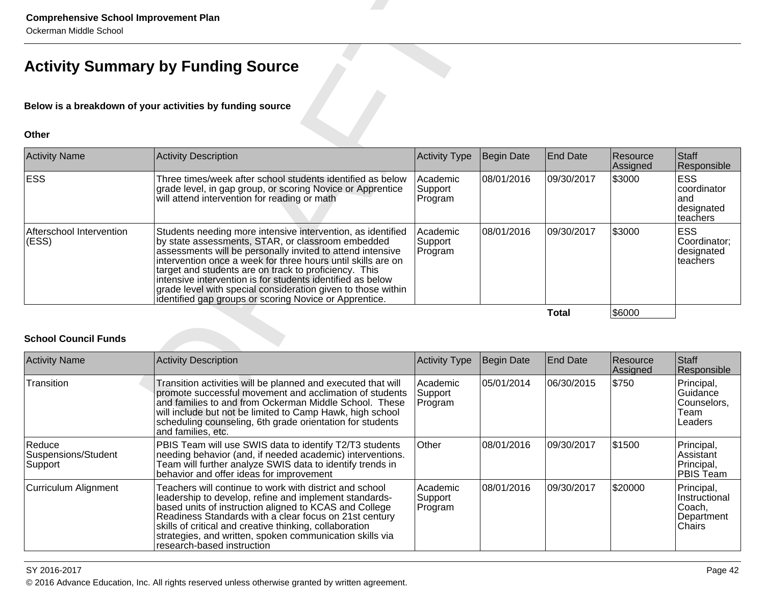| <b>Comprehensive School Improvement Plan</b><br>Ockerman Middle School |                                                                                                                                                                                                                                                                                                                                                                                                                                                                                                 |                                |                   |                 |                      |                                                            |  |  |  |
|------------------------------------------------------------------------|-------------------------------------------------------------------------------------------------------------------------------------------------------------------------------------------------------------------------------------------------------------------------------------------------------------------------------------------------------------------------------------------------------------------------------------------------------------------------------------------------|--------------------------------|-------------------|-----------------|----------------------|------------------------------------------------------------|--|--|--|
| <b>Activity Summary by Funding Source</b>                              |                                                                                                                                                                                                                                                                                                                                                                                                                                                                                                 |                                |                   |                 |                      |                                                            |  |  |  |
|                                                                        | Below is a breakdown of your activities by funding source                                                                                                                                                                                                                                                                                                                                                                                                                                       |                                |                   |                 |                      |                                                            |  |  |  |
| <b>Other</b>                                                           |                                                                                                                                                                                                                                                                                                                                                                                                                                                                                                 |                                |                   |                 |                      |                                                            |  |  |  |
| <b>Activity Name</b>                                                   | Activity Description                                                                                                                                                                                                                                                                                                                                                                                                                                                                            | <b>Activity Type</b>           | Begin Date        | <b>End Date</b> | Resource<br>Assigned | Staff<br>Responsible                                       |  |  |  |
| <b>ESS</b>                                                             | Three times/week after school students identified as below<br>grade level, in gap group, or scoring Novice or Apprentice<br>will attend intervention for reading or math                                                                                                                                                                                                                                                                                                                        | Academic<br>Support<br>Program | 08/01/2016        | 09/30/2017      | \$3000               | <b>ESS</b><br>coordinator<br>and<br>designated<br>teachers |  |  |  |
| Afterschool Intervention<br>(ESS)                                      | Students needing more intensive intervention, as identified<br>by state assessments, STAR, or classroom embedded<br>assessments will be personally invited to attend intensive<br>intervention once a week for three hours until skills are on<br>target and students are on track to proficiency. This<br>intensive intervention is for students identified as below<br>grade level with special consideration given to those within<br>identified gap groups or scoring Novice or Apprentice. | Academic<br>Support<br>Program | 08/01/2016        | 09/30/2017      | \$3000               | <b>ESS</b><br>Coordinator:<br>designated<br>teachers       |  |  |  |
|                                                                        |                                                                                                                                                                                                                                                                                                                                                                                                                                                                                                 |                                |                   | <b>Total</b>    | \$6000               |                                                            |  |  |  |
| <b>School Council Funds</b>                                            |                                                                                                                                                                                                                                                                                                                                                                                                                                                                                                 |                                |                   |                 |                      |                                                            |  |  |  |
| <b>Activity Name</b>                                                   | <b>Activity Description</b>                                                                                                                                                                                                                                                                                                                                                                                                                                                                     | <b>Activity Type</b>           | <b>Begin Date</b> | <b>End Date</b> | Resource<br>Assigned | Staff<br>Responsible                                       |  |  |  |
| Transition                                                             | Transition activities will be planned and executed that will<br>promote successful movement and acclimation of students<br>and families to and from Ockerman Middle School. These<br>will include but not be limited to Camp Hawk, high school<br>scheduling counseling, 6th grade orientation for students<br>and families, etc.                                                                                                                                                               | Academic<br>Support<br>Program | 05/01/2014        | 06/30/2015      | \$750                | Principal,<br>Guidance<br>Counselors,<br>Team<br>Leaders   |  |  |  |

| <b>Activity Name</b>                      | <b>Activity Description</b>                                                                                                                                                                                                                                                                                                                                                                | <b>Activity Type</b>           | Begin Date  | <b>End Date</b> | Resource<br><b>Assigned</b> | <b>Staff</b><br>Responsible                                    |
|-------------------------------------------|--------------------------------------------------------------------------------------------------------------------------------------------------------------------------------------------------------------------------------------------------------------------------------------------------------------------------------------------------------------------------------------------|--------------------------------|-------------|-----------------|-----------------------------|----------------------------------------------------------------|
| Transition                                | Transition activities will be planned and executed that will<br>promote successful movement and acclimation of students<br>and families to and from Ockerman Middle School. These<br>will include but not be limited to Camp Hawk, high school<br>scheduling counseling, 6th grade orientation for students<br>and families, etc.                                                          | Academic<br>Support<br>Program | 05/01/2014  | 06/30/2015      | \$750                       | Principal,<br>Guidance<br>Counselors,<br>Team<br>Leaders       |
| Reduce<br>Suspensions/Student<br> Support | PBIS Team will use SWIS data to identify T2/T3 students<br>needing behavior (and, if needed academic) interventions.<br>Team will further analyze SWIS data to identify trends in<br>behavior and offer ideas for improvement                                                                                                                                                              | Other                          | 08/01/2016  | 09/30/2017      | \$1500                      | Principal,<br>Assistant<br>Principal,<br>IPBIS Team            |
| Curriculum Alignment                      | Teachers will continue to work with district and school<br>leadership to develop, refine and implement standards-<br>based units of instruction aligned to KCAS and College<br>Readiness Standards with a clear focus on 21st century<br>skills of critical and creative thinking, collaboration<br>strategies, and written, spoken communication skills via<br>research-based instruction | Academic<br>Support<br>Program | 108/01/2016 | 09/30/2017      | \$20000                     | Principal,<br>Instructional<br> Coach,<br>Department<br>Chairs |

#### SY 2016-2017

en and the set of the set of the set of the set of the set of the set of the set of the set of the set of the set of the set of the set of the set of the set of the set of the set of the set of the set of the set of the se © 2016 Advance Education, Inc. All rights reserved unless otherwise granted by written agreement.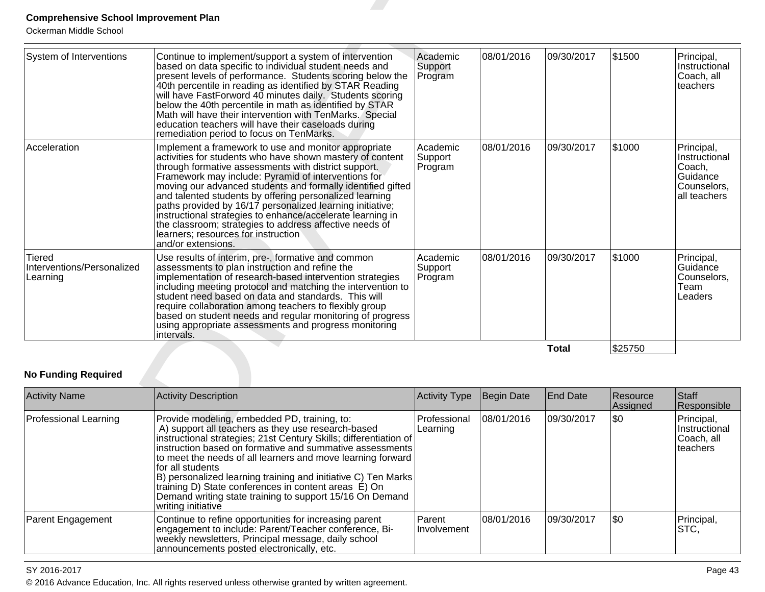| System of Interventions                          | Continue to implement/support a system of intervention<br>based on data specific to individual student needs and<br>present levels of performance. Students scoring below the<br>40th percentile in reading as identified by STAR Reading<br>will have FastForword 40 minutes daily. Students scoring<br>below the 40th percentile in math as identified by STAR<br>Math will have their intervention with TenMarks. Special<br>education teachers will have their caseloads during<br>remediation period to focus on TenMarks.                                                                               | Academic<br>Support<br>Program | 08/01/2016        | 09/30/2017      | \$1500           | Principal,<br>Instructional<br>Coach, all<br>teachers                            |
|--------------------------------------------------|---------------------------------------------------------------------------------------------------------------------------------------------------------------------------------------------------------------------------------------------------------------------------------------------------------------------------------------------------------------------------------------------------------------------------------------------------------------------------------------------------------------------------------------------------------------------------------------------------------------|--------------------------------|-------------------|-----------------|------------------|----------------------------------------------------------------------------------|
| Acceleration                                     | Implement a framework to use and monitor appropriate<br>activities for students who have shown mastery of content<br>through formative assessments with district support.<br>Framework may include: Pyramid of interventions for<br>moving our advanced students and formally identified gifted<br>and talented students by offering personalized learning<br>paths provided by 16/17 personalized learning initiative;<br>instructional strategies to enhance/accelerate learning in<br>the classroom; strategies to address affective needs of<br>learners; resources for instruction<br>and/or extensions. | Academic<br>Support<br>Program | 08/01/2016        | 09/30/2017      | \$1000           | Principal,<br>Instructional<br>Coach,<br>Guidance<br>Counselors,<br>all teachers |
| Tiered<br>Interventions/Personalized<br>Learning | Use results of interim, pre-, formative and common<br>assessments to plan instruction and refine the<br>implementation of research-based intervention strategies<br>including meeting protocol and matching the intervention to<br>student need based on data and standards. This will<br>require collaboration among teachers to flexibly group<br>based on student needs and regular monitoring of progress<br>using appropriate assessments and progress monitoring<br>intervals.                                                                                                                          | Academic<br>Support<br>Program | 08/01/2016        | 09/30/2017      | \$1000           | Principal,<br>Guidance<br>Counselors,<br>Team<br>Leaders                         |
| <b>No Funding Required</b>                       |                                                                                                                                                                                                                                                                                                                                                                                                                                                                                                                                                                                                               |                                |                   | <b>Total</b>    | \$25750          |                                                                                  |
| <b>Activity Name</b>                             | <b>Activity Description</b>                                                                                                                                                                                                                                                                                                                                                                                                                                                                                                                                                                                   | <b>Activity Type</b>           | <b>Begin Date</b> | <b>End Date</b> | Resource         | Staff                                                                            |
| <b>Professional Learning</b>                     | Provide modeling, embedded PD, training, to:<br>A) support all teachers as they use research-based                                                                                                                                                                                                                                                                                                                                                                                                                                                                                                            | Professional<br>Learning       | 08/01/2016        | 09/30/2017      | Assigned<br> \$0 | Responsible<br>Principal,<br>Instructional                                       |

| <b>Activity Name</b>         | <b>Activity Description</b>                                                                                                                                                                                                                                                                                                                                                                                                                                                                                                       | <b>Activity Type</b>     | Begin Date | <b>End Date</b> | Resource<br>Assigned | Staff<br>Responsible                                   |
|------------------------------|-----------------------------------------------------------------------------------------------------------------------------------------------------------------------------------------------------------------------------------------------------------------------------------------------------------------------------------------------------------------------------------------------------------------------------------------------------------------------------------------------------------------------------------|--------------------------|------------|-----------------|----------------------|--------------------------------------------------------|
| <b>Professional Learning</b> | Provide modeling, embedded PD, training, to:<br>A) support all teachers as they use research-based<br>instructional strategies; 21st Century Skills; differentiation of<br>instruction based on formative and summative assessments<br>to meet the needs of all learners and move learning forward<br>for all students<br>B) personalized learning training and initiative C) Ten Marks<br>training D) State conferences in content areas E) On<br>Demand writing state training to support 15/16 On Demand<br>writing initiative | Professional<br>Learning | 08/01/2016 | 09/30/2017      | $ \$0$               | Principal,<br>Instructional<br>Coach, all<br>lteachers |
| Parent Engagement            | Continue to refine opportunities for increasing parent<br>engagement to include: Parent/Teacher conference, Bi-<br>weekly newsletters, Principal message, daily school<br>announcements posted electronically, etc.                                                                                                                                                                                                                                                                                                               | Parent<br>Involvement    | 08/01/2016 | 09/30/2017      | \$0                  | Principal,<br>STC,                                     |

#### SY 2016-2017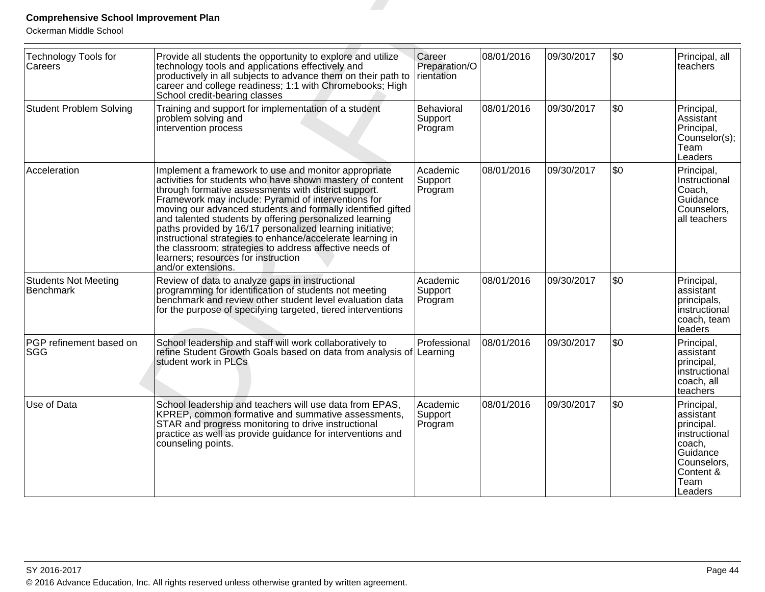| <b>Comprehensive School Improvement Plan</b>                     |                                                                                                                                                                                                                                                                                                                                                                                                                                                                                                                                                                                                               |                                       |            |            |            |                                                                                                                             |
|------------------------------------------------------------------|---------------------------------------------------------------------------------------------------------------------------------------------------------------------------------------------------------------------------------------------------------------------------------------------------------------------------------------------------------------------------------------------------------------------------------------------------------------------------------------------------------------------------------------------------------------------------------------------------------------|---------------------------------------|------------|------------|------------|-----------------------------------------------------------------------------------------------------------------------------|
| Ockerman Middle School<br><b>Technology Tools for</b><br>Careers | Provide all students the opportunity to explore and utilize<br>technology tools and applications effectively and<br>productively in all subjects to advance them on their path to<br>career and college readiness; 1:1 with Chromebooks; High<br>School credit-bearing classes                                                                                                                                                                                                                                                                                                                                | Career<br>Preparation/O<br>rientation | 08/01/2016 | 09/30/2017 | \$0        | Principal, all<br>teachers                                                                                                  |
| <b>Student Problem Solving</b>                                   | Training and support for implementation of a student<br>problem solving and<br>intervention process                                                                                                                                                                                                                                                                                                                                                                                                                                                                                                           | Behavioral<br>Support<br>Program      | 08/01/2016 | 09/30/2017 | \$0        | Principal,<br>Assistant<br>Principal,<br>Counselor(s);<br>Team<br>Leaders                                                   |
| Acceleration                                                     | Implement a framework to use and monitor appropriate<br>activities for students who have shown mastery of content<br>through formative assessments with district support.<br>Framework may include: Pyramid of interventions for<br>moving our advanced students and formally identified gifted<br>and talented students by offering personalized learning<br>paths provided by 16/17 personalized learning initiative;<br>instructional strategies to enhance/accelerate learning in<br>the classroom; strategies to address affective needs of<br>learners; resources for instruction<br>and/or extensions. | Academic<br>Support<br>Program        | 08/01/2016 | 09/30/2017 | <b>\$0</b> | Principal,<br>Instructional<br>Coach,<br>Guidance<br>Counselors,<br>all teachers                                            |
| <b>Students Not Meeting</b><br>Benchmark                         | Review of data to analyze gaps in instructional<br>programming for identification of students not meeting<br>benchmark and review other student level evaluation data<br>for the purpose of specifying targeted, tiered interventions                                                                                                                                                                                                                                                                                                                                                                         | Academic<br>Support<br>Program        | 08/01/2016 | 09/30/2017 | l\$0       | Principal,<br>assistant<br>principals,<br>instructional<br>coach, team<br>leaders                                           |
| PGP refinement based on<br><b>SGG</b>                            | School leadership and staff will work collaboratively to<br>refine Student Growth Goals based on data from analysis of<br>student work in PLCs                                                                                                                                                                                                                                                                                                                                                                                                                                                                | Professional<br>Learning              | 08/01/2016 | 09/30/2017 | \$0        | Principal,<br>lassistant<br>principal,<br>instructional<br>coach, all<br>teachers                                           |
| Use of Data                                                      | School leadership and teachers will use data from EPAS,<br>KPREP, common formative and summative assessments,<br>STAR and progress monitoring to drive instructional<br>practice as well as provide guidance for interventions and<br>counseling points.                                                                                                                                                                                                                                                                                                                                                      | Academic<br>Support<br>Program        | 08/01/2016 | 09/30/2017 | \$0        | Principal,<br>assistant<br>principal.<br>instructional<br>coach,<br>Guidance<br>Counselors,<br>Content &<br>Team<br>Leaders |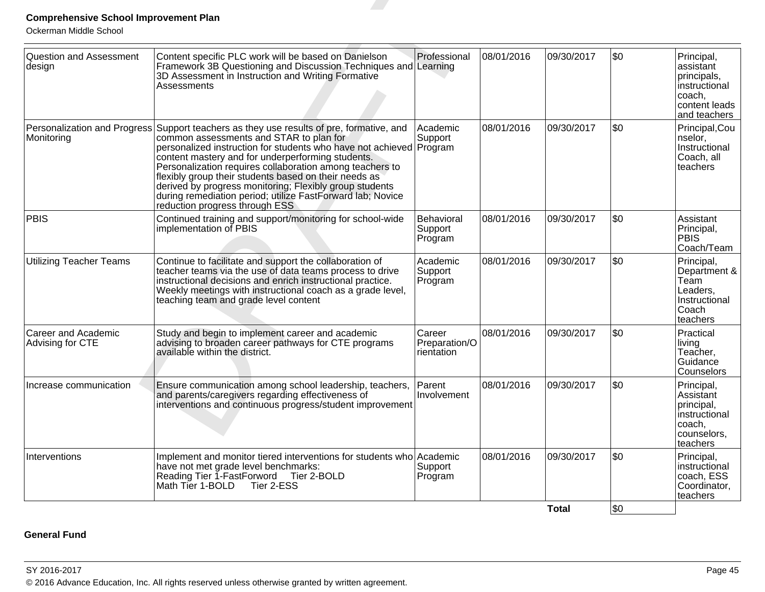| <b>Comprehensive School Improvement Plan</b><br>Ockerman Middle School |                                                                                                                                                                                                                                                                                                                                                                                                                                                                                                                                  |                                       |            |              |         |                                                                                                       |
|------------------------------------------------------------------------|----------------------------------------------------------------------------------------------------------------------------------------------------------------------------------------------------------------------------------------------------------------------------------------------------------------------------------------------------------------------------------------------------------------------------------------------------------------------------------------------------------------------------------|---------------------------------------|------------|--------------|---------|-------------------------------------------------------------------------------------------------------|
| <b>Question and Assessment</b><br>design                               | Content specific PLC work will be based on Danielson<br>Framework 3B Questioning and Discussion Techniques and Learning<br>3D Assessment in Instruction and Writing Formative<br>Assessments                                                                                                                                                                                                                                                                                                                                     | Professional                          | 08/01/2016 | 09/30/2017   | \$0     | Principal,<br>lassistant<br>principals,<br>linstructional<br>∣coach,<br>content leads<br>and teachers |
|                                                                        | Personalization and Progress Support teachers as they use results of pre, formative, and<br>Monitoring<br>Monitoring<br>personalized instruction for students who have not achieved Program<br>content mastery and for underperforming students.<br>Personalization requires collaboration among teachers to<br>flexibly group their students based on their needs as<br>derived by progress monitoring; Flexibly group students<br>during remediation period; utilize FastForward lab; Novice<br>reduction progress through ESS | Academic<br>Support                   | 08/01/2016 | 09/30/2017   | \$0     | Principal,Cou<br>nselor,<br>Instructional<br>Coach, all<br>lteachers                                  |
| PBIS                                                                   | Continued training and support/monitoring for school-wide<br>implementation of PBIS                                                                                                                                                                                                                                                                                                                                                                                                                                              | Behavioral<br>Support<br>Program      | 08/01/2016 | 09/30/2017   | \$0     | Assistant<br>Principal,<br><b>PBIS</b><br>Coach/Team                                                  |
| <b>Utilizing Teacher Teams</b>                                         | Continue to facilitate and support the collaboration of<br>teacher teams via the use of data teams process to drive<br>instructional decisions and enrich instructional practice.<br>Weekly meetings with instructional coach as a grade level,<br>teaching team and grade level content                                                                                                                                                                                                                                         | Academic<br>Support<br>Program        | 08/01/2016 | 09/30/2017   | \$0     | Principal,<br>Department &<br>Team<br>Leaders,<br>Instructional<br> Coach<br>teachers                 |
| <b>Career and Academic</b><br>Advising for CTE                         | Study and begin to implement career and academic<br>advising to broaden career pathways for CTE programs<br>available within the district.                                                                                                                                                                                                                                                                                                                                                                                       | Career<br>Preparation/O<br>rientation | 08/01/2016 | 09/30/2017   | \$0     | Practical<br> living<br>Teacher,<br>Guidance<br>Counselors                                            |
| Increase communication                                                 | Ensure communication among school leadership, teachers,<br>and parents/caregivers regarding effectiveness of<br>interventions and continuous progress/student improvement                                                                                                                                                                                                                                                                                                                                                        | Parent<br>Involvement                 | 08/01/2016 | 09/30/2017   | \$0     | Principal,<br>Assistant<br>principal,<br>instructional<br>coach,<br>counselors,<br>teachers           |
| Interventions                                                          | Implement and monitor tiered interventions for students who Academic<br>have not met grade level benchmarks:<br>Reading Tier 1-FastForword Tier 2-BOLD<br>Math Tier 1-BOLD Tier 2-ESS                                                                                                                                                                                                                                                                                                                                            | Support<br>Program                    | 08/01/2016 | 09/30/2017   | \$0     | Principal,<br>instructional<br>coach, ESS<br>Coordinator,<br>teachers                                 |
|                                                                        |                                                                                                                                                                                                                                                                                                                                                                                                                                                                                                                                  |                                       |            | <b>Total</b> | $ $ \$0 |                                                                                                       |

# **General Fund**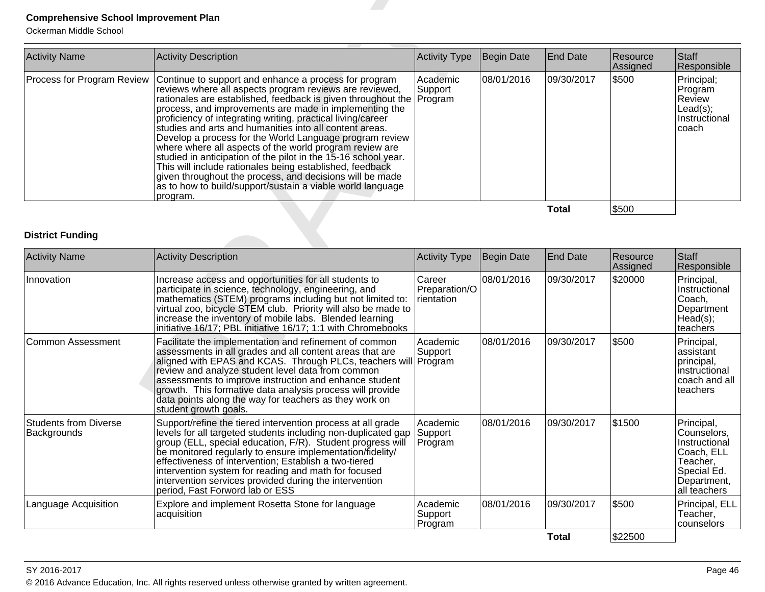| <b>Activity Name</b> | <b>Activity Description</b>                                                                                                                                                                                                                                                                                                                                                                                                                                                                                                                                                                                                                                                                                                                                                                          | Activity Type        | Begin Date | End Date   | Resource<br>Assigned | Staff<br>Responsible                                                    |
|----------------------|------------------------------------------------------------------------------------------------------------------------------------------------------------------------------------------------------------------------------------------------------------------------------------------------------------------------------------------------------------------------------------------------------------------------------------------------------------------------------------------------------------------------------------------------------------------------------------------------------------------------------------------------------------------------------------------------------------------------------------------------------------------------------------------------------|----------------------|------------|------------|----------------------|-------------------------------------------------------------------------|
|                      | Process for Program Review   Continue to support and enhance a process for program<br>reviews where all aspects program reviews are reviewed,<br>rationales are established, feedback is given throughout the Program<br>process, and improvements are made in implementing the<br>proficiency of integrating writing, practical living/career<br>studies and arts and humanities into all content areas.<br>Develop a process for the World Language program review<br>where where all aspects of the world program review are<br>studied in anticipation of the pilot in the 15-16 school year.<br>This will include rationales being established, feedback<br>given throughout the process, and decisions will be made<br>as to how to build/support/sustain a viable world language<br> program. | lAcademic<br>Support | 08/01/2016 | 09/30/2017 | \$500                | Principal;<br>Program<br> Review<br>Lead(s);<br>Instructional<br>Icoach |
|                      |                                                                                                                                                                                                                                                                                                                                                                                                                                                                                                                                                                                                                                                                                                                                                                                                      |                      |            | Total      | \$500                |                                                                         |

| <b>Comprehensive School Improvement Plan</b><br>Ockerman Middle School |                                                                                                                                                                                                                                                                                                                                                                                                                                                                                                                                                                                                                                                                                                                                                                |                                       |            |                 |                      |                                                                                                                    |
|------------------------------------------------------------------------|----------------------------------------------------------------------------------------------------------------------------------------------------------------------------------------------------------------------------------------------------------------------------------------------------------------------------------------------------------------------------------------------------------------------------------------------------------------------------------------------------------------------------------------------------------------------------------------------------------------------------------------------------------------------------------------------------------------------------------------------------------------|---------------------------------------|------------|-----------------|----------------------|--------------------------------------------------------------------------------------------------------------------|
| <b>Activity Name</b>                                                   | <b>Activity Description</b>                                                                                                                                                                                                                                                                                                                                                                                                                                                                                                                                                                                                                                                                                                                                    | <b>Activity Type</b>                  | Begin Date | <b>End Date</b> | Resource<br>Assigned | Staff<br>Responsible                                                                                               |
| Process for Program Review                                             | Continue to support and enhance a process for program<br>reviews where all aspects program reviews are reviewed,<br>rationales are established, feedback is given throughout the<br>process, and improvements are made in implementing the<br>proficiency of integrating writing, practical living/career<br>studies and arts and humanities into all content areas.<br>Develop a process for the World Language program review<br>where where all aspects of the world program review are<br>studied in anticipation of the pilot in the 15-16 school year.<br>This will include rationales being established, feedback<br>given throughout the process, and decisions will be made<br>as to how to build/support/sustain a viable world language<br>program. | Academic<br>Support<br>Program        | 08/01/2016 | 09/30/2017      | \$500                | Principal;<br>Program<br>Review<br>Lead(s);<br>Instructional<br>coach                                              |
|                                                                        |                                                                                                                                                                                                                                                                                                                                                                                                                                                                                                                                                                                                                                                                                                                                                                |                                       |            | <b>Total</b>    | \$500                |                                                                                                                    |
| <b>District Funding</b><br><b>Activity Name</b>                        | <b>Activity Description</b>                                                                                                                                                                                                                                                                                                                                                                                                                                                                                                                                                                                                                                                                                                                                    | <b>Activity Type</b>                  | Begin Date | <b>End Date</b> | Resource<br>Assigned | Staff<br>Responsible                                                                                               |
| Innovation                                                             | Increase access and opportunities for all students to<br>participate in science, technology, engineering, and<br>mathematics (STEM) programs including but not limited to:<br>virtual zoo, bicycle STEM club. Priority will also be made to<br>increase the inventory of mobile labs. Blended learning<br>initiative 16/17; PBL initiative 16/17; 1:1 with Chromebooks                                                                                                                                                                                                                                                                                                                                                                                         | Career<br>Preparation/O<br>rientation | 08/01/2016 | 09/30/2017      | \$20000              | Principal,<br>Instructional<br>Coach,<br>Department<br>Head(s);<br>teachers                                        |
| <b>Common Assessment</b>                                               | Facilitate the implementation and refinement of common<br>assessments in all grades and all content areas that are<br>aligned with EPAS and KCAS. Through PLCs, teachers will Program<br>review and analyze student level data from common<br>assessments to improve instruction and enhance student<br>growth. This formative data analysis process will provide<br>data points along the way for teachers as they work on<br>student growth goals.                                                                                                                                                                                                                                                                                                           | Academic<br>Support                   | 08/01/2016 | 09/30/2017      | \$500                | Principal,<br>assistant<br>principal,<br>instructional<br>coach and all<br>teachers                                |
| <b>Students from Diverse</b><br>Backgrounds                            | Support/refine the tiered intervention process at all grade<br>levels for all targeted students including non-duplicated gap<br>group (ELL, special education, F/R). Student progress will<br>be monitored regularly to ensure implementation/fidelity/<br>effectiveness of intervention; Establish a two-tiered<br>intervention system for reading and math for focused<br>intervention services provided during the intervention<br>period, Fast Forword lab or ESS                                                                                                                                                                                                                                                                                          | Academic<br>Support<br>Program        | 08/01/2016 | 09/30/2017      | \$1500               | Principal,<br>Counselors,<br>Instructional<br>Coach, ELL<br>Teacher,<br>Special Ed.<br>Department,<br>all teachers |
| Language Acquisition                                                   | Explore and implement Rosetta Stone for language<br>acquisition                                                                                                                                                                                                                                                                                                                                                                                                                                                                                                                                                                                                                                                                                                | Academic<br>Support<br>Program        | 08/01/2016 | 09/30/2017      | \$500                | Principal, ELL<br>Teacher,<br>counselors                                                                           |
|                                                                        |                                                                                                                                                                                                                                                                                                                                                                                                                                                                                                                                                                                                                                                                                                                                                                |                                       |            | <b>Total</b>    | \$22500              |                                                                                                                    |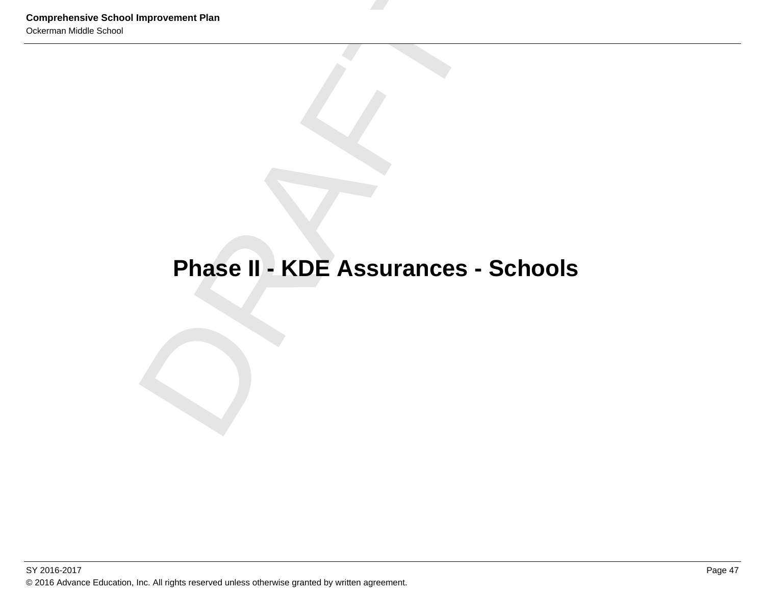# Comprehensive School Improvement Plan<br>
Ockerman Middle School<br> **Phase II - KDE Assurances - Schools**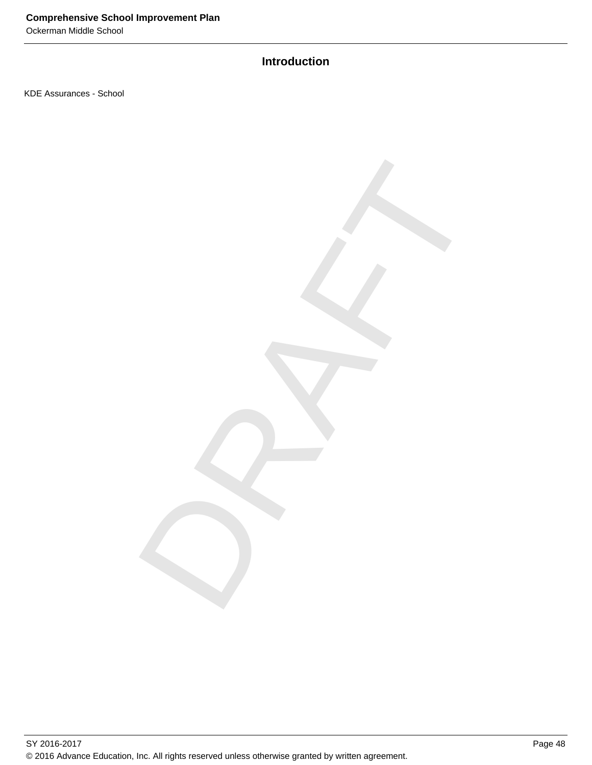Ockerman Middle School

# **Introduction**

DRAFT

KDE Assurances - School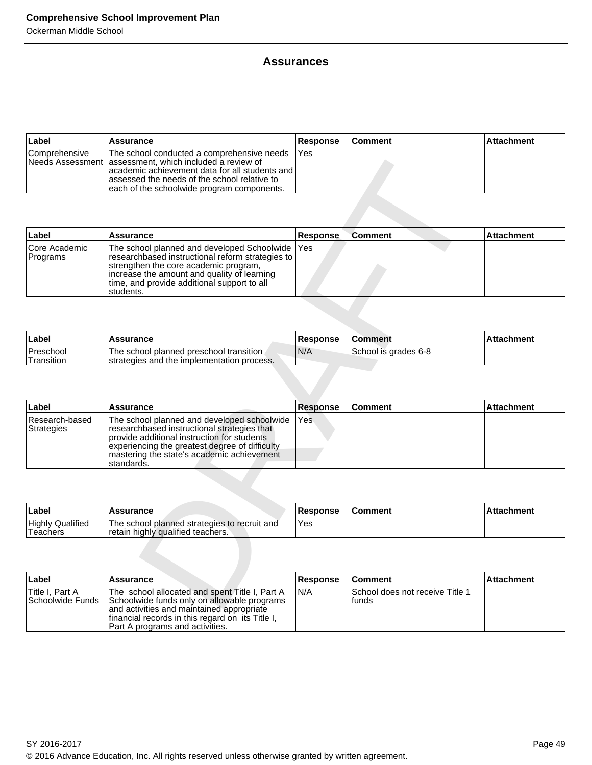# **Assurances**

| ∣Label        | Assurance                                                                                                                                                                                                                                                  | <b>Response</b> | <b>Comment</b> | <b>Attachment</b> |
|---------------|------------------------------------------------------------------------------------------------------------------------------------------------------------------------------------------------------------------------------------------------------------|-----------------|----------------|-------------------|
| Comprehensive | The school conducted a comprehensive needs<br>INeeds Assessment lassessment, which included a review of<br>lacademic achievement data for all students and l<br>assessed the needs of the school relative to<br>each of the schoolwide program components. | <b>IYes</b>     |                |                   |

|                                            | Needs Assessment assessment, which included a review of<br>academic achievement data for all students and<br>assessed the needs of the school relative to                                                                                               |                 |                                          |                   |
|--------------------------------------------|---------------------------------------------------------------------------------------------------------------------------------------------------------------------------------------------------------------------------------------------------------|-----------------|------------------------------------------|-------------------|
|                                            | each of the schoolwide program components.                                                                                                                                                                                                              |                 |                                          |                   |
| Label                                      | <b>Assurance</b>                                                                                                                                                                                                                                        | Response        | <b>Comment</b>                           | <b>Attachment</b> |
| Core Academic<br>Programs                  | The school planned and developed Schoolwide<br>researchbased instructional reform strategies to<br>strengthen the core academic program,<br>increase the amount and quality of learning<br>time, and provide additional support to all<br>students.     | Yes             |                                          |                   |
|                                            |                                                                                                                                                                                                                                                         |                 |                                          |                   |
| Label                                      | Assurance                                                                                                                                                                                                                                               | Response        | <b>Comment</b>                           | <b>Attachment</b> |
| Preschool<br>Transition                    | The school planned preschool transition<br>strategies and the implementation process.                                                                                                                                                                   | N/A             | School is grades 6-8                     |                   |
|                                            |                                                                                                                                                                                                                                                         |                 |                                          |                   |
| Label                                      | Assurance                                                                                                                                                                                                                                               | <b>Response</b> | <b>Comment</b>                           | Attachment        |
| Research-based<br><b>Strategies</b>        | The school planned and developed schoolwide<br>researchbased instructional strategies that<br>provide additional instruction for students<br>experiencing the greatest degree of difficulty<br>mastering the state's academic achievement<br>standards. | Yes             |                                          |                   |
|                                            |                                                                                                                                                                                                                                                         |                 |                                          |                   |
| Label                                      | <b>Assurance</b>                                                                                                                                                                                                                                        | <b>Response</b> | <b>Comment</b>                           | Attachment        |
| <b>Highly Qualified</b><br><b>Teachers</b> | The school planned strategies to recruit and<br>retain highly qualified teachers.                                                                                                                                                                       | Yes             |                                          |                   |
|                                            |                                                                                                                                                                                                                                                         |                 |                                          |                   |
| Label                                      | Assurance                                                                                                                                                                                                                                               | <b>Response</b> | Comment                                  | Attachment        |
| Title I, Part A<br>Schoolwide Funds        | The school allocated and spent Title I, Part A<br>Schoolwide funds only on allowable programs<br>and octivities and mointained enprensiate                                                                                                              | N/A             | School does not receive Title 1<br>funds |                   |

| <b>Label</b>                    | <b>Assurance</b>                                                                       | Response | <b>Comment</b>       | <b>Attachment</b> |
|---------------------------------|----------------------------------------------------------------------------------------|----------|----------------------|-------------------|
| <b>Preschool</b><br>'Transition | The school planned preschool transition<br>Istrategies and the implementation process. | 'N/A     | School is grades 6-8 |                   |

| ∣Label                       | Assurance                                                                                                                                                                                                                                                 | <b>Response</b> | ∣Comment | <b>Attachment</b> |
|------------------------------|-----------------------------------------------------------------------------------------------------------------------------------------------------------------------------------------------------------------------------------------------------------|-----------------|----------|-------------------|
| Research-based<br>Strategies | The school planned and developed schoolwide<br>researchbased instructional strategies that<br>provide additional instruction for students<br>experiencing the greatest degree of difficulty<br>Imastering the state's academic achievement<br>Istandards. | <b>IYes</b>     |          |                   |

| ∣Label                              | <b>Assurance</b>                                                                  | <b>Response</b> | <b>Comment</b> | Attachment |
|-------------------------------------|-----------------------------------------------------------------------------------|-----------------|----------------|------------|
| <b>Highly Qualified</b><br>Teachers | The school planned strategies to recruit and<br>retain highly qualified teachers. | Yes             |                |            |

| ∣Label                               | <b>Assurance</b>                                                                                                                                                                                                                  | <b>Response</b> | <b>Comment</b>                            | ∣Attachment |
|--------------------------------------|-----------------------------------------------------------------------------------------------------------------------------------------------------------------------------------------------------------------------------------|-----------------|-------------------------------------------|-------------|
| Title I. Part A<br> Schoolwide Funds | The school allocated and spent Title I, Part A<br>Schoolwide funds only on allowable programs<br>and activities and maintained appropriate<br>financial records in this regard on its Title I,<br>Part A programs and activities. | IN/A            | School does not receive Title 1<br>Ifunds |             |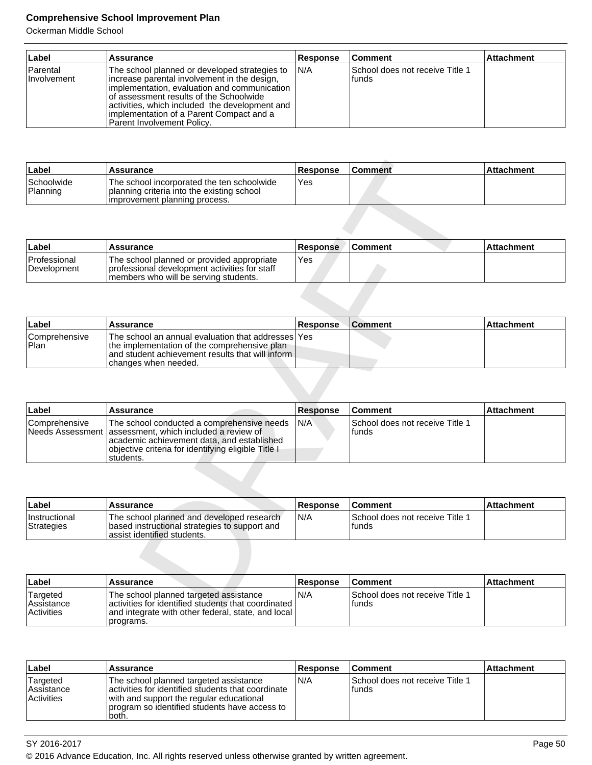| ∣Label                          | <b>Assurance</b>                                                                                                                                                                                                                                                                                                     | <b>Response</b> | ∣Comment                                   | <b>Attachment</b> |
|---------------------------------|----------------------------------------------------------------------------------------------------------------------------------------------------------------------------------------------------------------------------------------------------------------------------------------------------------------------|-----------------|--------------------------------------------|-------------------|
| Parental<br><i>I</i> nvolvement | The school planned or developed strategies to<br>increase parental involvement in the design,<br>implementation, evaluation and communication<br>of assessment results of the Schoolwide<br>activities, which included the development and<br>implementation of a Parent Compact and a<br>Parent Involvement Policy. | IN/A            | ISchool does not receive Title 1<br>Ifunds |                   |

| Label                  | <b>Assurance</b>                                                                                                          | <b>Response</b> | <b>Comment</b> | ∣Attachment |
|------------------------|---------------------------------------------------------------------------------------------------------------------------|-----------------|----------------|-------------|
| Schoolwide<br>Planning | The school incorporated the ten schoolwide<br>planning criteria into the existing school<br>improvement planning process. | Yes             |                |             |

| Label                              | Assurance                                                                                                                              | Response | <b>Comment</b> | ⊺Attachment |
|------------------------------------|----------------------------------------------------------------------------------------------------------------------------------------|----------|----------------|-------------|
| <b>Professional</b><br>Development | The school planned or provided appropriate<br>I professional development activities for staff<br>members who will be serving students. | Yes      |                |             |

| Label                                     | <b>Assurance</b>                                                                                                                                                                    | <b>Response</b> | <b>Comment</b> | <b>Attachment</b> |
|-------------------------------------------|-------------------------------------------------------------------------------------------------------------------------------------------------------------------------------------|-----------------|----------------|-------------------|
| <b>Comprehensive</b><br><sup>1</sup> Plan | The school an annual evaluation that addresses lYes<br>Ithe implementation of the comprehensive plan<br>land student achievement results that will inform I<br>changes when needed. |                 |                |                   |

| Label                                    | Assurance                                                                                                                                                                                              | <b>Response</b> | <b>Comment</b>                           | <b>Attachment</b> |
|------------------------------------------|--------------------------------------------------------------------------------------------------------------------------------------------------------------------------------------------------------|-----------------|------------------------------------------|-------------------|
| Schoolwide<br>Planning                   | The school incorporated the ten schoolwide<br>planning criteria into the existing school<br>improvement planning process.                                                                              | Yes             |                                          |                   |
|                                          |                                                                                                                                                                                                        |                 |                                          |                   |
| Label                                    | <b>Assurance</b>                                                                                                                                                                                       | <b>Response</b> | <b>Comment</b>                           | <b>Attachment</b> |
| Professional<br>Development              | The school planned or provided appropriate<br>professional development activities for staff<br>members who will be serving students.                                                                   | Yes             |                                          |                   |
|                                          |                                                                                                                                                                                                        |                 |                                          |                   |
| Label                                    | <b>Assurance</b>                                                                                                                                                                                       | Response        | <b>Comment</b>                           | <b>Attachment</b> |
| Comprehensive<br>Plan                    | The school an annual evaluation that addresses<br>the implementation of the comprehensive plan<br>and student achievement results that will inform<br>changes when needed.                             | Yes             |                                          |                   |
| Label                                    | Assurance                                                                                                                                                                                              | <b>Response</b> | <b>Comment</b>                           | <b>Attachment</b> |
| Comprehensive<br><b>Needs Assessment</b> | The school conducted a comprehensive needs<br>assessment, which included a review of<br>academic achievement data, and established<br>objective criteria for identifying eligible Title I<br>students. | N/A             | School does not receive Title 1<br>funds |                   |
|                                          |                                                                                                                                                                                                        |                 |                                          |                   |
| Label                                    | <b>Assurance</b>                                                                                                                                                                                       | Response        | <b>Comment</b>                           | <b>Attachment</b> |
| Instructional<br><b>Strategies</b>       | The school planned and developed research<br>based instructional strategies to support and<br>assist identified students.                                                                              | N/A             | School does not receive Title 1<br>funds |                   |
|                                          |                                                                                                                                                                                                        |                 |                                          |                   |
| Label                                    | <b>Assurance</b>                                                                                                                                                                                       | <b>Response</b> | <b>Comment</b>                           | <b>Attachment</b> |
| Targeted<br>Assistance                   | The school planned targeted assistance<br>activities for identified students that coordinated                                                                                                          | N/A             | School does not receive Title 1<br>funds |                   |

| ∣Label                             | Assurance                                                                                                                  | Response | <b>Comment</b>                            | ⊺Attachment |
|------------------------------------|----------------------------------------------------------------------------------------------------------------------------|----------|-------------------------------------------|-------------|
| <b>Instructional</b><br>Strategies | The school planned and developed research<br>based instructional strategies to support and<br>lassist identified students. | IN/A     | School does not receive Title 1<br>Ifunds |             |

| ∣Label                                             | Assurance                                                                                                                                                          | <b>Response</b> | <b>Comment</b>                            | <b>Attachment</b> |
|----------------------------------------------------|--------------------------------------------------------------------------------------------------------------------------------------------------------------------|-----------------|-------------------------------------------|-------------------|
| Targeted<br><b>Assistance</b><br><b>Activities</b> | The school planned targeted assistance<br>activities for identified students that coordinated I<br>and integrate with other federal, state, and local<br>programs. | 'N/A            | School does not receive Title 1<br>Ifunds |                   |

| ∣Label                                        | Assurance                                                                                                                                                                                          | <b>Response</b> | l Comment                                  | Attachment |
|-----------------------------------------------|----------------------------------------------------------------------------------------------------------------------------------------------------------------------------------------------------|-----------------|--------------------------------------------|------------|
| Targeted<br>l Assistance<br><b>Activities</b> | The school planned targeted assistance<br>activities for identified students that coordinate<br>with and support the regular educational<br>program so identified students have access to<br>both. | N/A             | ISchool does not receive Title 1<br>lfunds |            |

<sup>© 2016</sup> Advance Education, Inc. All rights reserved unless otherwise granted by written agreement.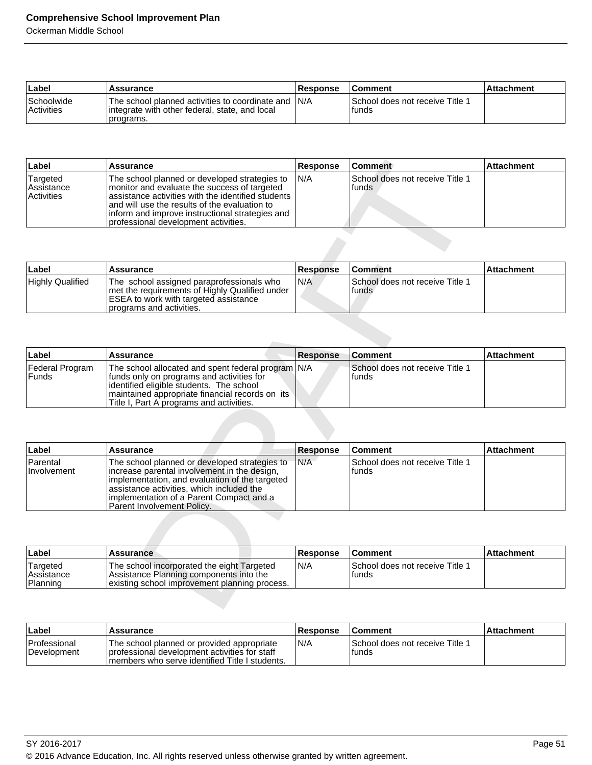| ∣Label                                 | <b>Assurance</b>                                                                                                             | <b>Response</b> | <b>Comment</b>                             | l Attachment |
|----------------------------------------|------------------------------------------------------------------------------------------------------------------------------|-----------------|--------------------------------------------|--------------|
| <b>Schoolwide</b><br><b>Activities</b> | The school planned activities to coordinate and IN/A<br>lintegrate with other federal, state, and local<br><b>Iprograms.</b> |                 | ISchool does not receive Title 1<br>Ifunds |              |

| Label                                              | Assurance                                                                                                                                                                                                                                                                                          | <b>Response</b> | ∣Comment                                           | <b>Attachment</b> |
|----------------------------------------------------|----------------------------------------------------------------------------------------------------------------------------------------------------------------------------------------------------------------------------------------------------------------------------------------------------|-----------------|----------------------------------------------------|-------------------|
| Targeted<br><b>Assistance</b><br><b>Activities</b> | The school planned or developed strategies to<br>monitor and evaluate the success of targeted<br>lassistance activities with the identified students<br>land will use the results of the evaluation to<br>inform and improve instructional strategies and<br>Iprofessional development activities. | IN/A            | l School does not receive Title 1<br><b>Ifunds</b> |                   |

| Label                   | Assurance                                                                                                                                                        | <b>Response</b> | <b>Comment</b>                            | <b>Attachment</b> |
|-------------------------|------------------------------------------------------------------------------------------------------------------------------------------------------------------|-----------------|-------------------------------------------|-------------------|
| <b>Highly Qualified</b> | The school assigned paraprofessionals who<br>met the requirements of Highly Qualified under<br>ESEA to work with targeted assistance<br>programs and activities. | N/A             | School does not receive Title 1<br>lfunds |                   |

| ∣Label                     | <b>Assurance</b>                                                                                                                                                                                                                              | <b>Response</b> | l Comment                                         | <b>Attachment</b> |
|----------------------------|-----------------------------------------------------------------------------------------------------------------------------------------------------------------------------------------------------------------------------------------------|-----------------|---------------------------------------------------|-------------------|
| Federal Program<br>l Funds | The school allocated and spent federal program N/A<br>funds only on programs and activities for<br>lidentified eligible students. The school<br>I maintained appropriate financial records on its<br>Title I, Part A programs and activities. |                 | <b>ISchool does not receive Title 1</b><br>lfunds |                   |

| Label                                | <b>Assurance</b>                                                                                                                                                                                                                                                                                | <b>Response</b> | <b>Comment</b>                           | <b>Attachment</b> |
|--------------------------------------|-------------------------------------------------------------------------------------------------------------------------------------------------------------------------------------------------------------------------------------------------------------------------------------------------|-----------------|------------------------------------------|-------------------|
| Targeted<br>Assistance<br>Activities | The school planned or developed strategies to<br>monitor and evaluate the success of targeted<br>assistance activities with the identified students<br>and will use the results of the evaluation to<br>inform and improve instructional strategies and<br>professional development activities. | N/A             | School does not receive Title 1<br>funds |                   |
|                                      |                                                                                                                                                                                                                                                                                                 |                 |                                          |                   |
| Label                                | <b>Assurance</b>                                                                                                                                                                                                                                                                                | <b>Response</b> | <b>Comment</b>                           | <b>Attachment</b> |
| <b>Highly Qualified</b>              | The school assigned paraprofessionals who<br>met the requirements of Highly Qualified under<br>ESEA to work with targeted assistance<br>programs and activities.                                                                                                                                | N/A             | School does not receive Title 1<br>funds |                   |
|                                      |                                                                                                                                                                                                                                                                                                 |                 |                                          |                   |
| Label                                | <b>Assurance</b>                                                                                                                                                                                                                                                                                | <b>Response</b> | <b>Comment</b>                           | <b>Attachment</b> |
| Federal Program<br><b>Funds</b>      | The school allocated and spent federal program<br>funds only on programs and activities for<br>identified eligible students. The school<br>maintained appropriate financial records on its<br>Title I, Part A programs and activities.                                                          | N/A             | School does not receive Title 1<br>funds |                   |
|                                      |                                                                                                                                                                                                                                                                                                 |                 |                                          |                   |
| Label                                | <b>Assurance</b>                                                                                                                                                                                                                                                                                | <b>Response</b> | <b>Comment</b>                           | <b>Attachment</b> |
| Parental<br>Involvement              | The school planned or developed strategies to<br>increase parental involvement in the design,<br>implementation, and evaluation of the targeted<br>assistance activities, which included the<br>implementation of a Parent Compact and a<br>Parent Involvement Policy.                          | N/A             | School does not receive Title 1<br>funds |                   |
|                                      |                                                                                                                                                                                                                                                                                                 |                 |                                          |                   |
| Label                                | <b>Assurance</b>                                                                                                                                                                                                                                                                                | <b>Response</b> | <b>Comment</b>                           | <b>Attachment</b> |
| Targeted<br>Assistance<br>Planning   | The school incorporated the eight Targeted<br>Assistance Planning components into the<br>existing school improvement planning process.                                                                                                                                                          | N/A             | School does not receive Title 1<br>funds |                   |
|                                      |                                                                                                                                                                                                                                                                                                 |                 |                                          |                   |

| <b>Label</b>                               | <b>Assurance</b>                                                                                                                       | <b>Response</b> | <b>Comment</b>                            | ∣Attachment |
|--------------------------------------------|----------------------------------------------------------------------------------------------------------------------------------------|-----------------|-------------------------------------------|-------------|
| 'Targeted<br><b>Assistance</b><br>Planning | The school incorporated the eight Targeted<br>Assistance Planning components into the<br>existing school improvement planning process. | IN/A            | School does not receive Title 1<br>Ifunds |             |

| ⊺Label                             | <b>Assurance</b>                                                                                                                                 | <b>Response</b> | ⊺Comment                                   | ⊺Attachment |
|------------------------------------|--------------------------------------------------------------------------------------------------------------------------------------------------|-----------------|--------------------------------------------|-------------|
| <b>Professional</b><br>Development | The school planned or provided appropriate<br>I professional development activities for staff<br>Imembers who serve identified Title I students. | N/A             | ISchool does not receive Title 1<br>Ifunds |             |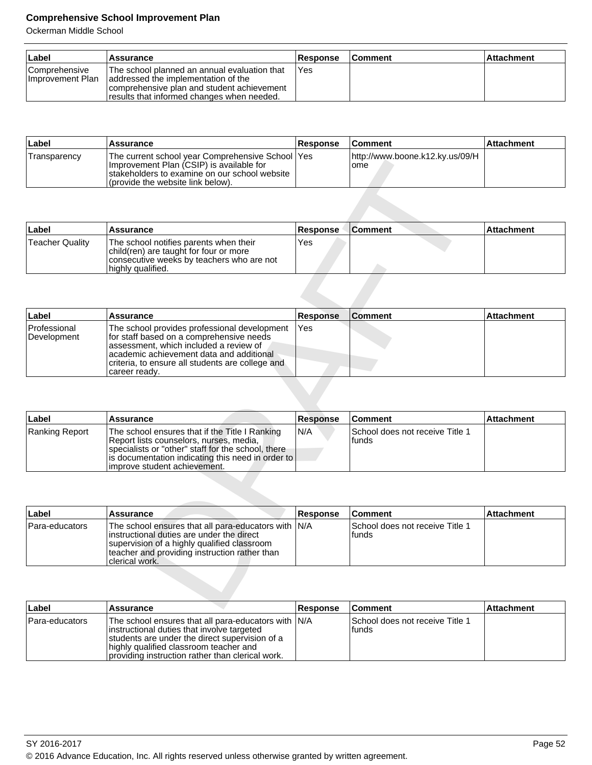| ∣Label                                    | <b>Assurance</b>                                                                                                                                                                 | <b>Response</b> | <b>Comment</b> | l Attachment |
|-------------------------------------------|----------------------------------------------------------------------------------------------------------------------------------------------------------------------------------|-----------------|----------------|--------------|
| <b>Comprehensive</b><br>Ilmprovement Plan | The school planned an annual evaluation that<br>addressed the implementation of the<br>comprehensive plan and student achievement<br>fresults that informed changes when needed. | 'Yes            |                |              |

| Label        | Assurance                                                                                                                                                                             | <b>Response</b> | <b>Comment</b>                                 | ∣Attachment |
|--------------|---------------------------------------------------------------------------------------------------------------------------------------------------------------------------------------|-----------------|------------------------------------------------|-------------|
| Transparency | The current school year Comprehensive School   Yes<br>Improvement Plan (CSIP) is available for<br>Istakeholders to examine on our school website<br>(provide the website link below). |                 | http://www.boone.k12.ky.us/09/H<br><b>Iome</b> |             |

| ⊦Label          | Assurance                                                                                                                                          | <b>Response</b> | <b>Comment</b> | <b>Attachment</b> |
|-----------------|----------------------------------------------------------------------------------------------------------------------------------------------------|-----------------|----------------|-------------------|
| Teacher Quality | The school notifies parents when their<br>child(ren) are taught for four or more<br>consecutive weeks by teachers who are not<br>highly qualified. | Yes             |                |                   |

| <b>Hansparency</b>     | The current scribble year Complementsive Scribble Lites<br>Improvement Plan (CSIP) is available for<br>stakeholders to examine on our school website<br>(provide the website link below).                                            |                        | IIIIPL///WWW.UUUIUH.R. IZ.RY.US/UY/HI<br>ome |                   |
|------------------------|--------------------------------------------------------------------------------------------------------------------------------------------------------------------------------------------------------------------------------------|------------------------|----------------------------------------------|-------------------|
|                        |                                                                                                                                                                                                                                      |                        |                                              |                   |
| Label                  | Assurance                                                                                                                                                                                                                            | <b>Response</b>        | <b>Comment</b>                               | <b>Attachment</b> |
| <b>Teacher Quality</b> | The school notifies parents when their<br>child(ren) are taught for four or more<br>consecutive weeks by teachers who are not<br>highly qualified.                                                                                   | Yes                    |                                              |                   |
|                        |                                                                                                                                                                                                                                      |                        | <b>Comment</b>                               |                   |
| Label<br>Professional  | <b>Assurance</b><br>The school provides professional development                                                                                                                                                                     | <b>Response</b><br>Yes |                                              | <b>Attachment</b> |
| Development            | for staff based on a comprehensive needs<br>assessment, which included a review of<br>academic achievement data and additional<br>criteria, to ensure all students are college and<br>career ready.                                  |                        |                                              |                   |
|                        |                                                                                                                                                                                                                                      |                        |                                              |                   |
| Label                  | <b>Assurance</b>                                                                                                                                                                                                                     | <b>Response</b>        | <b>Comment</b>                               | <b>Attachment</b> |
| <b>Ranking Report</b>  | The school ensures that if the Title I Ranking<br>Report lists counselors, nurses, media,<br>specialists or "other" staff for the school, there<br>is documentation indicating this need in order to<br>improve student achievement. | N/A                    | School does not receive Title 1<br>funds     |                   |
|                        |                                                                                                                                                                                                                                      |                        |                                              |                   |
| Label                  | <b>Assurance</b>                                                                                                                                                                                                                     | <b>Response</b>        | <b>Comment</b>                               | <b>Attachment</b> |
| Para-educators         | The school ensures that all para-educators with<br>instructional duties are under the direct<br>supervision of a highly qualified classroom<br>teacher and providing instruction rather than<br>clerical work.                       | N/A                    | School does not receive Title 1<br>funds     |                   |
|                        |                                                                                                                                                                                                                                      |                        |                                              |                   |

| Label          | <b>Assurance</b>                                                                                                                                                                                                                        | <b>Response</b> | <b>Comment</b>                            | <b>Attachment</b> |
|----------------|-----------------------------------------------------------------------------------------------------------------------------------------------------------------------------------------------------------------------------------------|-----------------|-------------------------------------------|-------------------|
| Ranking Report | The school ensures that if the Title I Ranking<br>Report lists counselors, nurses, media,<br>specialists or "other" staff for the school, there<br>  is documentation indicating this need in order to<br>limprove student achievement. | IN/A            | School does not receive Title 1<br>Ifunds |                   |

| ∣Label         | Assurance                                                                                                                                                                                                           | <b>Response</b> | <b>Comment</b>                            | <b>Attachment</b> |
|----------------|---------------------------------------------------------------------------------------------------------------------------------------------------------------------------------------------------------------------|-----------------|-------------------------------------------|-------------------|
| Para-educators | The school ensures that all para-educators with N/A<br>linstructional duties are under the direct<br>supervision of a highly qualified classroom<br>teacher and providing instruction rather than<br>clerical work. |                 | School does not receive Title 1<br>Ifunds |                   |

| ∣Label         | <b>Assurance</b>                                                                                                                                                                                                                                   | <b>Response</b> | <b>Comment</b>                             | ∣Attachment |
|----------------|----------------------------------------------------------------------------------------------------------------------------------------------------------------------------------------------------------------------------------------------------|-----------------|--------------------------------------------|-------------|
| Para-educators | The school ensures that all para-educators with IN/A<br>instructional duties that involve targeted<br>students are under the direct supervision of a<br>highly qualified classroom teacher and<br>providing instruction rather than clerical work. |                 | ISchool does not receive Title 1<br>lfunds |             |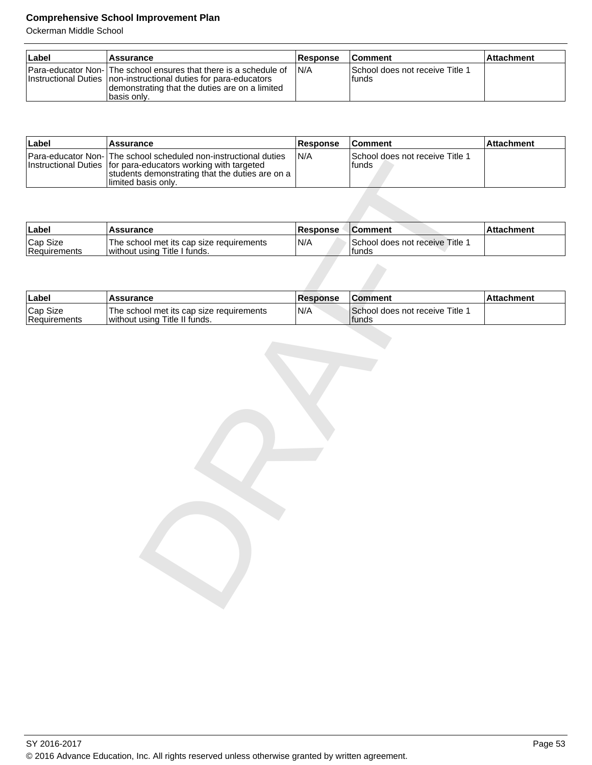| ⊺Label | ⊺Assurance                                                                                                                                                                                                | <b>Response</b> | <b>Comment</b>                            | <b>Attachment</b> |
|--------|-----------------------------------------------------------------------------------------------------------------------------------------------------------------------------------------------------------|-----------------|-------------------------------------------|-------------------|
|        | Para-educator Non- The school ensures that there is a schedule of<br>Instructional Duties   non-instructional duties for para-educators<br>demonstrating that the duties are on a limited<br>Ibasis only. | IN/A            | School does not receive Title 1<br>Ifunds |                   |

| ∣Label | Assurance                                                                                                                                                                                                        | <b>Response</b> | <b>Comment</b>                              | ∣Attachment∶ |
|--------|------------------------------------------------------------------------------------------------------------------------------------------------------------------------------------------------------------------|-----------------|---------------------------------------------|--------------|
|        | Para-educator Non-   The school scheduled non-instructional duties<br>Instructional Duties   for para-educators working with targeted<br>students demonstrating that the duties are on a<br>Ilimited basis only. | IN/A            | School does not receive Title 1<br>lfunds . |              |

| <b>Instructional Duties</b> | Para-equication Non-Time scribbi scributioned non-instructional duties<br>for para-educators working with targeted<br>students demonstrating that the duties are on a<br>limited basis only. | IVA             | <b>OCHOOL QUES HOL TECEIVE THIS T</b><br>funds |                   |
|-----------------------------|----------------------------------------------------------------------------------------------------------------------------------------------------------------------------------------------|-----------------|------------------------------------------------|-------------------|
|                             |                                                                                                                                                                                              |                 |                                                |                   |
| Label                       | <b>Assurance</b>                                                                                                                                                                             | Response        | <b>Comment</b>                                 | <b>Attachment</b> |
| Cap Size<br>Requirements    | The school met its cap size requirements<br>without using Title I funds.                                                                                                                     | N/A             | School does not receive Title 1<br>funds       |                   |
|                             |                                                                                                                                                                                              |                 |                                                |                   |
| Label                       | <b>Assurance</b>                                                                                                                                                                             | <b>Response</b> | <b>Comment</b>                                 | <b>Attachment</b> |
| Cap Size<br>Requirements    | The school met its cap size requirements<br>without using Title II funds.                                                                                                                    | N/A             | School does not receive Title 1<br>funds       |                   |
|                             |                                                                                                                                                                                              |                 |                                                |                   |
|                             |                                                                                                                                                                                              |                 |                                                |                   |
|                             |                                                                                                                                                                                              |                 |                                                |                   |
|                             |                                                                                                                                                                                              |                 |                                                |                   |
|                             |                                                                                                                                                                                              |                 |                                                |                   |
|                             |                                                                                                                                                                                              |                 |                                                |                   |
|                             |                                                                                                                                                                                              |                 |                                                |                   |
|                             |                                                                                                                                                                                              |                 |                                                |                   |
|                             |                                                                                                                                                                                              |                 |                                                |                   |
|                             |                                                                                                                                                                                              |                 |                                                |                   |
|                             |                                                                                                                                                                                              |                 |                                                |                   |
|                             |                                                                                                                                                                                              |                 |                                                |                   |
|                             |                                                                                                                                                                                              |                 |                                                |                   |
|                             |                                                                                                                                                                                              |                 |                                                |                   |
|                             |                                                                                                                                                                                              |                 |                                                |                   |
|                             |                                                                                                                                                                                              |                 |                                                |                   |
|                             |                                                                                                                                                                                              |                 |                                                |                   |

| ⊺Label                   | Assurance                                                                 | <b>Response</b> | <b>IComment</b>                         | l Attachment |
|--------------------------|---------------------------------------------------------------------------|-----------------|-----------------------------------------|--------------|
| Cap Size<br>Requirements | The school met its cap size requirements<br>without using Title II funds. | 'N/A            | School does not receive Title<br>Ifunds |              |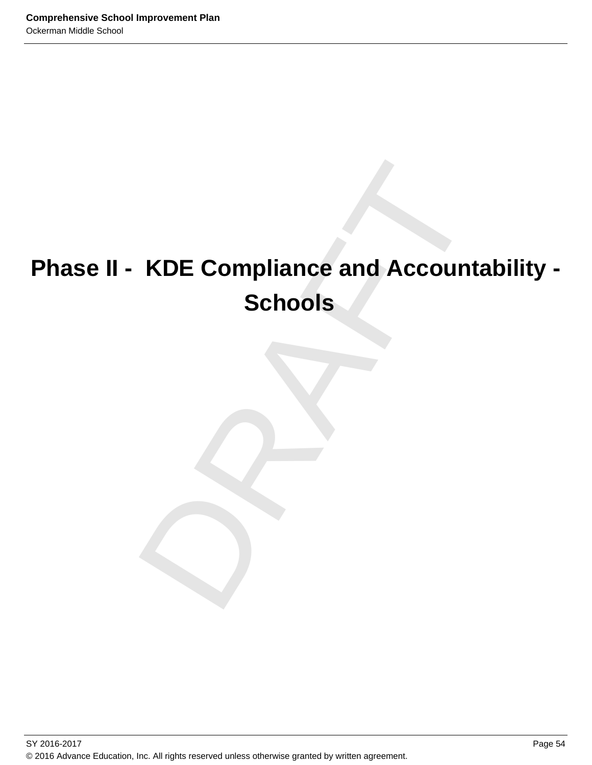# KDE Compliance and Accountabi<br>Schools<br>
Property of the Schools **Phase II - KDE Compliance and Accountability - Schools**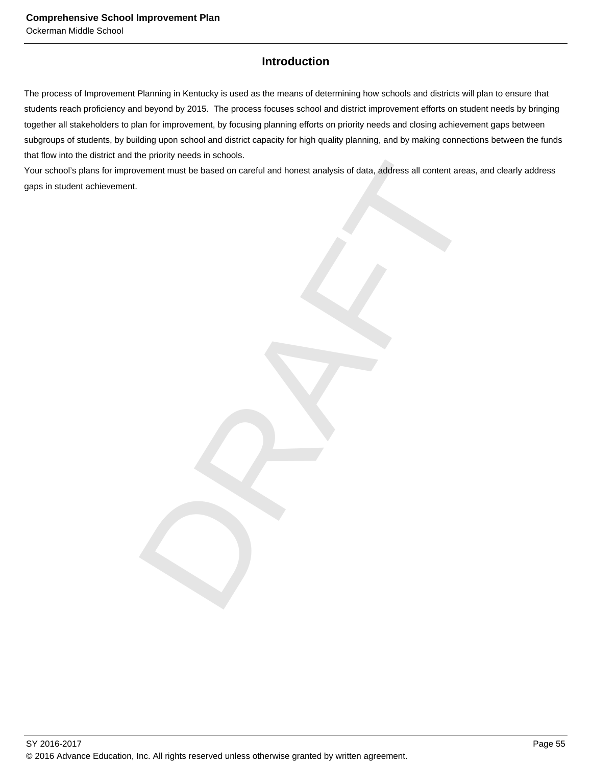# **Introduction**

The process of Improvement Planning in Kentucky is used as the means of determining how schools and districts will plan to ensure that students reach proficiency and beyond by 2015. The process focuses school and district improvement efforts on student needs by bringing together all stakeholders to plan for improvement, by focusing planning efforts on priority needs and closing achievement gaps between subgroups of students, by building upon school and district capacity for high quality planning, and by making connections between the funds that flow into the district and the priority needs in schools.

mont must be based on careful and honest analysis of data, address all content areas, and clear<br>wement must be based on careful and honest analysis of data, Your school's plans for improvement must be based on careful and honest analysis of data, address all content areas, and clearly address gaps in student achievement.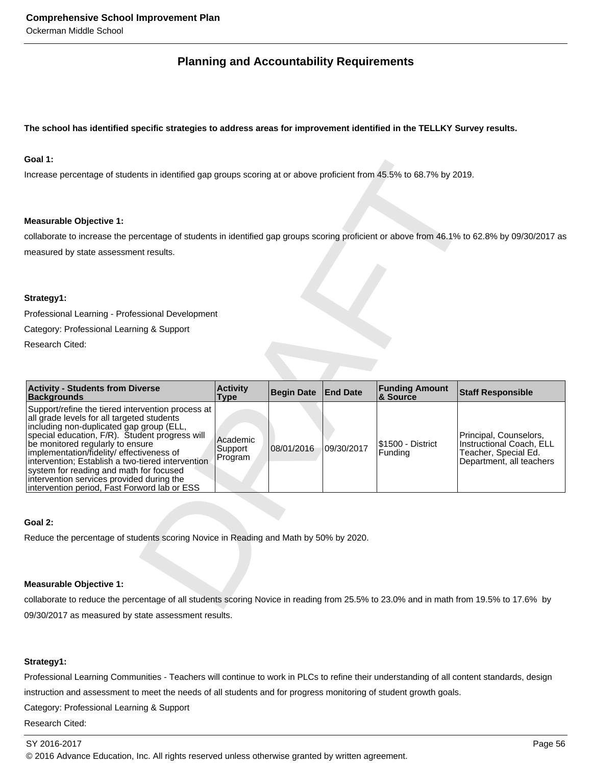# **Planning and Accountability Requirements**

#### **The school has identified specific strategies to address areas for improvement identified in the TELLKY Survey results.**

#### **Goal 1:**

#### **Measurable Objective 1:**

#### **Strategy1:**

| Goal 1:                                                                                                                                                                                                                                                                                                                                                                                                                                                                    |                                |                   |                 |                                   |                                                                                                        |
|----------------------------------------------------------------------------------------------------------------------------------------------------------------------------------------------------------------------------------------------------------------------------------------------------------------------------------------------------------------------------------------------------------------------------------------------------------------------------|--------------------------------|-------------------|-----------------|-----------------------------------|--------------------------------------------------------------------------------------------------------|
| Increase percentage of students in identified gap groups scoring at or above proficient from 45.5% to 68.7% by 2019.                                                                                                                                                                                                                                                                                                                                                       |                                |                   |                 |                                   |                                                                                                        |
|                                                                                                                                                                                                                                                                                                                                                                                                                                                                            |                                |                   |                 |                                   |                                                                                                        |
| <b>Measurable Objective 1:</b>                                                                                                                                                                                                                                                                                                                                                                                                                                             |                                |                   |                 |                                   |                                                                                                        |
| collaborate to increase the percentage of students in identified gap groups scoring proficient or above from 46.1% to 62.8% by 09/30/2017 as                                                                                                                                                                                                                                                                                                                               |                                |                   |                 |                                   |                                                                                                        |
| measured by state assessment results.                                                                                                                                                                                                                                                                                                                                                                                                                                      |                                |                   |                 |                                   |                                                                                                        |
|                                                                                                                                                                                                                                                                                                                                                                                                                                                                            |                                |                   |                 |                                   |                                                                                                        |
| Strategy1:                                                                                                                                                                                                                                                                                                                                                                                                                                                                 |                                |                   |                 |                                   |                                                                                                        |
| Professional Learning - Professional Development                                                                                                                                                                                                                                                                                                                                                                                                                           |                                |                   |                 |                                   |                                                                                                        |
| Category: Professional Learning & Support                                                                                                                                                                                                                                                                                                                                                                                                                                  |                                |                   |                 |                                   |                                                                                                        |
| Research Cited:                                                                                                                                                                                                                                                                                                                                                                                                                                                            |                                |                   |                 |                                   |                                                                                                        |
|                                                                                                                                                                                                                                                                                                                                                                                                                                                                            |                                |                   |                 |                                   |                                                                                                        |
|                                                                                                                                                                                                                                                                                                                                                                                                                                                                            |                                |                   |                 |                                   |                                                                                                        |
| <b>Activity - Students from Diverse</b><br><b>Backgrounds</b>                                                                                                                                                                                                                                                                                                                                                                                                              | <b>Activity</b><br><b>Type</b> | <b>Begin Date</b> | <b>End Date</b> | <b>Funding Amount</b><br>& Source | <b>Staff Responsible</b>                                                                               |
| Support/refine the tiered intervention process at<br>all grade levels for all targeted students<br>including non-duplicated gap group (ELL,<br>special education, F/R). Student progress will<br>be monitored regularly to ensure<br>implementation/fidelity/effectiveness of<br>intervention; Establish a two-tiered intervention<br>system for reading and math for focused<br>intervention services provided during the<br>intervention period, Fast Forword lab or ESS | Academic<br>Support<br>Program | 08/01/2016        | 09/30/2017      | \$1500 - District<br>Funding      | Principal, Counselors,<br>Instructional Coach, ELL<br>Teacher, Special Ed.<br>Department, all teachers |
|                                                                                                                                                                                                                                                                                                                                                                                                                                                                            |                                |                   |                 |                                   |                                                                                                        |
| Goal 2:                                                                                                                                                                                                                                                                                                                                                                                                                                                                    |                                |                   |                 |                                   |                                                                                                        |
| Reduce the percentage of students scoring Novice in Reading and Math by 50% by 2020.                                                                                                                                                                                                                                                                                                                                                                                       |                                |                   |                 |                                   |                                                                                                        |
|                                                                                                                                                                                                                                                                                                                                                                                                                                                                            |                                |                   |                 |                                   |                                                                                                        |
| <b>Measurable Objective 1:</b>                                                                                                                                                                                                                                                                                                                                                                                                                                             |                                |                   |                 |                                   |                                                                                                        |
| collaborate to reduce the percentage of all students scoring Novice in reading from 25.5% to 23.0% and in math from 19.5% to 17.6% by                                                                                                                                                                                                                                                                                                                                      |                                |                   |                 |                                   |                                                                                                        |
|                                                                                                                                                                                                                                                                                                                                                                                                                                                                            |                                |                   |                 |                                   |                                                                                                        |

#### **Goal 2:**

#### **Measurable Objective 1:**

collaborate to reduce the percentage of all students scoring Novice in reading from 25.5% to 23.0% and in math from 19.5% to 17.6% by 09/30/2017 as measured by state assessment results.

#### **Strategy1:**

Professional Learning Communities - Teachers will continue to work in PLCs to refine their understanding of all content standards, design instruction and assessment to meet the needs of all students and for progress monitoring of student growth goals.

Category: Professional Learning & Support

Research Cited: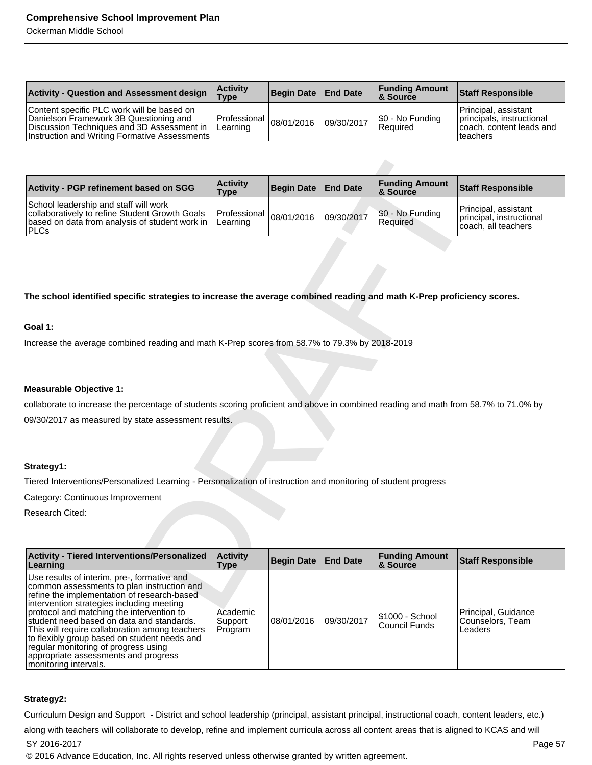Ockerman Middle School

| <b>Activity - Question and Assessment design</b>                                                                                                                                    | <b>Activity</b><br><b>Type</b>      | Begin Date End Date |            | <b>Funding Amount</b><br>8. Source | <b>Staff Responsible</b>                                                                   |
|-------------------------------------------------------------------------------------------------------------------------------------------------------------------------------------|-------------------------------------|---------------------|------------|------------------------------------|--------------------------------------------------------------------------------------------|
| Content specific PLC work will be based on<br>Danielson Framework 3B Questioning and<br>Discussion Techniques and 3D Assessment in<br>Instruction and Writing Formative Assessments | Professian   08/01/2016<br>Learning |                     | 09/30/2017 | $ \$0 - No$ Funding<br>Required    | Principal, assistant<br>principals, instructional<br>coach, content leads and<br>lteachers |

| <b>Activity - PGP refinement based on SGG</b>                                                                                                             | <b>Activity</b><br><b>Type</b>                    | Begin Date End Date |            | <b>Funding Amount</b><br>& Source | <b>Staff Responsible</b>                                                |
|-----------------------------------------------------------------------------------------------------------------------------------------------------------|---------------------------------------------------|---------------------|------------|-----------------------------------|-------------------------------------------------------------------------|
| School leadership and staff will work<br>collaboratively to refine Student Growth Goals<br>based on data from analysis of student work in<br><b>IPLCs</b> | Jais   Professional 08/01/2016   note<br>Learning |                     | 09/30/2017 | \$0 - No Funding<br>Required      | Principal, assistant<br>principal, instructional<br>coach, all teachers |

#### **The school identified specific strategies to increase the average combined reading and math K-Prep proficiency scores.**

#### **Goal 1:**

#### **Measurable Objective 1:**

#### **Strategy1:**

| Activity - PGP refinement based on SGG                                                                                                                                                                                                                                                                                                                                                                                                                                                     | <b>Activity</b><br>Type        | <b>Begin Date</b> | <b>End Date</b> | <b>Funding Amount</b><br>& Source | <b>Staff Responsible</b>                                                |
|--------------------------------------------------------------------------------------------------------------------------------------------------------------------------------------------------------------------------------------------------------------------------------------------------------------------------------------------------------------------------------------------------------------------------------------------------------------------------------------------|--------------------------------|-------------------|-----------------|-----------------------------------|-------------------------------------------------------------------------|
| School leadership and staff will work<br>collaboratively to refine Student Growth Goals<br>based on data from analysis of student work in<br><b>PLCs</b>                                                                                                                                                                                                                                                                                                                                   | Professional<br>Learning       | 08/01/2016        | 09/30/2017      | \$0 - No Funding<br>Required      | Principal, assistant<br>principal, instructional<br>coach. all teachers |
|                                                                                                                                                                                                                                                                                                                                                                                                                                                                                            |                                |                   |                 |                                   |                                                                         |
| The school identified specific strategies to increase the average combined reading and math K-Prep proficiency scores.                                                                                                                                                                                                                                                                                                                                                                     |                                |                   |                 |                                   |                                                                         |
| Goal 1:                                                                                                                                                                                                                                                                                                                                                                                                                                                                                    |                                |                   |                 |                                   |                                                                         |
| Increase the average combined reading and math K-Prep scores from 58.7% to 79.3% by 2018-2019                                                                                                                                                                                                                                                                                                                                                                                              |                                |                   |                 |                                   |                                                                         |
|                                                                                                                                                                                                                                                                                                                                                                                                                                                                                            |                                |                   |                 |                                   |                                                                         |
| <b>Measurable Objective 1:</b>                                                                                                                                                                                                                                                                                                                                                                                                                                                             |                                |                   |                 |                                   |                                                                         |
| collaborate to increase the percentage of students scoring proficient and above in combined reading and math from 58.7% to 71.0% by                                                                                                                                                                                                                                                                                                                                                        |                                |                   |                 |                                   |                                                                         |
| 09/30/2017 as measured by state assessment results.                                                                                                                                                                                                                                                                                                                                                                                                                                        |                                |                   |                 |                                   |                                                                         |
|                                                                                                                                                                                                                                                                                                                                                                                                                                                                                            |                                |                   |                 |                                   |                                                                         |
|                                                                                                                                                                                                                                                                                                                                                                                                                                                                                            |                                |                   |                 |                                   |                                                                         |
| Strategy1:                                                                                                                                                                                                                                                                                                                                                                                                                                                                                 |                                |                   |                 |                                   |                                                                         |
| Tiered Interventions/Personalized Learning - Personalization of instruction and monitoring of student progress                                                                                                                                                                                                                                                                                                                                                                             |                                |                   |                 |                                   |                                                                         |
| Category: Continuous Improvement                                                                                                                                                                                                                                                                                                                                                                                                                                                           |                                |                   |                 |                                   |                                                                         |
| Research Cited:                                                                                                                                                                                                                                                                                                                                                                                                                                                                            |                                |                   |                 |                                   |                                                                         |
|                                                                                                                                                                                                                                                                                                                                                                                                                                                                                            |                                |                   |                 |                                   |                                                                         |
| <b>Activity - Tiered Interventions/Personalized</b><br>Learning                                                                                                                                                                                                                                                                                                                                                                                                                            | <b>Activity</b><br><b>Type</b> | <b>Begin Date</b> | <b>End Date</b> | <b>Funding Amount</b><br>& Source | <b>Staff Responsible</b>                                                |
| Use results of interim, pre-, formative and<br>common assessments to plan instruction and<br>refine the implementation of research-based<br>intervention strategies including meeting<br>protocol and matching the intervention to<br>student need based on data and standards.<br>This will require collaboration among teachers<br>to flexibly group based on student needs and<br>regular monitoring of progress using<br>appropriate assessments and progress<br>monitoring intervals. | Academic<br>Support<br>Program | 08/01/2016        | 09/30/2017      | \$1000 - School<br>Council Funds  | Principal, Guidance<br>Counselors, Team<br>Leaders                      |

#### **Strategy2:**

Curriculum Design and Support - District and school leadership (principal, assistant principal, instructional coach, content leaders, etc.)

along with teachers will collaborate to develop, refine and implement curricula across all content areas that is aligned to KCAS and will

SY 2016-2017 Page 57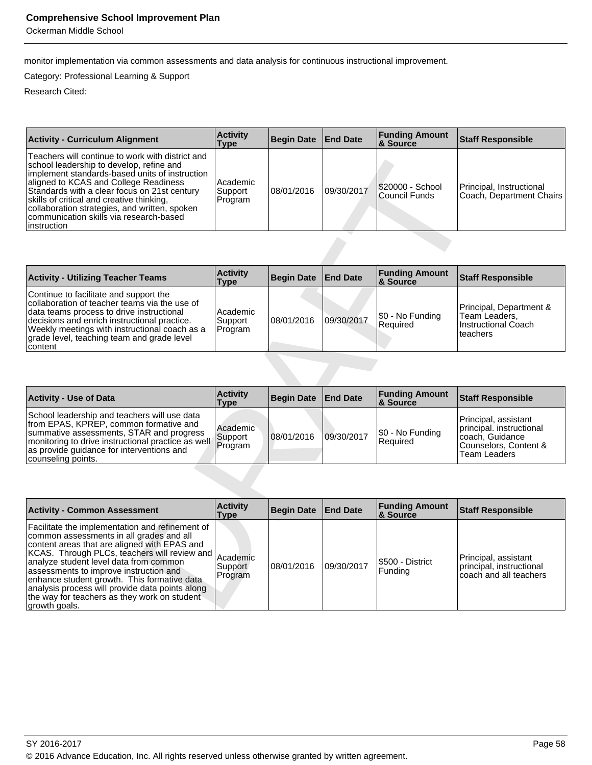Ockerman Middle School

monitor implementation via common assessments and data analysis for continuous instructional improvement.

Category: Professional Learning & Support

| <b>Activity - Curriculum Alignment</b>                                                                                                                                                                                                                                                                                                                                                           | <b>Activity</b><br>Type        | <b>Begin Date</b> | <b>End Date</b> | <b>Funding Amount</b><br>8 Source         | <b>Staff Responsible</b>                              |
|--------------------------------------------------------------------------------------------------------------------------------------------------------------------------------------------------------------------------------------------------------------------------------------------------------------------------------------------------------------------------------------------------|--------------------------------|-------------------|-----------------|-------------------------------------------|-------------------------------------------------------|
| Teachers will continue to work with district and<br>school leadership to develop, refine and<br>implement standards-based units of instruction<br>aligned to KCAS and College Readiness<br>Standards with a clear focus on 21st century<br>skills of critical and creative thinking,<br>collaboration strategies, and written, spoken<br>communication skills via research-based<br>linstruction | Academic<br>Support<br>Program | 108/01/2016       | 09/30/2017      | I\$20000 - School<br><b>Council Funds</b> | Principal, Instructional<br> Coach, Department Chairs |

| <b>Activity - Utilizing Teacher Teams</b>                                                                                                                                                                                                                                                        | <b>Activity</b><br>Type        | Begin Date End Date |            | <b>Funding Amount</b><br>∣& Source | <b>Staff Responsible</b>                                                      |
|--------------------------------------------------------------------------------------------------------------------------------------------------------------------------------------------------------------------------------------------------------------------------------------------------|--------------------------------|---------------------|------------|------------------------------------|-------------------------------------------------------------------------------|
| Continue to facilitate and support the<br>collaboration of teacher teams via the use of<br>data teams process to drive instructional<br>decisions and enrich instructional practice.<br>Weekly meetings with instructional coach as a<br>grade level, teaching team and grade level<br>  content | Academic<br>Support<br>Program | 08/01/2016          | 09/30/2017 | \$0 - No Funding<br>Required       | Principal, Department &<br>Team Leaders,<br>Instructional Coach<br>l teachers |

| <b>Activity - Use of Data</b>                                                                                                                                                                                                                                        | <b>Activity</b><br>Type | Begin Date   End Date |            | <b>Funding Amount</b><br>8 Source | Staff Responsible                                                                                            |
|----------------------------------------------------------------------------------------------------------------------------------------------------------------------------------------------------------------------------------------------------------------------|-------------------------|-----------------------|------------|-----------------------------------|--------------------------------------------------------------------------------------------------------------|
| School leadership and teachers will use data<br>from EPAS, KPREP, common formative and<br>summative assessments, STAR and progress<br>Imonitoring to drive instructional practice as well Support<br>as provide guidance for interventions and<br>counseling points. | Academic<br>Program     | 108/01/2016           | 09/30/2017 | S0 - No Funding<br>Required       | Principal, assistant<br>principal. instructional<br>coach, Guidance<br>Counselors, Content &<br>Team Leaders |

| <b>Feathers will continue to work with district and</b><br>school leadership to develop, refine and<br>implement standards-based units of instruction<br>aligned to KCAS and College Readiness<br>Standards with a clear focus on 21st century<br>skills of critical and creative thinking,<br>collaboration strategies, and written, spoken<br>communication skills via research-based<br>instruction | Academic<br>Support<br>Program | 08/01/2016        | 09/30/2017      | \$20000 - School<br><b>Council Funds</b> | Principal, Instructional<br>Coach, Department Chairs                                                                |
|--------------------------------------------------------------------------------------------------------------------------------------------------------------------------------------------------------------------------------------------------------------------------------------------------------------------------------------------------------------------------------------------------------|--------------------------------|-------------------|-----------------|------------------------------------------|---------------------------------------------------------------------------------------------------------------------|
|                                                                                                                                                                                                                                                                                                                                                                                                        |                                |                   |                 |                                          |                                                                                                                     |
| <b>Activity - Utilizing Teacher Teams</b>                                                                                                                                                                                                                                                                                                                                                              | <b>Activity</b><br>Type        | <b>Begin Date</b> | <b>End Date</b> | <b>Funding Amount</b><br>& Source        | <b>Staff Responsible</b>                                                                                            |
| Continue to facilitate and support the<br>collaboration of teacher teams via the use of<br>data teams process to drive instructional<br>decisions and enrich instructional practice.<br>Weekly meetings with instructional coach as a<br>grade level, teaching team and grade level<br>content                                                                                                         | Academic<br>Support<br>Program | 08/01/2016        | 09/30/2017      | \$0 - No Funding<br>Required             | Principal, Department &<br>Team Leaders,<br><b>Instructional Coach</b><br>teachers                                  |
|                                                                                                                                                                                                                                                                                                                                                                                                        |                                |                   |                 |                                          |                                                                                                                     |
|                                                                                                                                                                                                                                                                                                                                                                                                        |                                |                   |                 |                                          |                                                                                                                     |
| <b>Activity - Use of Data</b>                                                                                                                                                                                                                                                                                                                                                                          | <b>Activity</b><br><b>Type</b> | <b>Begin Date</b> | <b>End Date</b> | <b>Funding Amount</b><br>& Source        | <b>Staff Responsible</b>                                                                                            |
| School leadership and teachers will use data<br>from EPAS, KPREP, common formative and<br>summative assessments, STAR and progress<br>monitoring to drive instructional practice as well<br>as provide guidance for interventions and<br>counseling points.                                                                                                                                            | Academic<br>Support<br>Program | 08/01/2016        | 09/30/2017      | \$0 - No Funding<br>Required             | Principal, assistant<br>principal. instructional<br>coach, Guidance<br>Counselors, Content &<br><b>Team Leaders</b> |
|                                                                                                                                                                                                                                                                                                                                                                                                        |                                |                   |                 |                                          |                                                                                                                     |
| <b>Activity - Common Assessment</b>                                                                                                                                                                                                                                                                                                                                                                    | <b>Activity</b><br><b>Type</b> | <b>Begin Date</b> | <b>End Date</b> | <b>Funding Amount</b><br>& Source        | <b>Staff Responsible</b>                                                                                            |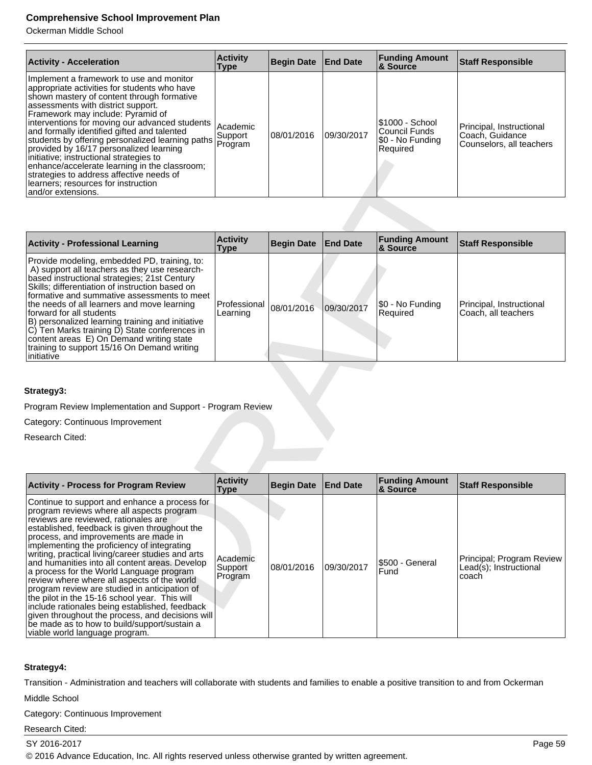Ockerman Middle School

| <b>Activity - Acceleration</b>                                                                                                                                                                                                                                                                                                                                                                                                                                                                                                                                                                                          | <b>Activity</b><br>Type        | <b>Begin Date</b> | <b>End Date</b> | <b>Funding Amount</b><br>& Source                                 | <b>Staff Responsible</b>                                                |
|-------------------------------------------------------------------------------------------------------------------------------------------------------------------------------------------------------------------------------------------------------------------------------------------------------------------------------------------------------------------------------------------------------------------------------------------------------------------------------------------------------------------------------------------------------------------------------------------------------------------------|--------------------------------|-------------------|-----------------|-------------------------------------------------------------------|-------------------------------------------------------------------------|
| Implement a framework to use and monitor<br>appropriate activities for students who have<br>shown mastery of content through formative<br>assessments with district support.<br>Framework may include: Pyramid of<br>interventions for moving our advanced students<br>and formally identified gifted and talented<br>students by offering personalized learning paths<br>provided by 16/17 personalized learning<br>initiative; instructional strategies to<br>enhance/accelerate learning in the classroom;<br>strategies to address affective needs of<br>learners; resources for instruction<br>land/or extensions. | Academic<br>Support<br>Program | 108/01/2016       | 09/30/2017      | I\$1000 - School<br>lCouncil Funds<br>S0 - No Funding<br>Required | Principal, Instructional<br>Coach, Guidance<br>Counselors, all teachers |

| <b>Activity - Professional Learning</b>                                                                                                                                                                                                                                                                                                                                                                                                                                                                                                  | <b>Activity</b><br>Type  | Begin Date End Date |            | <b>Funding Amount</b><br>& Source | <b>Staff Responsible</b>                        |
|------------------------------------------------------------------------------------------------------------------------------------------------------------------------------------------------------------------------------------------------------------------------------------------------------------------------------------------------------------------------------------------------------------------------------------------------------------------------------------------------------------------------------------------|--------------------------|---------------------|------------|-----------------------------------|-------------------------------------------------|
| Provide modeling, embedded PD, training, to:<br>A) support all teachers as they use research-<br>based instructional strategies; 21st Century<br>Skills; differentiation of instruction based on<br>formative and summative assessments to meet<br>the needs of all learners and move learning<br>forward for all students<br>B) personalized learning training and initiative<br>C) Ten Marks training D) State conferences in<br>content areas E) On Demand writing state<br>training to support 15/16 On Demand writing<br>initiative | Professional<br>Learning | 08/01/2016          | 09/30/2017 | \$0 - No Funding<br>Required      | Principal, Instructional<br>Coach, all teachers |

#### **Strategy3:**

| initiative; instructional strategies to<br>enhance/accelerate learning in the classroom;<br>strategies to address affective needs of<br>learners; resources for instruction<br>and/or extensions.                                                                                                                                                                                                                                                                                                                                                                                                                                                                                                                                     |                                |                   |                 |                                   |                                                              |
|---------------------------------------------------------------------------------------------------------------------------------------------------------------------------------------------------------------------------------------------------------------------------------------------------------------------------------------------------------------------------------------------------------------------------------------------------------------------------------------------------------------------------------------------------------------------------------------------------------------------------------------------------------------------------------------------------------------------------------------|--------------------------------|-------------------|-----------------|-----------------------------------|--------------------------------------------------------------|
|                                                                                                                                                                                                                                                                                                                                                                                                                                                                                                                                                                                                                                                                                                                                       |                                |                   |                 |                                   |                                                              |
| <b>Activity - Professional Learning</b>                                                                                                                                                                                                                                                                                                                                                                                                                                                                                                                                                                                                                                                                                               | <b>Activity</b><br><b>Type</b> | <b>Begin Date</b> | <b>End Date</b> | <b>Funding Amount</b><br>& Source | <b>Staff Responsible</b>                                     |
| Provide modeling, embedded PD, training, to:<br>A) support all teachers as they use research-<br>based instructional strategies; 21st Century<br>Skills; differentiation of instruction based on<br>formative and summative assessments to meet<br>the needs of all learners and move learning<br>forward for all students<br>B) personalized learning training and initiative<br>C) Ten Marks training D) State conferences in<br>content areas E) On Demand writing state<br>training to support 15/16 On Demand writing<br>initiative                                                                                                                                                                                              | Professional<br>Learning       | 08/01/2016        | 09/30/2017      | \$0 - No Funding<br>Required      | Principal, Instructional<br>Coach, all teachers              |
| Strategy3:<br>Program Review Implementation and Support - Program Review                                                                                                                                                                                                                                                                                                                                                                                                                                                                                                                                                                                                                                                              |                                |                   |                 |                                   |                                                              |
| Category: Continuous Improvement                                                                                                                                                                                                                                                                                                                                                                                                                                                                                                                                                                                                                                                                                                      |                                |                   |                 |                                   |                                                              |
| Research Cited:                                                                                                                                                                                                                                                                                                                                                                                                                                                                                                                                                                                                                                                                                                                       |                                |                   |                 |                                   |                                                              |
|                                                                                                                                                                                                                                                                                                                                                                                                                                                                                                                                                                                                                                                                                                                                       |                                |                   |                 |                                   |                                                              |
| <b>Activity - Process for Program Review</b>                                                                                                                                                                                                                                                                                                                                                                                                                                                                                                                                                                                                                                                                                          | <b>Activity</b><br>Type        | <b>Begin Date</b> | <b>End Date</b> | <b>Funding Amount</b><br>& Source | <b>Staff Responsible</b>                                     |
| Continue to support and enhance a process for<br>program reviews where all aspects program<br>reviews are reviewed, rationales are<br>established, feedback is given throughout the<br>process, and improvements are made in<br>implementing the proficiency of integrating<br>writing, practical living/career studies and arts<br>and humanities into all content areas. Develop<br>a process for the World Language program<br>review where where all aspects of the world<br>program review are studied in anticipation of<br>the pilot in the 15-16 school year. This will<br>include rationales being established, feedback<br>given throughout the process, and decisions will<br>be made as to how to build/support/sustain a | Academic<br>Support<br>Program | 08/01/2016        | 09/30/2017      | \$500 - General<br>Fund           | Principal; Program Review<br>Lead(s); Instructional<br>coach |

#### **Strategy4:**

Transition - Administration and teachers will collaborate with students and families to enable a positive transition to and from Ockerman

Middle School

Category: Continuous Improvement

Research Cited:

SY 2016-2017 Page 59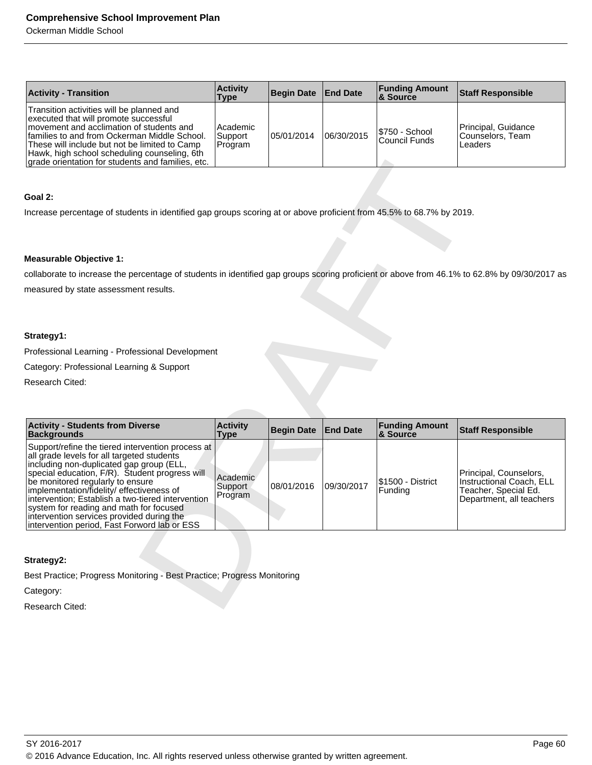Ockerman Middle School

| <b>Activity - Transition</b>                                                                                                                                                                                                                                                                                                          | <b>Activity</b><br>Type        | Begin Date End Date |            | <b>Funding Amount</b><br>8 Source | <b>Staff Responsible</b>                            |
|---------------------------------------------------------------------------------------------------------------------------------------------------------------------------------------------------------------------------------------------------------------------------------------------------------------------------------------|--------------------------------|---------------------|------------|-----------------------------------|-----------------------------------------------------|
| Transition activities will be planned and<br>executed that will promote successful<br>movement and acclimation of students and<br>Ifamilies to and from Ockerman Middle School.<br>These will include but not be limited to Camp<br>Hawk, high school scheduling counseling, 6th<br>grade orientation for students and families, etc. | Academic<br>Support<br>Program | 05/01/2014          | 06/30/2015 | \$750 - School<br>Council Funds   | Principal, Guidance<br> Counselors, Team<br>Leaders |

#### **Goal 2:**

#### **Measurable Objective 1:**

#### **Strategy1:**

| grade orientation for students and families, etc.                                                                                            |                                  |                   |                 |                       |                                                    |
|----------------------------------------------------------------------------------------------------------------------------------------------|----------------------------------|-------------------|-----------------|-----------------------|----------------------------------------------------|
|                                                                                                                                              |                                  |                   |                 |                       |                                                    |
| Goal 2:                                                                                                                                      |                                  |                   |                 |                       |                                                    |
| Increase percentage of students in identified gap groups scoring at or above proficient from 45.5% to 68.7% by 2019.                         |                                  |                   |                 |                       |                                                    |
|                                                                                                                                              |                                  |                   |                 |                       |                                                    |
|                                                                                                                                              |                                  |                   |                 |                       |                                                    |
| <b>Measurable Objective 1:</b>                                                                                                               |                                  |                   |                 |                       |                                                    |
| collaborate to increase the percentage of students in identified gap groups scoring proficient or above from 46.1% to 62.8% by 09/30/2017 as |                                  |                   |                 |                       |                                                    |
| measured by state assessment results.                                                                                                        |                                  |                   |                 |                       |                                                    |
|                                                                                                                                              |                                  |                   |                 |                       |                                                    |
|                                                                                                                                              |                                  |                   |                 |                       |                                                    |
| Strategy1:                                                                                                                                   |                                  |                   |                 |                       |                                                    |
| Professional Learning - Professional Development                                                                                             |                                  |                   |                 |                       |                                                    |
| Category: Professional Learning & Support                                                                                                    |                                  |                   |                 |                       |                                                    |
| Research Cited:                                                                                                                              |                                  |                   |                 |                       |                                                    |
|                                                                                                                                              |                                  |                   |                 |                       |                                                    |
| <b>Activity - Students from Diverse</b>                                                                                                      | <b>Activity</b>                  |                   |                 | <b>Funding Amount</b> |                                                    |
| <b>Backgrounds</b>                                                                                                                           | <b>Type</b>                      | <b>Begin Date</b> | <b>End Date</b> | & Source              | <b>Staff Responsible</b>                           |
| Support/refine the tiered intervention process at<br>all grade levels for all targeted students                                              |                                  |                   |                 |                       |                                                    |
| including non-duplicated gap group (ELL,                                                                                                     |                                  |                   |                 |                       |                                                    |
| special education, F/R). Student progress will<br>be monitored regularly to ensure                                                           | Academic<br>Support <sup>®</sup> | 08/01/2016        | 09/30/2017      | \$1500 - District     | Principal, Counselors,<br>Instructional Coach, ELL |
| implementation/fidelity/ effectiveness of<br>intervention; Establish a two-tiered intervention                                               | Program                          |                   |                 | Funding               | Teacher, Special Ed.<br>Department, all teachers   |
| system for reading and math for focused                                                                                                      |                                  |                   |                 |                       |                                                    |
| intervention services provided during the<br>intervention period, Fast Forword lab or ESS                                                    |                                  |                   |                 |                       |                                                    |
|                                                                                                                                              |                                  |                   |                 |                       |                                                    |
| Strategy2:                                                                                                                                   |                                  |                   |                 |                       |                                                    |
| Best Practice; Progress Monitoring - Best Practice; Progress Monitoring                                                                      |                                  |                   |                 |                       |                                                    |
| Category:                                                                                                                                    |                                  |                   |                 |                       |                                                    |
| Research Cited:                                                                                                                              |                                  |                   |                 |                       |                                                    |

#### **Strategy2:**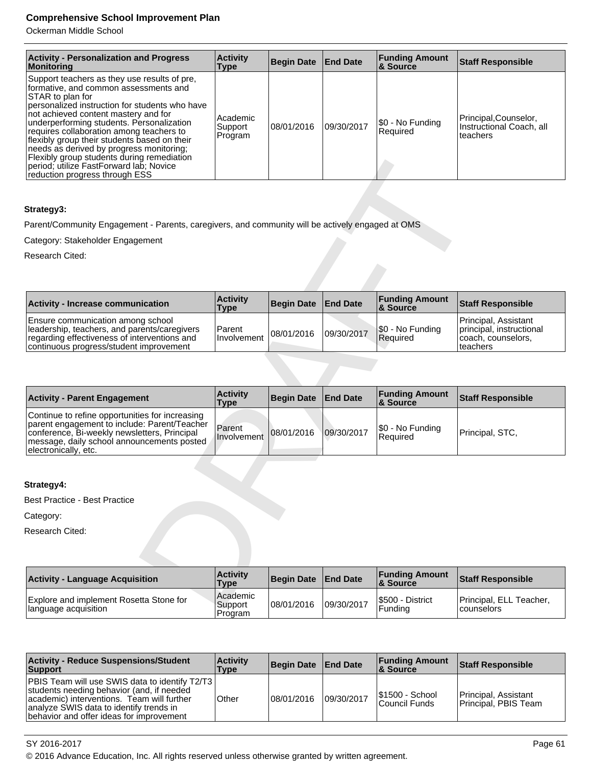Ockerman Middle School

| <b>Activity - Personalization and Progress</b><br>Monitoring                                                                                                                                                                                                                                                                                                                                                                                                                                                        | <b>Activity</b><br><b>Type</b>    | <b>Begin Date</b> | <b>End Date</b> | <b>Funding Amount</b><br><b>&amp; Source</b> | <b>Staff Responsible</b>                                     |
|---------------------------------------------------------------------------------------------------------------------------------------------------------------------------------------------------------------------------------------------------------------------------------------------------------------------------------------------------------------------------------------------------------------------------------------------------------------------------------------------------------------------|-----------------------------------|-------------------|-----------------|----------------------------------------------|--------------------------------------------------------------|
| Support teachers as they use results of pre,<br>formative, and common assessments and<br>STAR to plan for<br>personalized instruction for students who have<br>not achieved content mastery and for<br>underperforming students. Personalization<br>requires collaboration among teachers to<br>flexibly group their students based on their<br>needs as derived by progress monitoring;<br>Flexibly group students during remediation<br>period; utilize FastForward lab; Novice<br>reduction progress through ESS | l Academic<br>Support<br> Program | 108/01/2016       | 09/30/2017      | \$0 - No Funding<br>Required                 | Principal,Counselor,<br>Instructional Coach, all<br>teachers |

#### **Strategy3:**

| <b>Activity - Increase communication</b>                                                                                                                                     | <b>Activity</b><br>Type | Begin Date End Date |            | <b>Funding Amount</b><br>& Source | <b>Staff Responsible</b>                                                            |
|------------------------------------------------------------------------------------------------------------------------------------------------------------------------------|-------------------------|---------------------|------------|-----------------------------------|-------------------------------------------------------------------------------------|
| Ensure communication among school<br>leadership, teachers, and parents/caregivers<br>regarding effectiveness of interventions and<br>continuous progress/student improvement | Parent<br>Involvement   | 08/01/2016          | 09/30/2017 | \$0 - No Funding<br>Required      | Principal. Assistant<br>principal, instructional<br>coach, counselors,<br>lteachers |

| <b>FIEXIDIV group students during remediation</b><br>period; utilize FastForward lab; Novice<br>reduction progress through ESS                                                                                        |                         |                   |                 |                                   |                                                                                    |
|-----------------------------------------------------------------------------------------------------------------------------------------------------------------------------------------------------------------------|-------------------------|-------------------|-----------------|-----------------------------------|------------------------------------------------------------------------------------|
| Strategy3:                                                                                                                                                                                                            |                         |                   |                 |                                   |                                                                                    |
|                                                                                                                                                                                                                       |                         |                   |                 |                                   |                                                                                    |
| Parent/Community Engagement - Parents, caregivers, and community will be actively engaged at OMS                                                                                                                      |                         |                   |                 |                                   |                                                                                    |
| Category: Stakeholder Engagement                                                                                                                                                                                      |                         |                   |                 |                                   |                                                                                    |
| Research Cited:                                                                                                                                                                                                       |                         |                   |                 |                                   |                                                                                    |
|                                                                                                                                                                                                                       |                         |                   |                 |                                   |                                                                                    |
| <b>Activity - Increase communication</b>                                                                                                                                                                              | <b>Activity</b><br>Type | <b>Begin Date</b> | <b>End Date</b> | <b>Funding Amount</b><br>& Source | <b>Staff Responsible</b>                                                           |
| Ensure communication among school<br>leadership, teachers, and parents/caregivers<br>regarding effectiveness of interventions and<br>continuous progress/student improvement                                          | Parent<br>Involvement   | 08/01/2016        | 09/30/2017      | \$0 - No Funding<br>Required      | Principal, Assistant<br>principal, instructional<br>coach, counselors,<br>teachers |
|                                                                                                                                                                                                                       | <b>Activity</b>         |                   |                 | <b>Funding Amount</b>             |                                                                                    |
| <b>Activity - Parent Engagement</b>                                                                                                                                                                                   | <b>Type</b>             | <b>Begin Date</b> | <b>End Date</b> | & Source                          | <b>Staff Responsible</b>                                                           |
| Continue to refine opportunities for increasing<br>parent engagement to include: Parent/Teacher<br>conference, Bi-weekly newsletters, Principal<br>message, daily school announcements posted<br>electronically, etc. | Parent<br>Involvement   | 08/01/2016        | 09/30/2017      | \$0 - No Funding<br>Required      | Principal, STC,                                                                    |
|                                                                                                                                                                                                                       |                         |                   |                 |                                   |                                                                                    |
| Strategy4:                                                                                                                                                                                                            |                         |                   |                 |                                   |                                                                                    |
| <b>Best Practice - Best Practice</b>                                                                                                                                                                                  |                         |                   |                 |                                   |                                                                                    |
| Category:                                                                                                                                                                                                             |                         |                   |                 |                                   |                                                                                    |
| Research Cited:                                                                                                                                                                                                       |                         |                   |                 |                                   |                                                                                    |
|                                                                                                                                                                                                                       |                         |                   |                 |                                   |                                                                                    |
| <b>Activity - Language Acquisition</b>                                                                                                                                                                                | <b>Activity</b>         |                   |                 | <b>Funding Amount</b>             |                                                                                    |
|                                                                                                                                                                                                                       | Type                    | <b>Begin Date</b> | <b>End Date</b> | & Source                          | <b>Staff Responsible</b>                                                           |

# **Strategy4:**

| <b>Activity - Language Acquisition</b>                           | <b>Activity</b><br>Type          | Begin Date End Date |            | <b>Funding Amount</b><br>& Source | <b>Staff Responsible</b>                     |
|------------------------------------------------------------------|----------------------------------|---------------------|------------|-----------------------------------|----------------------------------------------|
| Explore and implement Rosetta Stone for<br>Ilanguage acquisition | l Academic<br>Support<br>Program | 108/01/2016         | 09/30/2017 | S500 - District<br>l Fundina      | Principal, ELL Teacher,<br><b>counselors</b> |

| <b>Activity - Reduce Suspensions/Student</b><br><b>Support</b>                                                                                                                                                                     | <b>Activity</b><br>Type | Begin Date   End Date |            | <b>Funding Amount</b><br>8 Source | <b>Staff Responsible</b>                     |
|------------------------------------------------------------------------------------------------------------------------------------------------------------------------------------------------------------------------------------|-------------------------|-----------------------|------------|-----------------------------------|----------------------------------------------|
| PBIS Team will use SWIS data to identify T2/T3  <br>students needing behavior (and, if needed<br>academic) interventions. Team will further<br>analyze SWIS data to identify trends in<br>behavior and offer ideas for improvement | Other                   | 08/01/2016            | 09/30/2017 | I\$1500 - School<br>Council Funds | Principal. Assistant<br>Principal, PBIS Team |

SY 2016-2017 Page 61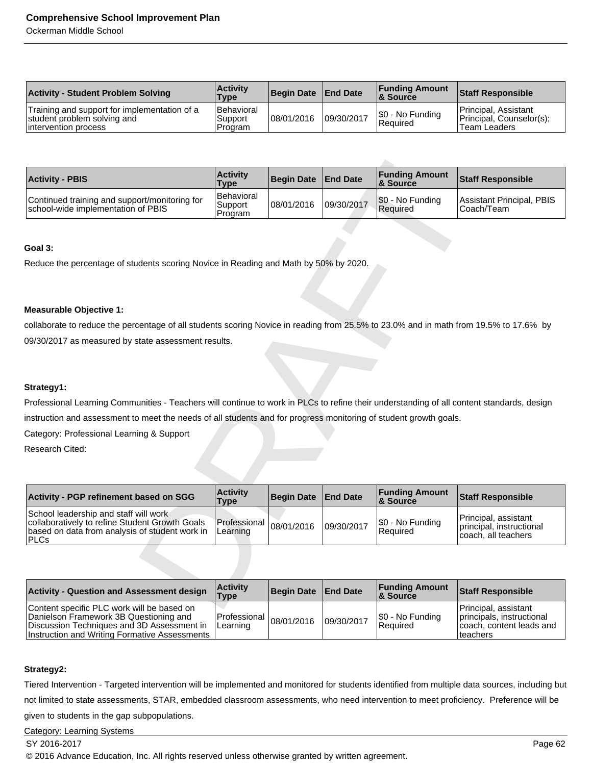Ockerman Middle School

| <b>Activity - Student Problem Solving</b>                                                            | <b>Activity</b><br>Type                 | Begin Date   End Date |            | <b>Funding Amount</b><br>& Source   | <b>Staff Responsible</b>                                         |
|------------------------------------------------------------------------------------------------------|-----------------------------------------|-----------------------|------------|-------------------------------------|------------------------------------------------------------------|
| Training and support for implementation of a<br>student problem solving and<br>lintervention process | <b>Behavioral</b><br>Support<br>Program | 08/01/2016            | 09/30/2017 | \$0 - No Funding<br><b>Required</b> | Principal, Assistant<br>Principal, Counselor(s);<br>Team Leaders |

| <b>Activity - PBIS</b>                                                              | <b>Activity</b><br><b>Type</b>   | Begin Date   End Date |            | <b>Funding Amount</b><br>& Source | <b>Staff Responsible</b>                 |
|-------------------------------------------------------------------------------------|----------------------------------|-----------------------|------------|-----------------------------------|------------------------------------------|
| Continued training and support/monitoring for<br>school-wide implementation of PBIS | Behavioral<br>Support<br>Program | 08/01/2016            | 09/30/2017 | \$0 - No Funding<br>Required      | Assistant Principal, PBIS<br>ICoach/Team |

#### **Goal 3:**

#### **Measurable Objective 1:**

#### **Strategy1:**

| <b>Activity - PBIS</b>                                                                                                                    | <b>Activity</b><br><b>Type</b>   | <b>Begin Date</b> | <b>End Date</b> | <b>Funding Amount</b><br>& Source | <b>Staff Responsible</b>                        |
|-------------------------------------------------------------------------------------------------------------------------------------------|----------------------------------|-------------------|-----------------|-----------------------------------|-------------------------------------------------|
| Continued training and support/monitoring for<br>school-wide implementation of PBIS                                                       | Behavioral<br>Support<br>Program | 08/01/2016        | 09/30/2017      | \$0 - No Funding<br>Required      | <b>Assistant Principal, PBIS</b><br>Coach/Team  |
|                                                                                                                                           |                                  |                   |                 |                                   |                                                 |
| Goal 3:                                                                                                                                   |                                  |                   |                 |                                   |                                                 |
| Reduce the percentage of students scoring Novice in Reading and Math by 50% by 2020.                                                      |                                  |                   |                 |                                   |                                                 |
|                                                                                                                                           |                                  |                   |                 |                                   |                                                 |
|                                                                                                                                           |                                  |                   |                 |                                   |                                                 |
| <b>Measurable Objective 1:</b>                                                                                                            |                                  |                   |                 |                                   |                                                 |
| collaborate to reduce the percentage of all students scoring Novice in reading from 25.5% to 23.0% and in math from 19.5% to 17.6% by     |                                  |                   |                 |                                   |                                                 |
| 09/30/2017 as measured by state assessment results.                                                                                       |                                  |                   |                 |                                   |                                                 |
|                                                                                                                                           |                                  |                   |                 |                                   |                                                 |
|                                                                                                                                           |                                  |                   |                 |                                   |                                                 |
| Strategy1:                                                                                                                                |                                  |                   |                 |                                   |                                                 |
| Professional Learning Communities - Teachers will continue to work in PLCs to refine their understanding of all content standards, design |                                  |                   |                 |                                   |                                                 |
| instruction and assessment to meet the needs of all students and for progress monitoring of student growth goals.                         |                                  |                   |                 |                                   |                                                 |
| Category: Professional Learning & Support                                                                                                 |                                  |                   |                 |                                   |                                                 |
| Research Cited:                                                                                                                           |                                  |                   |                 |                                   |                                                 |
|                                                                                                                                           |                                  |                   |                 |                                   |                                                 |
|                                                                                                                                           |                                  |                   |                 |                                   |                                                 |
| <b>Activity - PGP refinement based on SGG</b>                                                                                             | <b>Activity</b><br><b>Type</b>   | <b>Begin Date</b> | <b>End Date</b> | <b>Funding Amount</b><br>& Source | <b>Staff Responsible</b>                        |
| School leadership and staff will work                                                                                                     |                                  |                   |                 |                                   | Principal, assistant                            |
| collaboratively to refine Student Growth Goals<br>based on data from analysis of student work in<br><b>PLCs</b>                           | Professional<br>Learning         | 08/01/2016        | 09/30/2017      | \$0 - No Funding<br>Required      | principal, instructional<br>coach, all teachers |
|                                                                                                                                           |                                  |                   |                 |                                   |                                                 |
|                                                                                                                                           |                                  |                   |                 |                                   |                                                 |
| <b>Activity - Question and Assessment design</b>                                                                                          | <b>Activity</b><br><b>Type</b>   | <b>Begin Date</b> | <b>End Date</b> | <b>Funding Amount</b><br>& Source | <b>Staff Responsible</b>                        |
| Contant enacific PLC work will ha haead on                                                                                                |                                  |                   |                 |                                   | Princinal accictant                             |

| <b>Activity - Question and Assessment design</b>                                                                                                                                    | <b>Activity</b><br><b>Type</b>                | Begin Date End Date |            | <b>Funding Amount</b><br>8 Source | <b>Staff Responsible</b>                                                                   |
|-------------------------------------------------------------------------------------------------------------------------------------------------------------------------------------|-----------------------------------------------|---------------------|------------|-----------------------------------|--------------------------------------------------------------------------------------------|
| Content specific PLC work will be based on<br>Danielson Framework 3B Questioning and<br>Discussion Techniques and 3D Assessment in<br>Instruction and Writing Formative Assessments | $ $ Professional $ _{08/01/2016}$<br>Learning |                     | 09/30/2017 | \$0 - No Funding<br>l Reauired    | Principal, assistant<br>principals, instructional<br>coach, content leads and<br>Iteachers |

#### **Strategy2:**

Tiered Intervention - Targeted intervention will be implemented and monitored for students identified from multiple data sources, including but

not limited to state assessments, STAR, embedded classroom assessments, who need intervention to meet proficiency. Preference will be

given to students in the gap subpopulations.

#### Category: Learning Systems

#### SY 2016-2017 Page 62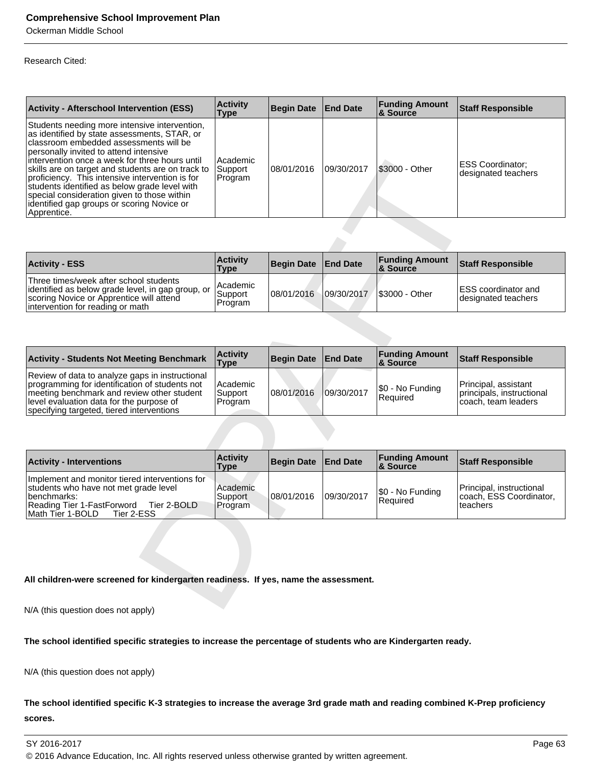Ockerman Middle School

#### Research Cited:

| <b>Activity - Afterschool Intervention (ESS)</b>                                                                                                                                                                                                                                                                                                                                                                                                                                                            | <b>Activity</b><br>Type        | <b>Begin Date End Date</b> |            | <b>Funding Amount</b><br><b>8 Source</b> | <b>Staff Responsible</b>                       |
|-------------------------------------------------------------------------------------------------------------------------------------------------------------------------------------------------------------------------------------------------------------------------------------------------------------------------------------------------------------------------------------------------------------------------------------------------------------------------------------------------------------|--------------------------------|----------------------------|------------|------------------------------------------|------------------------------------------------|
| Students needing more intensive intervention,<br>as identified by state assessments, STAR, or<br>Iclassroom embedded assessments will be<br>personally invited to attend intensive<br>lintervention once a week for three hours until<br>skills are on target and students are on track to<br>proficiency. This intensive intervention is for<br>students identified as below grade level with<br>special consideration given to those within<br>lidentified gap groups or scoring Novice or<br>Apprentice. | Academic<br>Support<br>Program | 08/01/2016                 | 09/30/2017 | I\$3000 - Other                          | <b>ESS Coordinator:</b><br>designated teachers |

| <b>Activity - ESS</b>                                                                                                                                                           | <b>Activity</b><br><b>Type</b>   | <b>Begin Date</b> | <b>End Date</b> | <b>Funding Amount</b><br>8 Source | Staff Responsible                                  |
|---------------------------------------------------------------------------------------------------------------------------------------------------------------------------------|----------------------------------|-------------------|-----------------|-----------------------------------|----------------------------------------------------|
| Three times/week after school students<br>lidentified as below grade level, in gap group, or 1<br>scoring Novice or Apprentice will attend<br>lintervention for reading or math | l Academic<br>Support<br>Program | 08/01/2016        | 09/30/2017      | <b>S3000 - Other</b>              | <b>IESS</b> coordinator and<br>designated teachers |

| intervention once a week for three hours until<br>skills are on target and students are on track to<br>proficiency. This intensive intervention is for<br>students identified as below grade level with<br>special consideration given to those within<br>identified gap groups or scoring Novice or<br>Apprentice. | Academic<br>Support<br>Program | 08/01/2016        | 09/30/2017      | \$3000 - Other                    | <b>ESS Coordinator;</b><br>designated teachers                           |
|---------------------------------------------------------------------------------------------------------------------------------------------------------------------------------------------------------------------------------------------------------------------------------------------------------------------|--------------------------------|-------------------|-----------------|-----------------------------------|--------------------------------------------------------------------------|
|                                                                                                                                                                                                                                                                                                                     |                                |                   |                 |                                   |                                                                          |
| <b>Activity - ESS</b>                                                                                                                                                                                                                                                                                               | <b>Activity</b><br><b>Type</b> | <b>Begin Date</b> | <b>End Date</b> | <b>Funding Amount</b><br>& Source | <b>Staff Responsible</b>                                                 |
| Three times/week after school students<br>identified as below grade level, in gap group, or<br>scoring Novice or Apprentice will attend<br>intervention for reading or math                                                                                                                                         | Academic<br>Support<br>Program | 08/01/2016        | 09/30/2017      | \$3000 - Other                    | <b>ESS</b> coordinator and<br>designated teachers                        |
|                                                                                                                                                                                                                                                                                                                     |                                |                   |                 |                                   |                                                                          |
| <b>Activity - Students Not Meeting Benchmark</b>                                                                                                                                                                                                                                                                    | <b>Activity</b><br><b>Type</b> | <b>Begin Date</b> | <b>End Date</b> | <b>Funding Amount</b><br>& Source | <b>Staff Responsible</b>                                                 |
| Review of data to analyze gaps in instructional<br>programming for identification of students not<br>meeting benchmark and review other student<br>level evaluation data for the purpose of<br>specifying targeted, tiered interventions                                                                            | Academic<br>Support<br>Program | 08/01/2016        | 09/30/2017      | \$0 - No Funding<br>Required      | Principal, assistant<br>principals, instructional<br>coach, team leaders |
|                                                                                                                                                                                                                                                                                                                     |                                |                   |                 |                                   |                                                                          |
| <b>Activity - Interventions</b>                                                                                                                                                                                                                                                                                     | <b>Activity</b><br><b>Type</b> | <b>Begin Date</b> | <b>End Date</b> | <b>Funding Amount</b><br>& Source | <b>Staff Responsible</b>                                                 |
| Implement and monitor tiered interventions for<br>students who have not met grade level<br>benchmarks:<br>Reading Tier 1-FastForword Tier 2-BOLD<br>Math Tier 1-BOLD<br>Tier 2-ESS                                                                                                                                  | Academic<br>Support<br>Program | 08/01/2016        | 09/30/2017      | \$0 - No Funding<br>Required      | Principal, instructional<br>coach, ESS Coordinator,<br>teachers          |
|                                                                                                                                                                                                                                                                                                                     |                                |                   |                 |                                   |                                                                          |
| All children-were screened for kindergarten readiness. If yes, name the assessment.<br>$N1/\Lambda$ (this superior deep not explied                                                                                                                                                                                 |                                |                   |                 |                                   |                                                                          |

| <b>Activity - Interventions</b>                                                                                                                                                        | <b>Activity</b><br><b>Type</b> | Begin Date   End Date |            | <b>Funding Amount</b><br>8. Source | Staff Responsible                                                |
|----------------------------------------------------------------------------------------------------------------------------------------------------------------------------------------|--------------------------------|-----------------------|------------|------------------------------------|------------------------------------------------------------------|
| Implement and monitor tiered interventions for<br>students who have not met grade level<br>Ibenchmarks:<br>Reading Tier 1-FastForword<br>Tier 2-BOLD<br>Math Tier 1-BOLD<br>Tier 2-ESS | Academic<br>Support<br>Program | 08/01/2016            | 09/30/2017 | S0 - No Funding<br>Required        | Principal, instructional<br>coach, ESS Coordinator,<br>Iteachers |

#### **All children-were screened for kindergarten readiness. If yes, name the assessment.**

N/A (this question does not apply)

**The school identified specific strategies to increase the percentage of students who are Kindergarten ready.**

N/A (this question does not apply)

**The school identified specific K-3 strategies to increase the average 3rd grade math and reading combined K-Prep proficiency scores.** 

SY 2016-2017 Page 63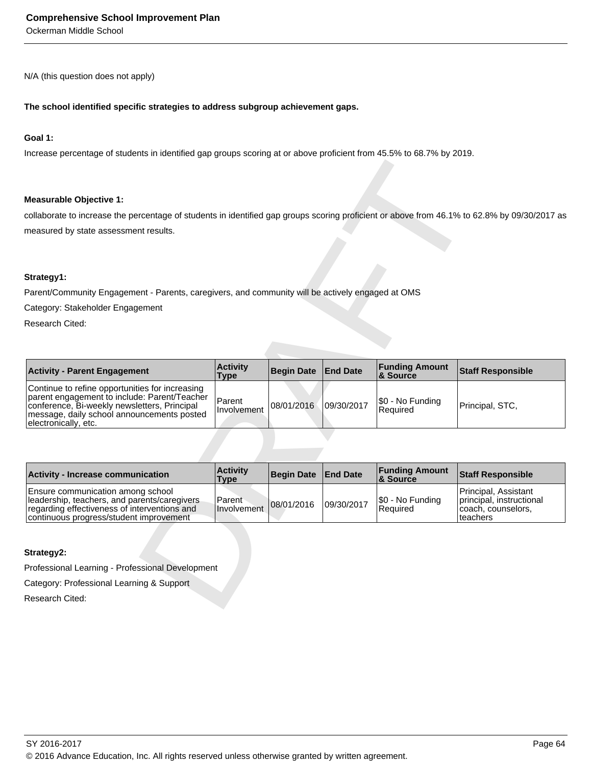Ockerman Middle School

N/A (this question does not apply)

#### **The school identified specific strategies to address subgroup achievement gaps.**

#### **Goal 1:**

Increase percentage of students in identified gap groups scoring at or above proficient from 45.5% to 68.7% by 2019.

#### **Measurable Objective 1:**

#### **Strategy1:**

| <b>Measurable Objective 1:</b>                                                                                                                                                                                        |                                |                   |                 |                                   |                                                                                    |
|-----------------------------------------------------------------------------------------------------------------------------------------------------------------------------------------------------------------------|--------------------------------|-------------------|-----------------|-----------------------------------|------------------------------------------------------------------------------------|
| collaborate to increase the percentage of students in identified gap groups scoring proficient or above from 46.1% to 62.8% by 09/30/2017 as                                                                          |                                |                   |                 |                                   |                                                                                    |
| measured by state assessment results.                                                                                                                                                                                 |                                |                   |                 |                                   |                                                                                    |
|                                                                                                                                                                                                                       |                                |                   |                 |                                   |                                                                                    |
| Strategy1:                                                                                                                                                                                                            |                                |                   |                 |                                   |                                                                                    |
| Parent/Community Engagement - Parents, caregivers, and community will be actively engaged at OMS                                                                                                                      |                                |                   |                 |                                   |                                                                                    |
| Category: Stakeholder Engagement                                                                                                                                                                                      |                                |                   |                 |                                   |                                                                                    |
| Research Cited:                                                                                                                                                                                                       |                                |                   |                 |                                   |                                                                                    |
|                                                                                                                                                                                                                       |                                |                   |                 |                                   |                                                                                    |
|                                                                                                                                                                                                                       |                                |                   |                 |                                   |                                                                                    |
| <b>Activity - Parent Engagement</b>                                                                                                                                                                                   | <b>Activity</b><br><b>Type</b> | <b>Begin Date</b> | <b>End Date</b> | <b>Funding Amount</b><br>& Source | <b>Staff Responsible</b>                                                           |
| Continue to refine opportunities for increasing<br>parent engagement to include: Parent/Teacher<br>conference, Bi-weekly newsletters, Principal<br>message, daily school announcements posted<br>electronically, etc. | Parent<br>Involvement          | 08/01/2016        | 09/30/2017      | \$0 - No Funding<br>Required      | Principal, STC,                                                                    |
|                                                                                                                                                                                                                       |                                |                   |                 |                                   |                                                                                    |
| Activity - Increase communication                                                                                                                                                                                     | <b>Activity</b><br><b>Type</b> | <b>Begin Date</b> | <b>End Date</b> | <b>Funding Amount</b><br>& Source | <b>Staff Responsible</b>                                                           |
| Ensure communication among school<br>leadership, teachers, and parents/caregivers<br>regarding effectiveness of interventions and<br>continuous progress/student improvement                                          | Parent<br><b>Involvement</b>   | 08/01/2016        | 09/30/2017      | \$0 - No Funding<br>Required      | Principal, Assistant<br>principal, instructional<br>coach, counselors,<br>teachers |
|                                                                                                                                                                                                                       |                                |                   |                 |                                   |                                                                                    |
| Strategy2:                                                                                                                                                                                                            |                                |                   |                 |                                   |                                                                                    |
| Professional Learning - Professional Development                                                                                                                                                                      |                                |                   |                 |                                   |                                                                                    |
| Category: Professional Learning & Support                                                                                                                                                                             |                                |                   |                 |                                   |                                                                                    |
| Research Cited:                                                                                                                                                                                                       |                                |                   |                 |                                   |                                                                                    |
|                                                                                                                                                                                                                       |                                |                   |                 |                                   |                                                                                    |

| <b>Activity - Increase communication</b>                                                                                                                                     | <b>Activity</b><br><b>Type</b> | Begin Date End Date |            | <b>Funding Amount</b><br><b>8 Source</b> | <b>Staff Responsible</b>                                                             |
|------------------------------------------------------------------------------------------------------------------------------------------------------------------------------|--------------------------------|---------------------|------------|------------------------------------------|--------------------------------------------------------------------------------------|
| Ensure communication among school<br>leadership, teachers, and parents/caregivers<br>regarding effectiveness of interventions and<br>continuous progress/student improvement | Parent<br>Involvement          | 08/01/2016          | 09/30/2017 | S0 - No Funding<br>Required              | Principal. Assistant<br>principal, instructional<br> coach, counselors,<br>lteachers |

#### **Strategy2:**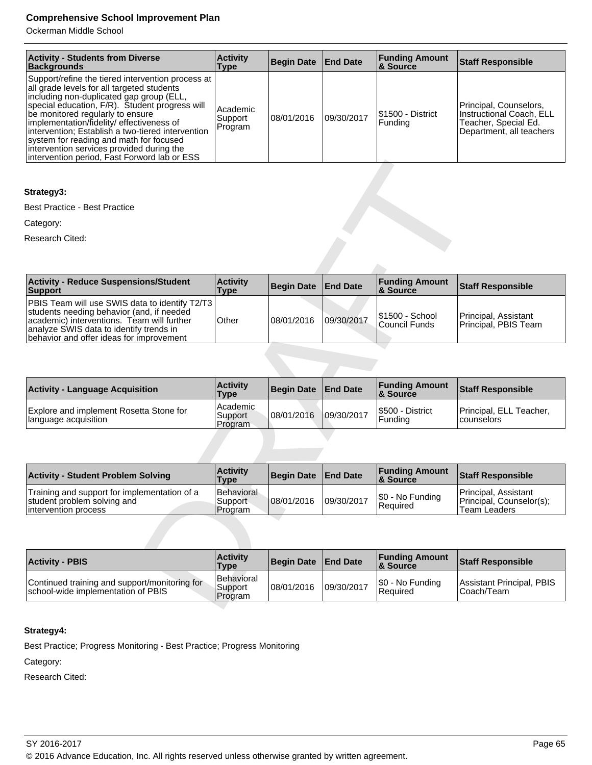Ockerman Middle School

| <b>Activity - Students from Diverse</b><br><b>Backgrounds</b>                                                                                                                                                                                                                                                                                                                                                                                                                | <b>Activity</b><br>Type        | Begin Date   End Date |            | <b>Funding Amount</b><br><b>&amp; Source</b> | <b>Staff Responsible</b>                                                                               |
|------------------------------------------------------------------------------------------------------------------------------------------------------------------------------------------------------------------------------------------------------------------------------------------------------------------------------------------------------------------------------------------------------------------------------------------------------------------------------|--------------------------------|-----------------------|------------|----------------------------------------------|--------------------------------------------------------------------------------------------------------|
| Support/refine the tiered intervention process at<br>all grade levels for all targeted students<br>including non-duplicated gap group (ELL,<br>special education, F/R). Student progress will<br>be monitored regularly to ensure<br> implementation/fidelity/ effectiveness of<br>Intervention; Establish a two-tiered intervention<br>system for reading and math for focused<br>intervention services provided during the<br>intervention period, Fast Forword lab or ESS | Academic<br>Support<br>Program | 108/01/2016           | 09/30/2017 | I\$1500 - District<br>Funding                | Principal, Counselors,<br>Instructional Coach. ELL<br>Teacher, Special Ed.<br>Department, all teachers |

#### **Strategy3:**

| <b>Type</b>                                             | <b>Begin Date</b> | <b>End Date</b> | & Source                            | <b>Staff Responsible</b>                                                |
|---------------------------------------------------------|-------------------|-----------------|-------------------------------------|-------------------------------------------------------------------------|
| PBIS Team will use SWIS data to identify T2/T3<br>Other | 08/01/2016        | 09/30/2017      | \$1500 - School<br>Council Funds    | Principal, Assistant<br>Principal, PBIS Team                            |
|                                                         |                   |                 |                                     |                                                                         |
| <b>Activity</b><br>Type                                 | <b>Begin Date</b> | <b>End Date</b> | <b>Funding Amount</b><br>& Source   | <b>Staff Responsible</b>                                                |
| Academic                                                |                   |                 | \$500 - District                    | Principal, ELL Teacher,                                                 |
| Program                                                 |                   |                 | Funding                             | counselors                                                              |
|                                                         |                   |                 |                                     |                                                                         |
|                                                         |                   |                 |                                     |                                                                         |
| <b>Activity</b><br><b>Type</b>                          | <b>Begin Date</b> | <b>End Date</b> | <b>Funding Amount</b><br>& Source   | <b>Staff Responsible</b>                                                |
| Behavioral<br>Support<br>Program                        | 08/01/2016        | 09/30/2017      | \$0 - No Funding<br>Required        | Principal, Assistant<br>Principal, Counselor(s);<br><b>Team Leaders</b> |
|                                                         |                   |                 |                                     |                                                                         |
| <b>Activity</b><br><b>Type</b>                          | <b>Begin Date</b> | <b>End Date</b> | <b>Funding Amount</b><br>& Source   | <b>Staff Responsible</b>                                                |
|                                                         | <b>Activity</b>   |                 | 09/30/2017<br>Support<br>08/01/2016 | <b>Funding Amount</b>                                                   |

| <b>Activity - Language Acquisition</b>                          | <b>Activity</b><br><b>Type</b> | <b>Begin Date</b> | <b>End Date</b> | <b>Funding Amount</b><br>∣& Source | <b>Staff Responsible</b>                |
|-----------------------------------------------------------------|--------------------------------|-------------------|-----------------|------------------------------------|-----------------------------------------|
| Explore and implement Rosetta Stone for<br>language acquisition | Academic<br>Support<br>Program | 108/01/2016       | 09/30/2017      | I\$500 - District<br>Fundina)      | Principal, ELL Teacher,<br>l counselors |

| <b>Activity - Student Problem Solving</b>                                                            | <b>Activity</b><br>Type                  | Begin Date   End Date |            | <b>Funding Amount</b><br>& Source   | Staff Responsible                                                |
|------------------------------------------------------------------------------------------------------|------------------------------------------|-----------------------|------------|-------------------------------------|------------------------------------------------------------------|
| Training and support for implementation of a<br>student problem solving and<br>lintervention process | <b>Behavioral</b><br>'Support<br>Program | 108/01/2016           | 09/30/2017 | \$0 - No Funding<br><b>Required</b> | Principal, Assistant<br>Principal, Counselor(s);<br>Team Leaders |

| <b>Activity - PBIS</b>                                                              | <b>Activity</b><br><b>Type</b>   | Begin Date End Date |            | <b>Funding Amount</b><br>& Source   | <b>Staff Responsible</b>                  |
|-------------------------------------------------------------------------------------|----------------------------------|---------------------|------------|-------------------------------------|-------------------------------------------|
| Continued training and support/monitoring for<br>school-wide implementation of PBIS | Behavioral<br>Support<br>Program | 108/01/2016         | 09/30/2017 | \$0 - No Funding<br><b>Required</b> | Assistant Principal, PBIS<br>l Coach/Team |

# **Strategy4:**

Best Practice; Progress Monitoring - Best Practice; Progress Monitoring

Category: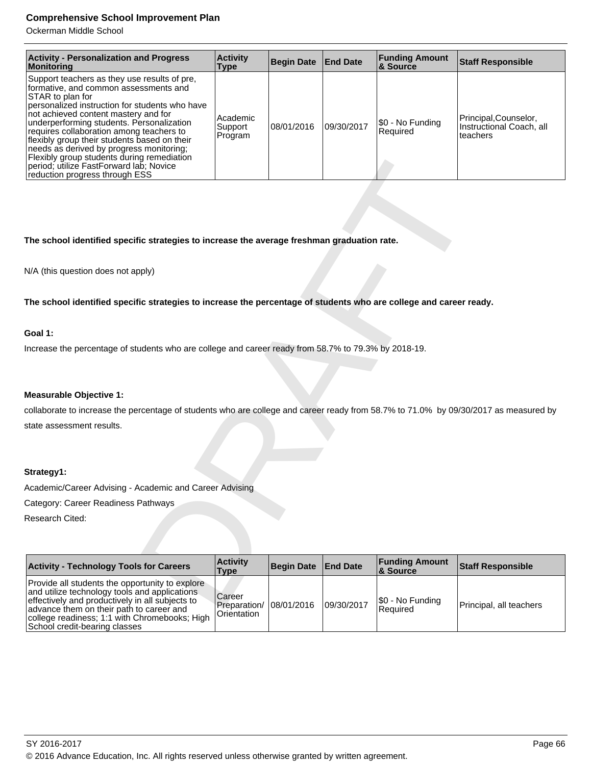Ockerman Middle School

| <b>Activity - Personalization and Progress</b><br>Monitoring                                                                                                                                                                                                                                                                                                                                                                                                                                                        | <b>Activity</b><br>Type          | <b>Begin Date</b> | <b>End Date</b> | <b>Funding Amount</b><br><b>&amp; Source</b> | <b>Staff Responsible</b>                                     |
|---------------------------------------------------------------------------------------------------------------------------------------------------------------------------------------------------------------------------------------------------------------------------------------------------------------------------------------------------------------------------------------------------------------------------------------------------------------------------------------------------------------------|----------------------------------|-------------------|-----------------|----------------------------------------------|--------------------------------------------------------------|
| Support teachers as they use results of pre,<br>formative, and common assessments and<br>STAR to plan for<br>personalized instruction for students who have<br>not achieved content mastery and for<br>underperforming students. Personalization<br>requires collaboration among teachers to<br>flexibly group their students based on their<br>needs as derived by progress monitoring;<br>Flexibly group students during remediation<br>period; utilize FastForward lab; Novice<br>reduction progress through ESS | Academic<br> Support <br>Program | 08/01/2016        | 09/30/2017      | \$0 - No Funding<br>Required                 | Principal,Counselor,<br>Instructional Coach, all<br>teachers |

#### **The school identified specific strategies to increase the average freshman graduation rate.**

#### **Goal 1:**

#### **Measurable Objective 1:**

#### **Strategy1:**

| Flexibly group students during remediation<br>period; utilize FastForward lab; Novice<br>reduction progress through ESS                                                                                                                                                           |                                       |                   |                 |                                   |                          |  |  |
|-----------------------------------------------------------------------------------------------------------------------------------------------------------------------------------------------------------------------------------------------------------------------------------|---------------------------------------|-------------------|-----------------|-----------------------------------|--------------------------|--|--|
|                                                                                                                                                                                                                                                                                   |                                       |                   |                 |                                   |                          |  |  |
|                                                                                                                                                                                                                                                                                   |                                       |                   |                 |                                   |                          |  |  |
| The school identified specific strategies to increase the average freshman graduation rate.                                                                                                                                                                                       |                                       |                   |                 |                                   |                          |  |  |
| N/A (this question does not apply)                                                                                                                                                                                                                                                |                                       |                   |                 |                                   |                          |  |  |
| The school identified specific strategies to increase the percentage of students who are college and career ready.                                                                                                                                                                |                                       |                   |                 |                                   |                          |  |  |
| Goal 1:                                                                                                                                                                                                                                                                           |                                       |                   |                 |                                   |                          |  |  |
| Increase the percentage of students who are college and career ready from 58.7% to 79.3% by 2018-19.                                                                                                                                                                              |                                       |                   |                 |                                   |                          |  |  |
|                                                                                                                                                                                                                                                                                   |                                       |                   |                 |                                   |                          |  |  |
| <b>Measurable Objective 1:</b>                                                                                                                                                                                                                                                    |                                       |                   |                 |                                   |                          |  |  |
| collaborate to increase the percentage of students who are college and career ready from 58.7% to 71.0% by 09/30/2017 as measured by                                                                                                                                              |                                       |                   |                 |                                   |                          |  |  |
| state assessment results.                                                                                                                                                                                                                                                         |                                       |                   |                 |                                   |                          |  |  |
| Strategy1:                                                                                                                                                                                                                                                                        |                                       |                   |                 |                                   |                          |  |  |
| Academic/Career Advising - Academic and Career Advising                                                                                                                                                                                                                           |                                       |                   |                 |                                   |                          |  |  |
| Category: Career Readiness Pathways                                                                                                                                                                                                                                               |                                       |                   |                 |                                   |                          |  |  |
| Research Cited:                                                                                                                                                                                                                                                                   |                                       |                   |                 |                                   |                          |  |  |
|                                                                                                                                                                                                                                                                                   |                                       |                   |                 |                                   |                          |  |  |
| <b>Activity - Technology Tools for Careers</b>                                                                                                                                                                                                                                    | <b>Activity</b><br><b>Type</b>        | <b>Begin Date</b> | <b>End Date</b> | <b>Funding Amount</b><br>& Source | <b>Staff Responsible</b> |  |  |
| Provide all students the opportunity to explore<br>and utilize technology tools and applications<br>effectively and productively in all subjects to<br>advance them on their path to career and<br>college readiness; 1:1 with Chromebooks; High<br>School credit-bearing classes | Career<br>Preparation/<br>Orientation | 08/01/2016        | 09/30/2017      | \$0 - No Funding<br>Required      | Principal, all teachers  |  |  |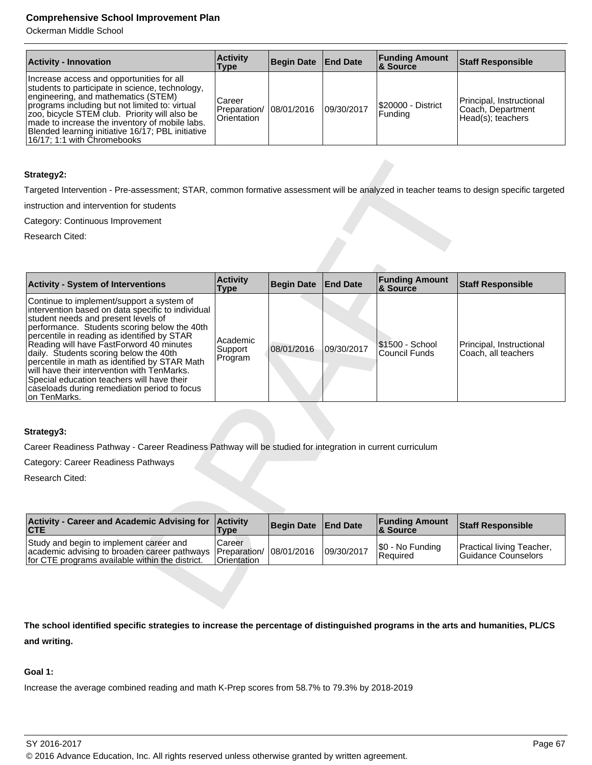Ockerman Middle School

| <b>Activity - Innovation</b>                                                                                                                                                                                                                                                                                                                                                 | <b>Activity</b><br>Type               | Begin Date End Date |            | <b>Funding Amount</b><br>∣& Source | Staff Responsible                                                   |
|------------------------------------------------------------------------------------------------------------------------------------------------------------------------------------------------------------------------------------------------------------------------------------------------------------------------------------------------------------------------------|---------------------------------------|---------------------|------------|------------------------------------|---------------------------------------------------------------------|
| Increase access and opportunities for all<br>students to participate in science, technology,<br>engineering, and mathematics (STEM)<br>programs including but not limited to: virtual<br>zoo, bicycle STEM club. Priority will also be<br>made to increase the inventory of mobile labs.<br>Blended learning initiative 16/17; PBL initiative<br>16/17; 1:1 with Chromebooks | Career<br>Preparation/<br>Orientation | 108/01/2016         | 09/30/2017 | S20000 - District<br> Funding      | Principal, Instructional<br> Coach, Department<br>Head(s): teachers |

#### **Strategy2:**

| Strategy2:                                                                                                                                                                                                                                                                                                                                                                                                                                                                                                                               |                                       |                   |                 |                                   |                                                  |
|------------------------------------------------------------------------------------------------------------------------------------------------------------------------------------------------------------------------------------------------------------------------------------------------------------------------------------------------------------------------------------------------------------------------------------------------------------------------------------------------------------------------------------------|---------------------------------------|-------------------|-----------------|-----------------------------------|--------------------------------------------------|
| Targeted Intervention - Pre-assessment; STAR, common formative assessment will be analyzed in teacher teams to design specific targeted                                                                                                                                                                                                                                                                                                                                                                                                  |                                       |                   |                 |                                   |                                                  |
| instruction and intervention for students                                                                                                                                                                                                                                                                                                                                                                                                                                                                                                |                                       |                   |                 |                                   |                                                  |
| Category: Continuous Improvement                                                                                                                                                                                                                                                                                                                                                                                                                                                                                                         |                                       |                   |                 |                                   |                                                  |
| Research Cited:                                                                                                                                                                                                                                                                                                                                                                                                                                                                                                                          |                                       |                   |                 |                                   |                                                  |
|                                                                                                                                                                                                                                                                                                                                                                                                                                                                                                                                          |                                       |                   |                 |                                   |                                                  |
| <b>Activity - System of Interventions</b>                                                                                                                                                                                                                                                                                                                                                                                                                                                                                                | <b>Activity</b><br><b>Type</b>        | <b>Begin Date</b> | <b>End Date</b> | <b>Funding Amount</b><br>& Source | <b>Staff Responsible</b>                         |
| Continue to implement/support a system of<br>intervention based on data specific to individual<br>student needs and present levels of<br>performance. Students scoring below the 40th<br>percentile in reading as identified by STAR<br>Reading will have FastForword 40 minutes<br>daily. Students scoring below the 40th<br>percentile in math as identified by STAR Math<br>will have their intervention with TenMarks.<br>Special education teachers will have their<br>caseloads during remediation period to focus<br>on TenMarks. | Academic<br>Support<br>Program        | 08/01/2016        | 09/30/2017      | \$1500 - School<br>Council Funds  | Principal, Instructional<br>Coach, all teachers  |
| Strategy3:<br>Career Readiness Pathway - Career Readiness Pathway will be studied for integration in current curriculum                                                                                                                                                                                                                                                                                                                                                                                                                  |                                       |                   |                 |                                   |                                                  |
| Category: Career Readiness Pathways                                                                                                                                                                                                                                                                                                                                                                                                                                                                                                      |                                       |                   |                 |                                   |                                                  |
| Research Cited:                                                                                                                                                                                                                                                                                                                                                                                                                                                                                                                          |                                       |                   |                 |                                   |                                                  |
|                                                                                                                                                                                                                                                                                                                                                                                                                                                                                                                                          |                                       |                   |                 |                                   |                                                  |
| <b>Activity - Career and Academic Advising for</b><br><b>CTE</b>                                                                                                                                                                                                                                                                                                                                                                                                                                                                         | <b>Activity</b><br><b>Type</b>        | <b>Begin Date</b> | <b>End Date</b> | <b>Funding Amount</b><br>& Source | <b>Staff Responsible</b>                         |
| Study and begin to implement career and<br>academic advising to broaden career pathways<br>for CTE programs available within the district.                                                                                                                                                                                                                                                                                                                                                                                               | Career<br>Preparation/<br>Orientation | 08/01/2016        | 09/30/2017      | \$0 - No Funding<br>Required      | Practical living Teacher,<br>Guidance Counselors |
|                                                                                                                                                                                                                                                                                                                                                                                                                                                                                                                                          |                                       |                   |                 |                                   |                                                  |

#### **Strategy3:**

| Activity - Career and Academic Advising for Activity<br>$ $ CTE                                                                                                      | Type                         | Begin Date   End Date |            | <b>Funding Amount</b><br>8 Source | <b>Staff Responsible</b>                                |
|----------------------------------------------------------------------------------------------------------------------------------------------------------------------|------------------------------|-----------------------|------------|-----------------------------------|---------------------------------------------------------|
| Study and begin to implement career and<br>academic advising to broaden career pathways   Preparation/ 08/01/2016<br>for CTE programs available within the district. | Career<br><b>Orientation</b> |                       | 09/30/2017 | \$0 - No Funding<br>Required      | <b>Practical living Teacher,</b><br>Guidance Counselors |

**The school identified specific strategies to increase the percentage of distinguished programs in the arts and humanities, PL/CS and writing.**

#### **Goal 1:**

Increase the average combined reading and math K-Prep scores from 58.7% to 79.3% by 2018-2019

SY 2016-2017 Page 67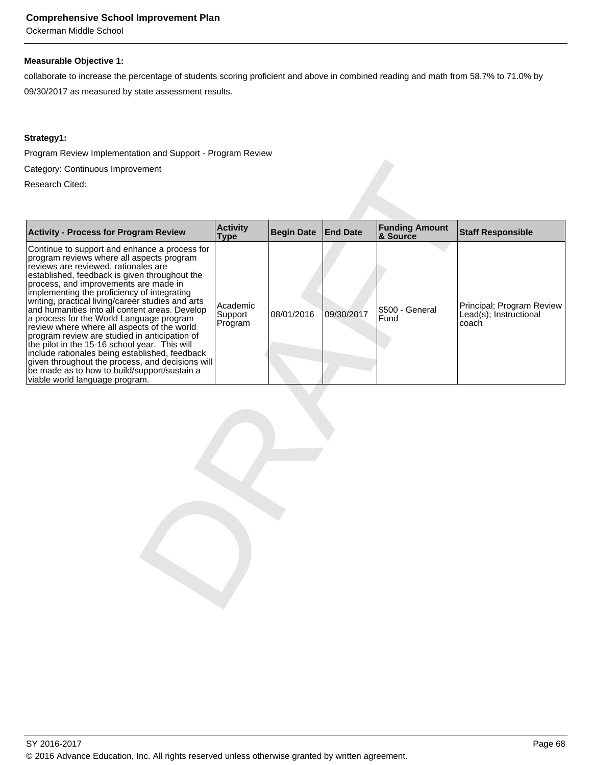Ockerman Middle School

#### **Measurable Objective 1:**

collaborate to increase the percentage of students scoring proficient and above in combined reading and math from 58.7% to 71.0% by 09/30/2017 as measured by state assessment results.

#### **Strategy1:**

Program Review Implementation and Support - Program Review

| Category: Continuous Improvement                                                                                                                                                                                                                                                                                                                                                                                                                                                                                                                                                                                                                                                                                                                                        |                                |                   |                 |                                   |                                                              |  |  |
|-------------------------------------------------------------------------------------------------------------------------------------------------------------------------------------------------------------------------------------------------------------------------------------------------------------------------------------------------------------------------------------------------------------------------------------------------------------------------------------------------------------------------------------------------------------------------------------------------------------------------------------------------------------------------------------------------------------------------------------------------------------------------|--------------------------------|-------------------|-----------------|-----------------------------------|--------------------------------------------------------------|--|--|
| Research Cited:                                                                                                                                                                                                                                                                                                                                                                                                                                                                                                                                                                                                                                                                                                                                                         |                                |                   |                 |                                   |                                                              |  |  |
|                                                                                                                                                                                                                                                                                                                                                                                                                                                                                                                                                                                                                                                                                                                                                                         |                                |                   |                 |                                   |                                                              |  |  |
| <b>Activity - Process for Program Review</b>                                                                                                                                                                                                                                                                                                                                                                                                                                                                                                                                                                                                                                                                                                                            | <b>Activity</b><br><b>Type</b> | <b>Begin Date</b> | <b>End Date</b> | <b>Funding Amount</b><br>& Source | <b>Staff Responsible</b>                                     |  |  |
| Continue to support and enhance a process for<br>program reviews where all aspects program<br>reviews are reviewed, rationales are<br>established, feedback is given throughout the<br>process, and improvements are made in<br>implementing the proficiency of integrating<br>writing, practical living/career studies and arts<br>and humanities into all content areas. Develop<br>a process for the World Language program<br>review where where all aspects of the world<br>program review are studied in anticipation of<br>the pilot in the 15-16 school year. This will<br>include rationales being established, feedback<br>given throughout the process, and decisions will<br>be made as to how to build/support/sustain a<br>viable world language program. | Academic<br>Support<br>Program | 08/01/2016        | 09/30/2017      | \$500 - General<br>Fund           | Principal; Program Review<br>Lead(s); Instructional<br>coach |  |  |
|                                                                                                                                                                                                                                                                                                                                                                                                                                                                                                                                                                                                                                                                                                                                                                         |                                |                   |                 |                                   |                                                              |  |  |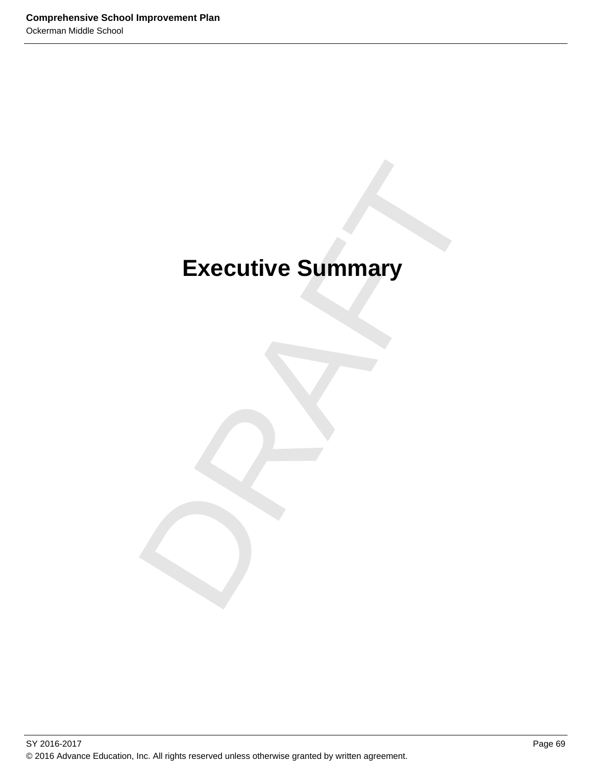# Executive Summary **Executive Summary**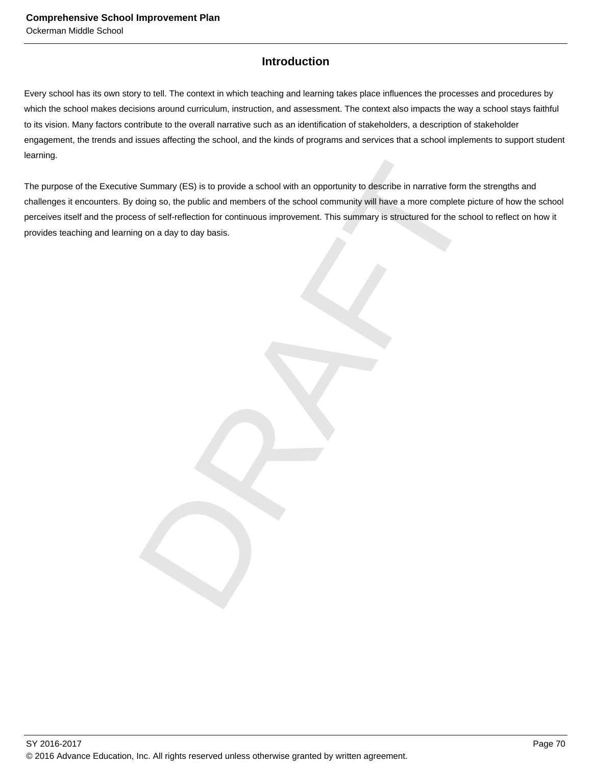## **Introduction**

Every school has its own story to tell. The context in which teaching and learning takes place influences the processes and procedures by which the school makes decisions around curriculum, instruction, and assessment. The context also impacts the way a school stays faithful to its vision. Many factors contribute to the overall narrative such as an identification of stakeholders, a description of stakeholder engagement, the trends and issues affecting the school, and the kinds of programs and services that a school implements to support student learning.

Summary (ES) is to provide a school with an opportunity to describe in narrative form the strength<br>doing so, the public and members of the school community will have a more complete picture of ht<br>iss of self-reflection for The purpose of the Executive Summary (ES) is to provide a school with an opportunity to describe in narrative form the strengths and challenges it encounters. By doing so, the public and members of the school community will have a more complete picture of how the school perceives itself and the process of self-reflection for continuous improvement. This summary is structured for the school to reflect on how it provides teaching and learning on a day to day basis.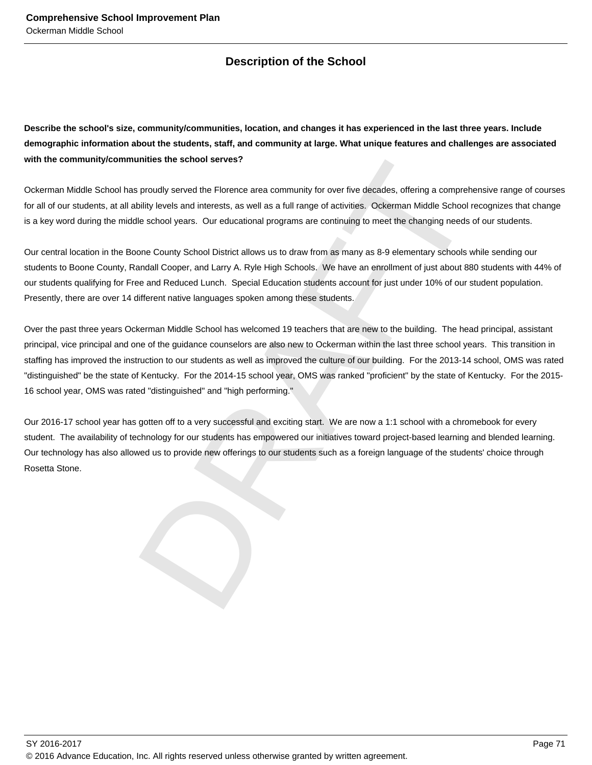# **Description of the School**

**Describe the school's size, community/communities, location, and changes it has experienced in the last three years. Include demographic information about the students, staff, and community at large. What unique features and challenges are associated with the community/communities the school serves?**

Ockerman Middle School has proudly served the Florence area community for over five decades, offering a comprehensive range of courses for all of our students, at all ability levels and interests, as well as a full range of activities. Ockerman Middle School recognizes that change is a key word during the middle school years. Our educational programs are continuing to meet the changing needs of our students.

Our central location in the Boone County School District allows us to draw from as many as 8-9 elementary schools while sending our students to Boone County, Randall Cooper, and Larry A. Ryle High Schools. We have an enrollment of just about 880 students with 44% of our students qualifying for Free and Reduced Lunch. Special Education students account for just under 10% of our student population. Presently, there are over 14 different native languages spoken among these students.

unities the school serves?<br>
sproudly served the Florence area community for over five decades, offering a comprehensive ran<br>
bility levels and interests, as well as a full range of activities. Ockerman Middle School recogn Over the past three years Ockerman Middle School has welcomed 19 teachers that are new to the building. The head principal, assistant principal, vice principal and one of the guidance counselors are also new to Ockerman within the last three school years. This transition in staffing has improved the instruction to our students as well as improved the culture of our building. For the 2013-14 school, OMS was rated "distinguished" be the state of Kentucky. For the 2014-15 school year, OMS was ranked "proficient" by the state of Kentucky. For the 2015- 16 school year, OMS was rated "distinguished" and "high performing."

Our 2016-17 school year has gotten off to a very successful and exciting start. We are now a 1:1 school with a chromebook for every student. The availability of technology for our students has empowered our initiatives toward project-based learning and blended learning. Our technology has also allowed us to provide new offerings to our students such as a foreign language of the students' choice through Rosetta Stone.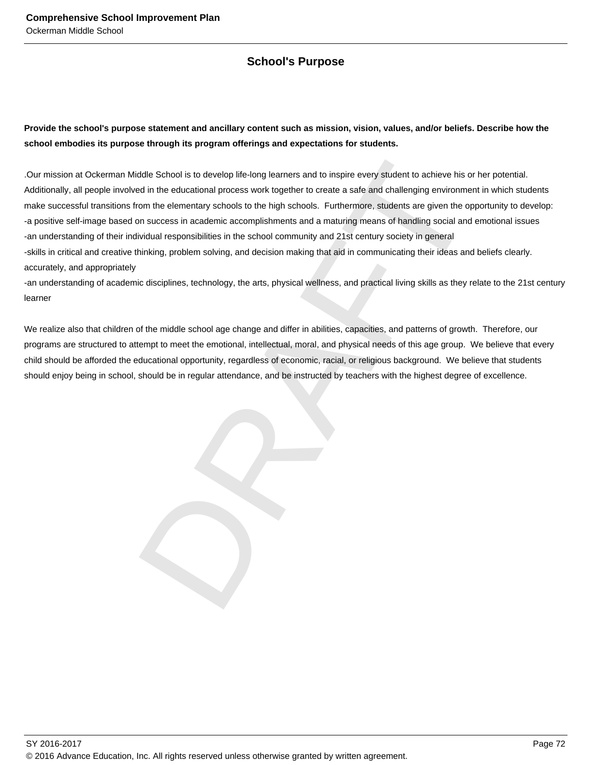## **School's Purpose**

### **Provide the school's purpose statement and ancillary content such as mission, vision, values, and/or beliefs. Describe how the school embodies its purpose through its program offerings and expectations for students.**

ddle School is to develop lite-long learners and to inspire every student to achieve his or her potention the deucational process work together to create a sate and challenging environment in which conditions in elementary .Our mission at Ockerman Middle School is to develop life-long learners and to inspire every student to achieve his or her potential. Additionally, all people involved in the educational process work together to create a safe and challenging environment in which students make successful transitions from the elementary schools to the high schools. Furthermore, students are given the opportunity to develop: -a positive self-image based on success in academic accomplishments and a maturing means of handling social and emotional issues -an understanding of their individual responsibilities in the school community and 21st century society in general -skills in critical and creative thinking, problem solving, and decision making that aid in communicating their ideas and beliefs clearly. accurately, and appropriately

-an understanding of academic disciplines, technology, the arts, physical wellness, and practical living skills as they relate to the 21st century learner

We realize also that children of the middle school age change and differ in abilities, capacities, and patterns of growth. Therefore, our programs are structured to attempt to meet the emotional, intellectual, moral, and physical needs of this age group. We believe that every child should be afforded the educational opportunity, regardless of economic, racial, or religious background. We believe that students should enjoy being in school, should be in regular attendance, and be instructed by teachers with the highest degree of excellence.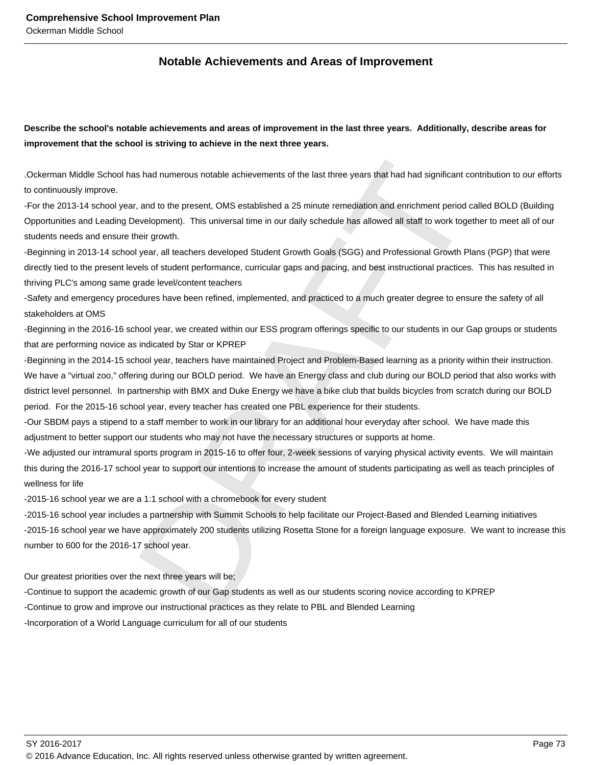### **Notable Achievements and Areas of Improvement**

**Describe the school's notable achievements and areas of improvement in the last three years. Additionally, describe areas for improvement that the school is striving to achieve in the next three years.**

.Ockerman Middle School has had numerous notable achievements of the last three years that had had significant contribution to our efforts to continuously improve.

-For the 2013-14 school year, and to the present, OMS established a 25 minute remediation and enrichment period called BOLD (Building Opportunities and Leading Development). This universal time in our daily schedule has allowed all staff to work together to meet all of our students needs and ensure their growth.

-Beginning in 2013-14 school year, all teachers developed Student Growth Goals (SGG) and Professional Growth Plans (PGP) that were directly tied to the present levels of student performance, curricular gaps and pacing, and best instructional practices. This has resulted in thriving PLC's among same grade level/content teachers

-Safety and emergency procedures have been refined, implemented, and practiced to a much greater degree to ensure the safety of all stakeholders at OMS

-Beginning in the 2016-16 school year, we created within our ESS program offerings specific to our students in our Gap groups or students that are performing novice as indicated by Star or KPREP

s had numerous notable achievements of the last three years that had had significant contribution<br>
and to the present, OMS established a 25 minute remediation and enrichment period called BOLI<br>
ewelcoment). This universal -Beginning in the 2014-15 school year, teachers have maintained Project and Problem-Based learning as a priority within their instruction. We have a "virtual zoo," offering during our BOLD period. We have an Energy class and club during our BOLD period that also works with district level personnel. In partnership with BMX and Duke Energy we have a bike club that builds bicycles from scratch during our BOLD period. For the 2015-16 school year, every teacher has created one PBL experience for their students.

-Our SBDM pays a stipend to a staff member to work in our library for an additional hour everyday after school. We have made this adjustment to better support our students who may not have the necessary structures or supports at home.

-We adjusted our intramural sports program in 2015-16 to offer four, 2-week sessions of varying physical activity events. We will maintain this during the 2016-17 school year to support our intentions to increase the amount of students participating as well as teach principles of wellness for life

-2015-16 school year we are a 1:1 school with a chromebook for every student

-2015-16 school year includes a partnership with Summit Schools to help facilitate our Project-Based and Blended Learning initiatives -2015-16 school year we have approximately 200 students utilizing Rosetta Stone for a foreign language exposure. We want to increase this number to 600 for the 2016-17 school year.

Our greatest priorities over the next three years will be;

-Continue to support the academic growth of our Gap students as well as our students scoring novice according to KPREP

-Continue to grow and improve our instructional practices as they relate to PBL and Blended Learning

-Incorporation of a World Language curriculum for all of our students